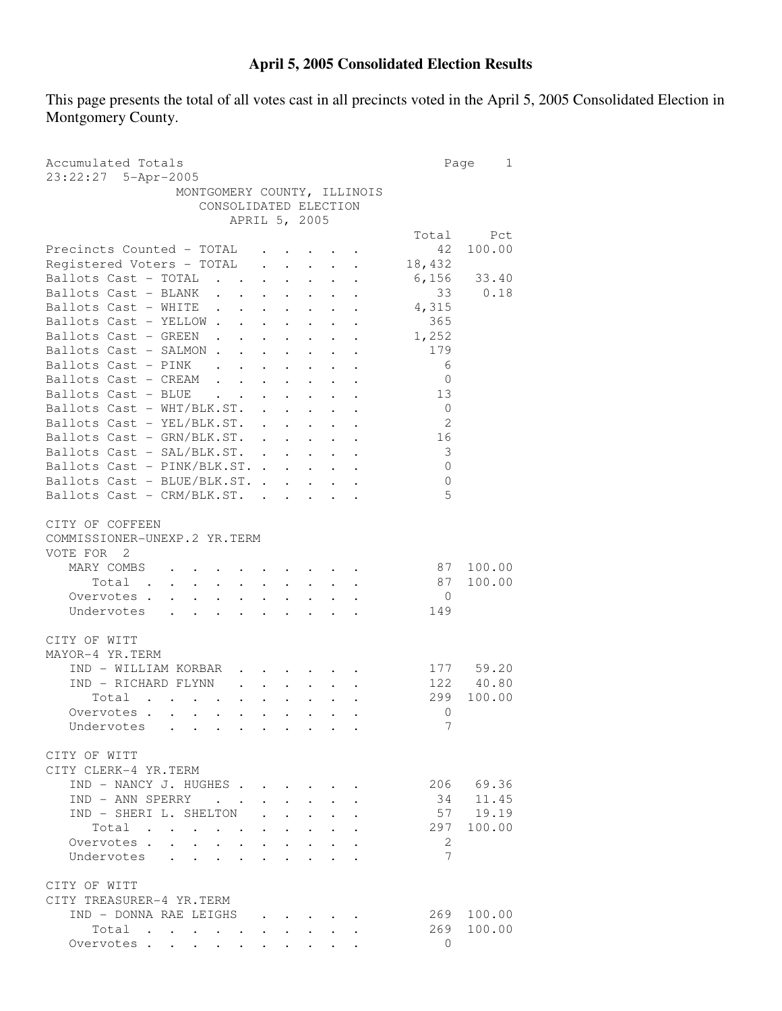## **April 5, 2005 Consolidated Election Results**

This page presents the total of all votes cast in all precincts voted in the April 5, 2005 Consolidated Election in Montgomery County.

| Accumulated Totals<br>23:22:27 5-Apr-2005                                                                                                                                                                     | Page           | 1         |
|---------------------------------------------------------------------------------------------------------------------------------------------------------------------------------------------------------------|----------------|-----------|
| MONTGOMERY COUNTY, ILLINOIS                                                                                                                                                                                   |                |           |
| CONSOLIDATED ELECTION                                                                                                                                                                                         |                |           |
| APRIL 5, 2005                                                                                                                                                                                                 |                |           |
|                                                                                                                                                                                                               | Total          | Pct       |
| Precincts Counted - TOTAL                                                                                                                                                                                     | 42             | 100.00    |
| Registered Voters - TOTAL<br>$\cdot$ $\cdot$ $\cdot$ $\cdot$ $\cdot$                                                                                                                                          | 18,432         |           |
| Ballots Cast - TOTAL<br>$\ddot{\phantom{a}}$<br>$\ddot{\phantom{0}}$                                                                                                                                          | 6,156          | 33.40     |
| Ballots Cast - BLANK                                                                                                                                                                                          | 33             | 0.18      |
| Ballots Cast - WHITE<br>$\sim 100$<br>$\ddot{\phantom{0}}$<br>$\bullet$ .<br><br><br><br><br><br><br><br><br><br><br><br><br><br><br><br><br><br><br><br><br><br><br><br><br><br><br><br><br><br><br><br>     | 4,315          |           |
| Ballots Cast - YELLOW<br>$\sim$<br><b>Contract Contract Contract</b>                                                                                                                                          | 365            |           |
| Ballots Cast - GREEN                                                                                                                                                                                          | 1,252          |           |
| Ballots Cast - SALMON.<br>$\ddot{\phantom{0}}$                                                                                                                                                                | 179            |           |
| Ballots Cast - PINK .                                                                                                                                                                                         | 6              |           |
| $\ddotsc$<br>Ballots Cast - CREAM<br>$\mathbf{L}^{\text{max}}$                                                                                                                                                | 0              |           |
| $\mathbf{L} = \mathbf{L}$<br>Ballots Cast - BLUE<br>$\mathcal{L}^{\text{max}}$<br>$\mathbf{L} = \mathbf{L}$                                                                                                   | 13             |           |
| Ballots Cast - WHT/BLK.ST.                                                                                                                                                                                    | $\overline{0}$ |           |
|                                                                                                                                                                                                               | $\overline{2}$ |           |
| Ballots Cast - YEL/BLK.ST.                                                                                                                                                                                    |                |           |
| Ballots Cast - GRN/BLK.ST.                                                                                                                                                                                    | 16             |           |
| Ballots Cast - SAL/BLK.ST.                                                                                                                                                                                    | 3              |           |
| Ballots Cast - PINK/BLK.ST.                                                                                                                                                                                   | $\mathbf{0}$   |           |
| Ballots Cast - BLUE/BLK.ST.                                                                                                                                                                                   | $\mathbf{0}$   |           |
| Ballots Cast - CRM/BLK.ST. .<br>$\sim$                                                                                                                                                                        | 5              |           |
| CITY OF COFFEEN<br>COMMISSIONER-UNEXP.2 YR.TERM<br>VOTE FOR 2                                                                                                                                                 |                |           |
| MARY COMBS                                                                                                                                                                                                    | 87             | 100.00    |
| Total<br>$\mathbf{r} = \mathbf{r} \times \mathbf{r}$ , where $\mathbf{r} = \mathbf{r} \times \mathbf{r}$                                                                                                      | 87             | 100.00    |
| Overvotes .<br>$\mathbf{r} = \mathbf{r} + \mathbf{r}$ .                                                                                                                                                       | $\overline{0}$ |           |
| Undervotes                                                                                                                                                                                                    | 149            |           |
|                                                                                                                                                                                                               |                |           |
| CITY OF WITT                                                                                                                                                                                                  |                |           |
| MAYOR-4 YR.TERM                                                                                                                                                                                               |                |           |
| IND - WILLIAM KORBAR                                                                                                                                                                                          |                | 177 59.20 |
| IND - RICHARD FLYNN<br>$\ddotsc$ $\ddotsc$                                                                                                                                                                    |                | 122 40.80 |
| Total<br>$\mathbf{r}$ , and $\mathbf{r}$ , and $\mathbf{r}$ , and $\mathbf{r}$<br>$\bullet$ .<br><br><br><br><br><br><br><br><br><br><br><br><br>$\bullet$<br>$\bullet$ .<br><br><br><br><br><br><br><br><br> | 299            | 100.00    |
| Overvotes<br>$\bullet$ .<br><br><br><br><br><br><br><br><br><br><br><br><br>$\bullet$ .<br><br><br><br><br><br><br><br><br><br><br><br>                                                                       | 0              |           |
| Undervotes                                                                                                                                                                                                    | $\overline{7}$ |           |
| CITY OF WITT<br>CITY CLERK-4 YR.TERM                                                                                                                                                                          |                |           |
| IND - NANCY J. HUGHES.                                                                                                                                                                                        |                | 206 69.36 |
| IND - ANN SPERRY                                                                                                                                                                                              | 34             | 11.45     |
| IND - SHERI L. SHELTON                                                                                                                                                                                        |                | 57 19.19  |
| Total                                                                                                                                                                                                         | 297            | 100.00    |
| $\mathcal{L}(\mathbf{X})$ , and $\mathcal{L}(\mathbf{X})$ , and $\mathcal{L}(\mathbf{X})$                                                                                                                     |                |           |
| Overvotes.<br>$\ddot{\phantom{0}}$                                                                                                                                                                            | 2<br>7         |           |
| Undervotes<br>$\bullet$ .<br><br><br><br><br><br><br><br><br><br><br><br><br>                                                                                                                                 |                |           |
| CITY OF WITT                                                                                                                                                                                                  |                |           |
| CITY TREASURER-4 YR.TERM                                                                                                                                                                                      |                |           |
| IND - DONNA RAE LEIGHS<br>$\mathbf{r}$ , and $\mathbf{r}$ , and $\mathbf{r}$ , and $\mathbf{r}$                                                                                                               | 269            | 100.00    |
| Total                                                                                                                                                                                                         | 269            | 100.00    |
| Overvotes                                                                                                                                                                                                     | $\Omega$       |           |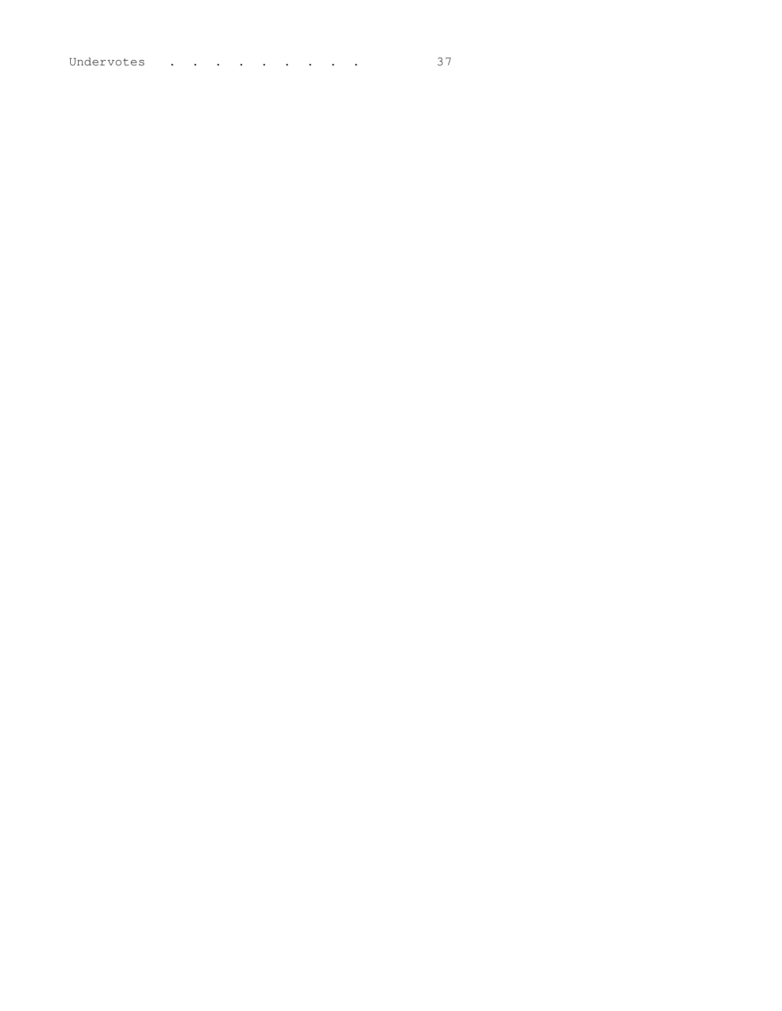Undervotes . . . . . . . . . 37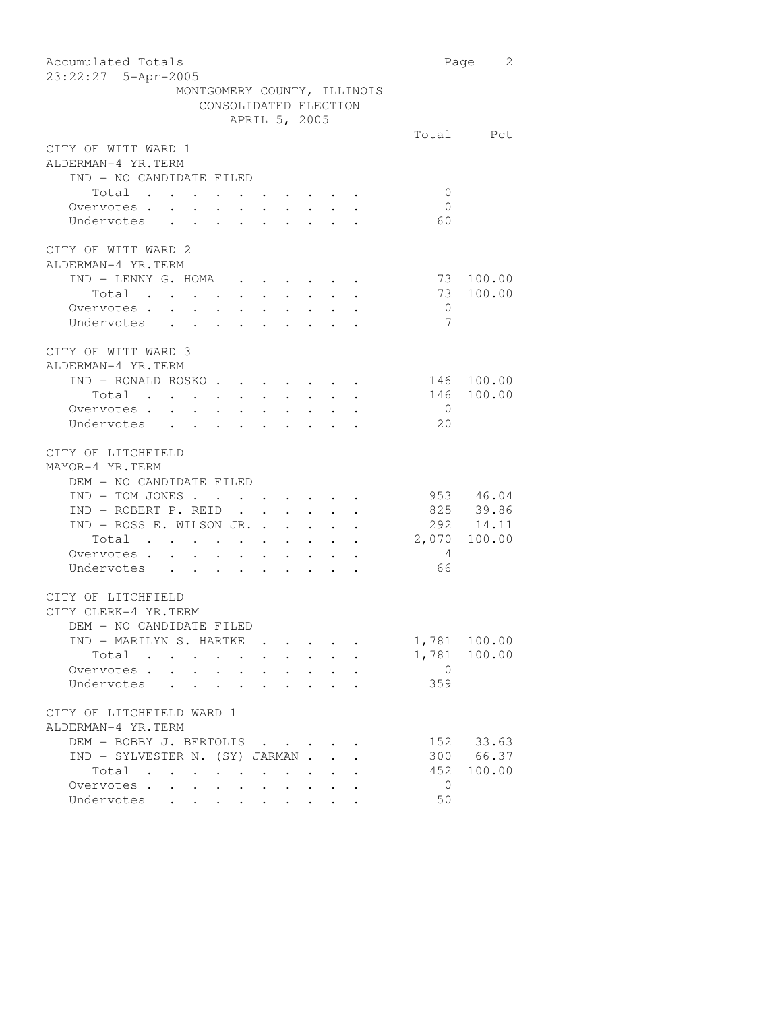| Accumulated Totals                                                                                                          |                | Page 2       |
|-----------------------------------------------------------------------------------------------------------------------------|----------------|--------------|
| 23:22:27 5-Apr-2005                                                                                                         |                |              |
| MONTGOMERY COUNTY, ILLINOIS                                                                                                 |                |              |
| CONSOLIDATED ELECTION                                                                                                       |                |              |
| APRIL 5, 2005                                                                                                               |                |              |
|                                                                                                                             |                | Total Pct    |
| CITY OF WITT WARD 1                                                                                                         |                |              |
| ALDERMAN-4 YR.TERM                                                                                                          |                |              |
| IND - NO CANDIDATE FILED                                                                                                    |                |              |
| Total                                                                                                                       | $\mathbf 0$    |              |
| Overvotes.<br>$\sim$ $\sim$<br>$\mathbf{L}^{\text{max}}$<br>$\ddot{\phantom{0}}$<br>$\bullet$ .                             | $\overline{0}$ |              |
| Undervotes<br>$\ddot{\phantom{0}}$                                                                                          | 60             |              |
|                                                                                                                             |                |              |
| CITY OF WITT WARD 2                                                                                                         |                |              |
| ALDERMAN-4 YR.TERM                                                                                                          |                |              |
| IND - LENNY G. HOMA                                                                                                         | 73             | 100.00       |
| $\bullet \qquad \bullet \qquad \bullet \qquad \bullet \qquad \bullet \qquad \bullet \qquad \bullet \qquad \bullet$<br>Total |                | 73 100.00    |
| . The contribution of the contribution of the contribution $\mathcal{A}$                                                    |                |              |
| Overvotes                                                                                                                   | $\overline{0}$ |              |
| Undervotes                                                                                                                  | 7              |              |
|                                                                                                                             |                |              |
| CITY OF WITT WARD 3                                                                                                         |                |              |
| ALDERMAN-4 YR.TERM                                                                                                          |                |              |
| IND - RONALD ROSKO                                                                                                          |                | 146 100.00   |
| Total<br>the contract of the contract of the contract of the contract of the contract of the contract of the contract of    |                | 146 100.00   |
| Overvotes                                                                                                                   | $\overline{0}$ |              |
| Undervotes                                                                                                                  | 20             |              |
|                                                                                                                             |                |              |
| CITY OF LITCHFIELD                                                                                                          |                |              |
| MAYOR-4 YR.TERM                                                                                                             |                |              |
| DEM - NO CANDIDATE FILED                                                                                                    |                |              |
| $IND - TOM JONES$                                                                                                           |                | 953 46.04    |
| $IND - ROBERT P. REID$                                                                                                      |                | 825 39.86    |
| IND - ROSS E. WILSON JR.                                                                                                    |                | 292 14.11    |
| Total<br>the contract of the contract of the contract of the contract of the contract of the contract of the contract of    | 2,070 100.00   |              |
| Overvotes                                                                                                                   | 4              |              |
|                                                                                                                             | 66             |              |
| Undervotes                                                                                                                  |                |              |
|                                                                                                                             |                |              |
| CITY OF LITCHFIELD                                                                                                          |                |              |
| CITY CLERK-4 YR.TERM                                                                                                        |                |              |
| DEM - NO CANDIDATE FILED                                                                                                    |                |              |
| IND - MARILYN S. HARTKE                                                                                                     |                | 1,781 100.00 |
| Total<br>$\sim$ $\sim$ $\sim$ $\sim$ $\sim$<br>$\bullet$ .<br><br><br><br><br><br><br><br><br><br><br><br><br>              |                | 1,781 100.00 |
| Overvotes<br>and the contract of the contract of<br>$\bullet$ .<br><br><br><br><br><br><br><br><br><br><br><br><br>         | $\overline{0}$ |              |
| Undervotes                                                                                                                  | 359            |              |
|                                                                                                                             |                |              |
| CITY OF LITCHFIELD WARD 1                                                                                                   |                |              |
| ALDERMAN-4 YR.TERM                                                                                                          |                |              |
| DEM - BOBBY J. BERTOLIS                                                                                                     |                | 152 33.63    |
| IND - SYLVESTER N. (SY) JARMAN.                                                                                             |                | 300 66.37    |
| Total                                                                                                                       | 452            | 100.00       |
| Overvotes<br>$\mathbf{L} = \mathbf{L} \mathbf{L}$<br>$\bullet$ and $\bullet$ and $\bullet$<br>$\bullet$ .                   | $\overline{0}$ |              |
| Undervotes                                                                                                                  | 50             |              |
|                                                                                                                             |                |              |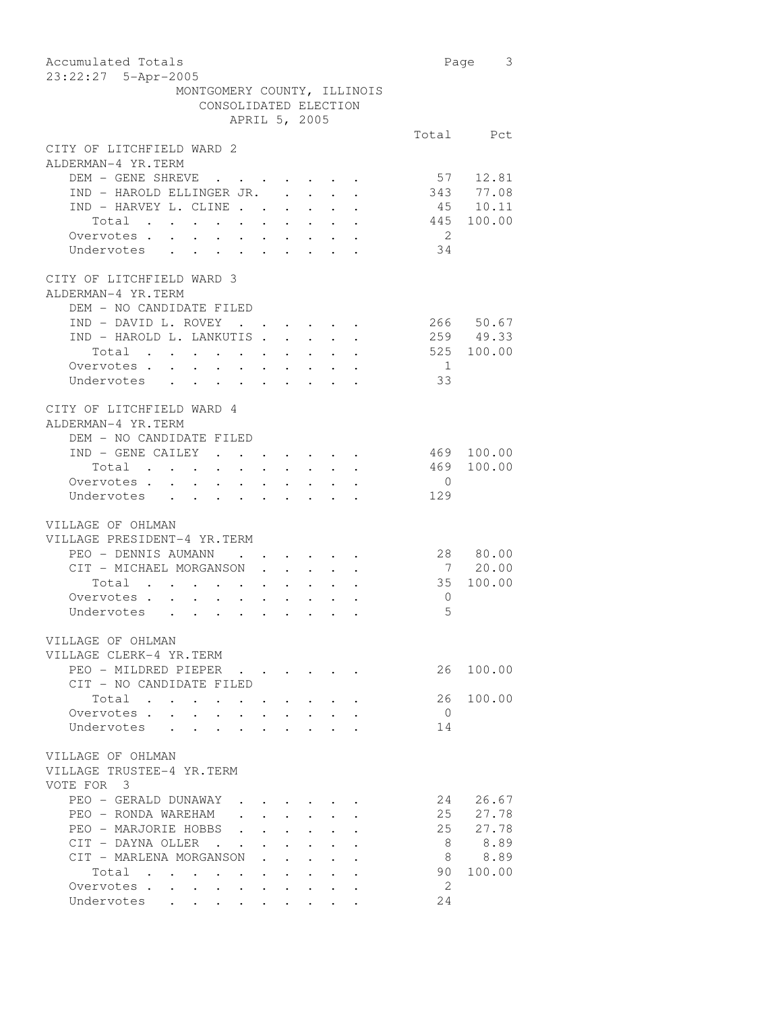| Accumulated Totals                                                                                                               |                | 3<br>Page              |
|----------------------------------------------------------------------------------------------------------------------------------|----------------|------------------------|
| 23:22:27 5-Apr-2005                                                                                                              |                |                        |
| MONTGOMERY COUNTY, ILLINOIS                                                                                                      |                |                        |
| CONSOLIDATED ELECTION                                                                                                            |                |                        |
| APRIL 5, 2005                                                                                                                    |                |                        |
|                                                                                                                                  |                | Total Pct              |
| CITY OF LITCHFIELD WARD 2                                                                                                        |                |                        |
| ALDERMAN-4 YR.TERM                                                                                                               |                |                        |
| DEM - GENE SHREVE                                                                                                                |                | 57 12.81               |
| IND - HAROLD ELLINGER JR.<br>$\ddot{\phantom{0}}$                                                                                | 343            | 77.08                  |
| IND - HARVEY L. CLINE<br>$\mathbf{L}^{\text{max}}$ , and $\mathbf{L}^{\text{max}}$                                               |                | 45 10.11               |
| $\begin{tabular}{ccccccccccc} Total & . & . & . & . & . & . & . & . & . & . & . \end{tabular}$                                   | 445            | 100.00                 |
| Overvotes.                                                                                                                       | $\overline{2}$ |                        |
| Undervotes                                                                                                                       | 34             |                        |
| CITY OF LITCHFIELD WARD 3                                                                                                        |                |                        |
| ALDERMAN-4 YR.TERM                                                                                                               |                |                        |
| DEM - NO CANDIDATE FILED                                                                                                         |                |                        |
| IND - DAVID L. ROVEY .                                                                                                           |                | 266 50.67<br>259 49.33 |
| IND - HAROLD L. LANKUTIS.<br>$\mathbf{L}$                                                                                        |                |                        |
| $\begin{tabular}{ccccccccccc} Total & . & . & . & . & . & . & . & . & . & . & . \end{tabular}$                                   | 525            | 100.00                 |
| Overvotes.                                                                                                                       | $\overline{1}$ |                        |
| Undervotes                                                                                                                       | 33             |                        |
| CITY OF LITCHFIELD WARD 4<br>ALDERMAN-4 YR.TERM                                                                                  |                |                        |
| DEM - NO CANDIDATE FILED                                                                                                         |                |                        |
| IND - GENE CAILEY                                                                                                                | 469            | 100.00                 |
| Total<br>$\mathcal{A}^{\mathcal{A}}$ , and $\mathcal{A}^{\mathcal{A}}$ , and $\mathcal{A}^{\mathcal{A}}$<br>$\ddot{\phantom{0}}$ | 469            | 100.00                 |
| Overvotes.                                                                                                                       | $\overline{0}$ |                        |
| Undervotes                                                                                                                       | 129            |                        |
|                                                                                                                                  |                |                        |
| VILLAGE OF OHLMAN                                                                                                                |                |                        |
| VILLAGE PRESIDENT-4 YR.TERM                                                                                                      |                |                        |
| PEO - DENNIS AUMANN                                                                                                              |                | 28 80.00               |
| CIT - MICHAEL MORGANSON<br>$\mathbf{r}$<br>$\ddot{\phantom{0}}$                                                                  | $\overline{7}$ | 20.00                  |
| Total<br>Total<br>Overvotes                                                                                                      | 35             | 100.00                 |
|                                                                                                                                  | 0              |                        |
| Undervotes                                                                                                                       | 5              |                        |
| VILLAGE OF OHLMAN                                                                                                                |                |                        |
| VILLAGE CLERK-4 YR.TERM                                                                                                          |                |                        |
| PEO - MILDRED PIEPER                                                                                                             | 26             | 100.00                 |
| CIT - NO CANDIDATE FILED                                                                                                         |                |                        |
| Total.<br>$\mathbf{z} = \mathbf{z} + \mathbf{z}$<br>$\ddot{\phantom{a}}$                                                         | 26             | 100.00                 |
| Overvotes.                                                                                                                       | $\overline{0}$ |                        |
| Undervotes<br>$\ddot{\phantom{a}}$                                                                                               | 14             |                        |
|                                                                                                                                  |                |                        |
| VILLAGE OF OHLMAN<br>VILLAGE TRUSTEE-4 YR.TERM                                                                                   |                |                        |
| VOTE FOR 3                                                                                                                       |                |                        |
| PEO - GERALD DUNAWAY                                                                                                             | 24             | 26.67                  |
| PEO - RONDA WAREHAM                                                                                                              | 25             | 27.78                  |
| PEO - MARJORIE HOBBS                                                                                                             | 25             | 27.78                  |
| CIT - DAYNA OLLER.                                                                                                               | 8              | 8.89                   |
| CIT - MARLENA MORGANSON                                                                                                          | 8              | 8.89                   |
| Total<br>$\mathcal{L}(\mathbf{z})$ . The contribution of the $\mathcal{L}(\mathbf{z})$                                           | 90             | 100.00                 |
| Overvotes                                                                                                                        | 2.             |                        |
| Undervotes<br>$\bullet$                                                                                                          | 24             |                        |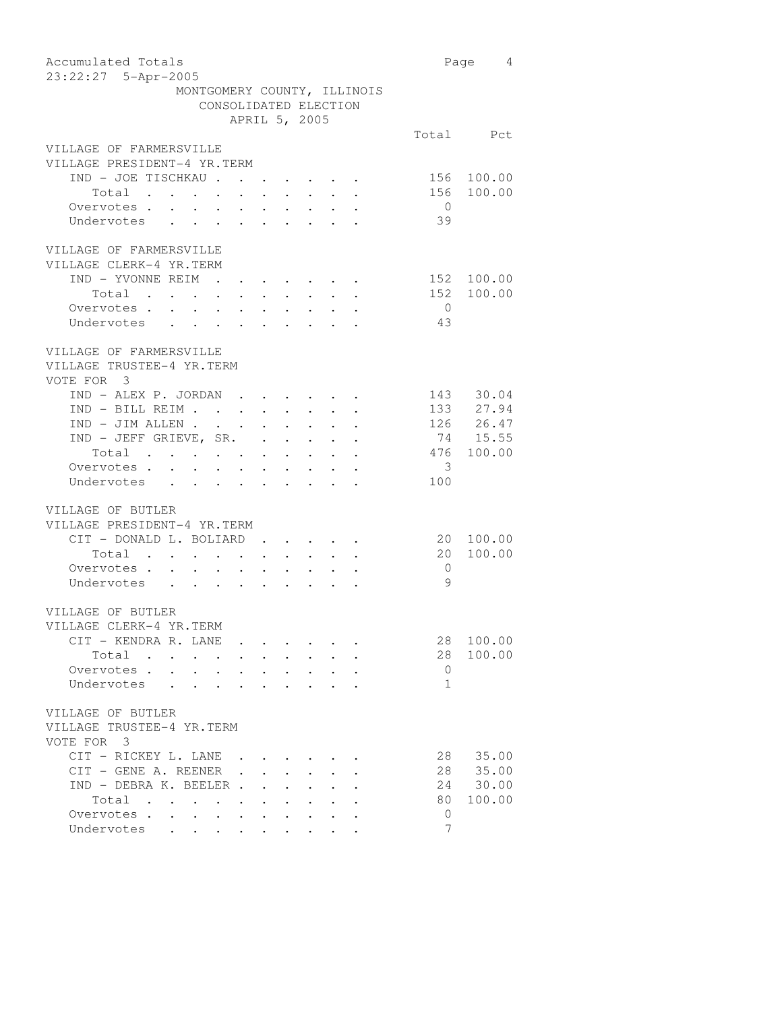| Accumulated Totals                                                                                                                                                                                                                                                                                                                                                                                                                                             |                         | Page 4        |
|----------------------------------------------------------------------------------------------------------------------------------------------------------------------------------------------------------------------------------------------------------------------------------------------------------------------------------------------------------------------------------------------------------------------------------------------------------------|-------------------------|---------------|
| 23:22:27 5-Apr-2005                                                                                                                                                                                                                                                                                                                                                                                                                                            |                         |               |
| MONTGOMERY COUNTY, ILLINOIS                                                                                                                                                                                                                                                                                                                                                                                                                                    |                         |               |
| CONSOLIDATED ELECTION                                                                                                                                                                                                                                                                                                                                                                                                                                          |                         |               |
| APRIL 5, 2005                                                                                                                                                                                                                                                                                                                                                                                                                                                  |                         |               |
|                                                                                                                                                                                                                                                                                                                                                                                                                                                                |                         | Total Pct     |
| VILLAGE OF FARMERSVILLE                                                                                                                                                                                                                                                                                                                                                                                                                                        |                         |               |
| VILLAGE PRESIDENT-4 YR.TERM                                                                                                                                                                                                                                                                                                                                                                                                                                    |                         |               |
| IND - JOE TISCHKAU                                                                                                                                                                                                                                                                                                                                                                                                                                             |                         | 156 100.00    |
| Total<br>$\ddot{\phantom{0}}$<br>$\sim$<br>$\bullet$ .<br>$\bullet$ .                                                                                                                                                                                                                                                                                                                                                                                          | 156                     | 100.00        |
| Overvotes.                                                                                                                                                                                                                                                                                                                                                                                                                                                     | $\overline{0}$          |               |
| Undervotes                                                                                                                                                                                                                                                                                                                                                                                                                                                     | 39                      |               |
|                                                                                                                                                                                                                                                                                                                                                                                                                                                                |                         |               |
| VILLAGE OF FARMERSVILLE                                                                                                                                                                                                                                                                                                                                                                                                                                        |                         |               |
| VILLAGE CLERK-4 YR.TERM                                                                                                                                                                                                                                                                                                                                                                                                                                        |                         |               |
| IND - YVONNE REIM<br>$\mathcal{A}=\mathcal{A}=\mathcal{A}=\mathcal{A}=\mathcal{A}=\mathcal{A}=\mathcal{A}=\mathcal{A}$                                                                                                                                                                                                                                                                                                                                         |                         | 152 100.00    |
| Total                                                                                                                                                                                                                                                                                                                                                                                                                                                          |                         | 152 100.00    |
| Overvotes .<br>$\sim$                                                                                                                                                                                                                                                                                                                                                                                                                                          | $\overline{0}$          |               |
| $\mathbf{r} = \mathbf{r} - \mathbf{r} = \mathbf{r} - \mathbf{r}$ .<br>Undervotes<br>$\mathcal{A}^{\mathcal{A}}$ , and $\mathcal{A}^{\mathcal{A}}$ , and $\mathcal{A}^{\mathcal{A}}$<br>$\sim$<br>$\mathbf{L} = \mathbf{L}$                                                                                                                                                                                                                                     | 43                      |               |
|                                                                                                                                                                                                                                                                                                                                                                                                                                                                |                         |               |
| VILLAGE OF FARMERSVILLE                                                                                                                                                                                                                                                                                                                                                                                                                                        |                         |               |
| VILLAGE TRUSTEE-4 YR.TERM                                                                                                                                                                                                                                                                                                                                                                                                                                      |                         |               |
| VOTE FOR 3                                                                                                                                                                                                                                                                                                                                                                                                                                                     |                         |               |
| $\text{IND} \; - \; \text{ALEX} \; \; \text{P.} \; \; \text{JORDAN} \quad . \qquad . \qquad . \qquad . \qquad . \qquad . \qquad .$                                                                                                                                                                                                                                                                                                                             |                         | 143 30.04     |
| $\texttt{IND - BILL REIM}$                                                                                                                                                                                                                                                                                                                                                                                                                                     |                         | 133 27.94     |
| $IND - JIM ALLEN$<br>$\mathbf{z} = \mathbf{z} + \mathbf{z}$ .                                                                                                                                                                                                                                                                                                                                                                                                  |                         | $126$ $26.47$ |
| IND - JEFF GRIEVE, SR.<br>$\mathbf{L}^{\text{max}}$ , and $\mathbf{L}^{\text{max}}$<br>$\sim$ $-$                                                                                                                                                                                                                                                                                                                                                              |                         | 74 15.55      |
| Total                                                                                                                                                                                                                                                                                                                                                                                                                                                          |                         | 476 100.00    |
| Total<br>Overvotes                                                                                                                                                                                                                                                                                                                                                                                                                                             | $\overline{\mathbf{3}}$ |               |
| Undervotes                                                                                                                                                                                                                                                                                                                                                                                                                                                     | 100                     |               |
|                                                                                                                                                                                                                                                                                                                                                                                                                                                                |                         |               |
| VILLAGE OF BUTLER                                                                                                                                                                                                                                                                                                                                                                                                                                              |                         |               |
| VILLAGE PRESIDENT-4 YR.TERM                                                                                                                                                                                                                                                                                                                                                                                                                                    |                         |               |
|                                                                                                                                                                                                                                                                                                                                                                                                                                                                |                         | 100.00        |
| CIT - DONALD L. BOLIARD.                                                                                                                                                                                                                                                                                                                                                                                                                                       | 20                      |               |
| Total                                                                                                                                                                                                                                                                                                                                                                                                                                                          | 20                      | 100.00        |
| Overvotes .<br>$\begin{array}{cccccccccc} \mathbf{1} & \mathbf{1} & \mathbf{1} & \mathbf{1} & \mathbf{1} & \mathbf{1} & \mathbf{1} & \mathbf{1} & \mathbf{1} & \mathbf{1} & \mathbf{1} & \mathbf{1} \\ \mathbf{1} & \mathbf{1} & \mathbf{1} & \mathbf{1} & \mathbf{1} & \mathbf{1} & \mathbf{1} & \mathbf{1} & \mathbf{1} & \mathbf{1} & \mathbf{1} \\ \mathbf{1} & \mathbf{1} & \mathbf{1} & \mathbf{1} & \mathbf{1} & \mathbf{1} & \mathbf{1} & \$<br>$\sim$ | $\overline{0}$          |               |
| Undervotes .                                                                                                                                                                                                                                                                                                                                                                                                                                                   | 9                       |               |
|                                                                                                                                                                                                                                                                                                                                                                                                                                                                |                         |               |
| VILLAGE OF BUTLER                                                                                                                                                                                                                                                                                                                                                                                                                                              |                         |               |
| VILLAGE CLERK-4 YR.TERM                                                                                                                                                                                                                                                                                                                                                                                                                                        |                         |               |
| CIT - KENDRA R. LANE                                                                                                                                                                                                                                                                                                                                                                                                                                           | 28                      | 100.00        |
| Total<br>$\sim$<br>$\mathcal{L}^{\mathcal{L}}(\mathbf{z})$ . The $\mathcal{L}^{\mathcal{L}}(\mathbf{z})$<br>$\ddot{\phantom{0}}$                                                                                                                                                                                                                                                                                                                               | 28                      | 100.00        |
| Overvotes.<br>$\ddot{\phantom{a}}$<br>$\bullet$                                                                                                                                                                                                                                                                                                                                                                                                                | 0                       |               |
| Undervotes<br>$\ddot{\phantom{0}}$                                                                                                                                                                                                                                                                                                                                                                                                                             | $\mathbf{1}$            |               |
|                                                                                                                                                                                                                                                                                                                                                                                                                                                                |                         |               |
| VILLAGE OF BUTLER                                                                                                                                                                                                                                                                                                                                                                                                                                              |                         |               |
| VILLAGE TRUSTEE-4 YR.TERM                                                                                                                                                                                                                                                                                                                                                                                                                                      |                         |               |
| VOTE FOR 3                                                                                                                                                                                                                                                                                                                                                                                                                                                     |                         |               |
| CIT - RICKEY L. LANE .                                                                                                                                                                                                                                                                                                                                                                                                                                         | 28                      | 35.00         |
| CIT - GENE A. REENER.                                                                                                                                                                                                                                                                                                                                                                                                                                          |                         | 28 35.00      |
| $IND - DEBRA K. BEELER$ .                                                                                                                                                                                                                                                                                                                                                                                                                                      |                         | 24 30.00      |
| Total .                                                                                                                                                                                                                                                                                                                                                                                                                                                        | 80                      | 100.00        |
| $\sim$<br>$\overline{\phantom{a}}$<br>$\bullet$ . In the set of $\bullet$                                                                                                                                                                                                                                                                                                                                                                                      |                         |               |
| Overvotes.<br>$\sim$ $-$<br>$\bullet$ .                                                                                                                                                                                                                                                                                                                                                                                                                        | 0<br>7                  |               |
| Undervotes<br>and the contract of the                                                                                                                                                                                                                                                                                                                                                                                                                          |                         |               |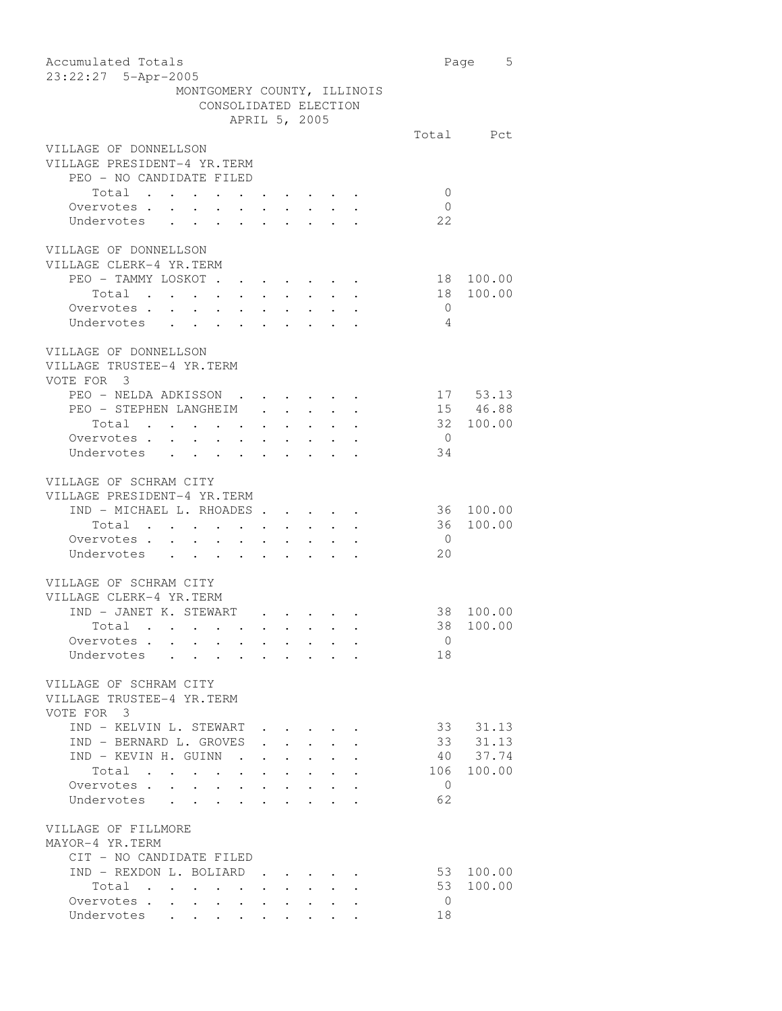| Accumulated Totals<br>23:22:27 5-Apr-2005                                                                                                                        |                | Page 5    |
|------------------------------------------------------------------------------------------------------------------------------------------------------------------|----------------|-----------|
| MONTGOMERY COUNTY, ILLINOIS                                                                                                                                      |                |           |
| CONSOLIDATED ELECTION                                                                                                                                            |                |           |
| APRIL 5, 2005                                                                                                                                                    |                |           |
|                                                                                                                                                                  |                | Total Pct |
| VILLAGE OF DONNELLSON                                                                                                                                            |                |           |
| VILLAGE PRESIDENT-4 YR.TERM                                                                                                                                      |                |           |
| PEO - NO CANDIDATE FILED                                                                                                                                         |                |           |
| Total                                                                                                                                                            | $\Omega$       |           |
| Overvotes                                                                                                                                                        | $\overline{0}$ |           |
| Undervotes                                                                                                                                                       | 22             |           |
| VILLAGE OF DONNELLSON                                                                                                                                            |                |           |
| VILLAGE CLERK-4 YR. TERM                                                                                                                                         |                |           |
| PEO - TAMMY LOSKOT.<br>$\cdot$ $\cdot$ $\cdot$ $\cdot$ $\cdot$ $\cdot$ $\cdot$                                                                                   | 18             | 100.00    |
| Total                                                                                                                                                            | 18             | 100.00    |
| Overvotes.                                                                                                                                                       | $\overline{0}$ |           |
| Undervotes                                                                                                                                                       | 4              |           |
|                                                                                                                                                                  |                |           |
| VILLAGE OF DONNELLSON<br>VILLAGE TRUSTEE-4 YR.TERM                                                                                                               |                |           |
| VOTE FOR 3                                                                                                                                                       |                |           |
| PEO - NELDA ADKISSON                                                                                                                                             |                | 17 53.13  |
| PEO - STEPHEN LANGHEIM<br>$\cdot$ $\cdot$ $\cdot$ $\cdot$ $\cdot$                                                                                                |                | 15 46.88  |
| Total<br>$\mathcal{L}(\mathcal{A})$ . The contribution of $\mathcal{A}(\mathcal{A})$<br>$\mathbf{r}$ , $\mathbf{r}$ , $\mathbf{r}$ , $\mathbf{r}$ , $\mathbf{r}$ |                | 32 100.00 |
| Overvotes.                                                                                                                                                       | $\overline{0}$ |           |
| Undervotes                                                                                                                                                       | 34             |           |
|                                                                                                                                                                  |                |           |
| VILLAGE OF SCHRAM CITY                                                                                                                                           |                |           |
| VILLAGE PRESIDENT-4 YR.TERM                                                                                                                                      |                |           |
| IND - MICHAEL L. RHOADES.<br>$\ddot{\phantom{0}}$                                                                                                                | 36             | 100.00    |
| Total<br>$\bullet$ .<br>$\bullet$ . $\bullet$                                                                                                                    | 36             | 100.00    |
| Overvotes                                                                                                                                                        | $\overline{0}$ |           |
| Undervotes                                                                                                                                                       | 20             |           |
|                                                                                                                                                                  |                |           |
| VILLAGE OF SCHRAM CITY                                                                                                                                           |                |           |
| VILLAGE CLERK-4 YR.TERM                                                                                                                                          |                |           |
| IND - JANET K. STEWART                                                                                                                                           |                | 38 100.00 |
| Total                                                                                                                                                            |                | 38 100.00 |
| Overvotes<br>$\ddot{\phantom{0}}$<br>$\sim 100$<br>$\bullet$ .<br><br><br><br><br><br><br>                                                                       | $\overline{0}$ |           |
| Undervotes<br>$\mathbf{r}$ , $\mathbf{r}$ , $\mathbf{r}$ , $\mathbf{r}$                                                                                          | 18             |           |
|                                                                                                                                                                  |                |           |
| VILLAGE OF SCHRAM CITY<br>VILLAGE TRUSTEE-4 YR.TERM                                                                                                              |                |           |
| VOTE FOR 3                                                                                                                                                       |                |           |
| IND - KELVIN L. STEWART<br>$\sim$ 100 $\pm$                                                                                                                      | 33             | 31.13     |
| IND - BERNARD L. GROVES                                                                                                                                          | 33             | 31.13     |
| IND - KEVIN H. GUINN .                                                                                                                                           | 40             | 37.74     |
| Total                                                                                                                                                            | 106            | 100.00    |
| Overvotes<br>$\cdot$ $\cdot$ $\cdot$ $\cdot$ $\cdot$ $\cdot$ $\cdot$                                                                                             | $\overline{0}$ |           |
| Undervotes                                                                                                                                                       | 62             |           |
| VILLAGE OF FILLMORE<br>MAYOR-4 YR.TERM                                                                                                                           |                |           |
| CIT - NO CANDIDATE FILED                                                                                                                                         |                |           |
| IND - REXDON L. BOLIARD                                                                                                                                          | 53             | 100.00    |
| Total .<br>$\Delta \sim 10^{-11}$<br>$\ddot{\phantom{0}}$                                                                                                        | 53             | 100.00    |
| Overvotes .<br>$\sim$<br>$\sim$<br>$\bullet$<br>$\bullet$ .<br><br><br><br><br><br><br><br><br><br><br><br><br>$\bullet$ .<br><br><br><br><br><br>               | $\overline{0}$ |           |
| $\mathcal{A}$ . The set of the set of the set of the set of $\mathcal{A}$<br>Undervotes                                                                          | 18             |           |
|                                                                                                                                                                  |                |           |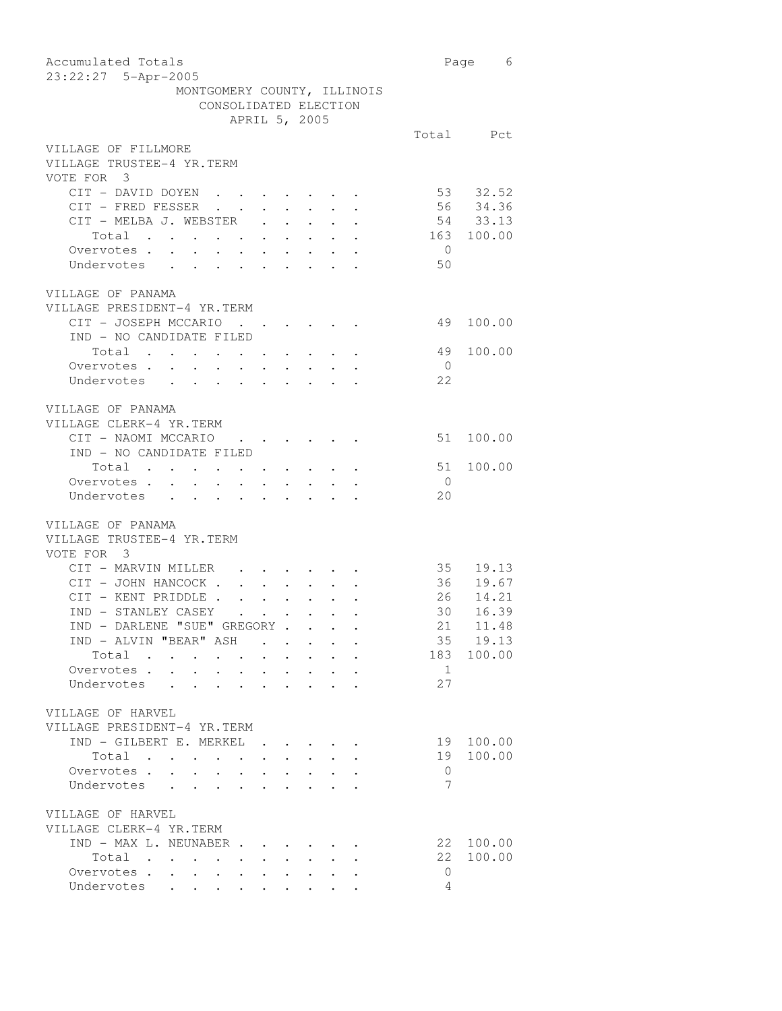| Accumulated Totals<br>23:22:27 5-Apr-2005                                                                                                                                                                                                     |                 | Page 6     |
|-----------------------------------------------------------------------------------------------------------------------------------------------------------------------------------------------------------------------------------------------|-----------------|------------|
| MONTGOMERY COUNTY, ILLINOIS                                                                                                                                                                                                                   |                 |            |
| CONSOLIDATED ELECTION                                                                                                                                                                                                                         |                 |            |
| APRIL 5, 2005                                                                                                                                                                                                                                 |                 |            |
|                                                                                                                                                                                                                                               |                 | Total Pct  |
| VILLAGE OF FILLMORE                                                                                                                                                                                                                           |                 |            |
| VILLAGE TRUSTEE-4 YR.TERM<br>VOTE FOR 3                                                                                                                                                                                                       |                 |            |
|                                                                                                                                                                                                                                               |                 |            |
| CIT - DAVID DOYEN                                                                                                                                                                                                                             |                 | 53 32.52   |
| CIT - FRED FESSER<br>CIT - MELBA J. WEBSTER .<br>$\mathbf{r} = \mathbf{r} + \mathbf{r} + \mathbf{r} + \mathbf{r} + \mathbf{r}$                                                                                                                |                 | 56 34.36   |
| $\mathcal{A}^{\mathcal{A}}$ , and $\mathcal{A}^{\mathcal{A}}$ , and $\mathcal{A}^{\mathcal{A}}$                                                                                                                                               |                 | 54 33.13   |
| Total<br>$\epsilon = \epsilon$ .<br>$\mathbf{a}^{\prime}$ , $\mathbf{a}^{\prime}$ , $\mathbf{a}^{\prime}$ , $\mathbf{a}^{\prime}$                                                                                                             |                 | 163 100.00 |
| Overvotes<br>Undervotes                                                                                                                                                                                                                       | $\overline{0}$  |            |
|                                                                                                                                                                                                                                               | 50              |            |
|                                                                                                                                                                                                                                               |                 |            |
| VILLAGE OF PANAMA                                                                                                                                                                                                                             |                 |            |
| VILLAGE PRESIDENT-4 YR.TERM                                                                                                                                                                                                                   |                 |            |
| CIT - JOSEPH MCCARIO<br>$\mathcal{L}(\mathcal{A})$ . The contribution of the contribution of $\mathcal{A}$                                                                                                                                    | 49              | 100.00     |
| IND - NO CANDIDATE FILED                                                                                                                                                                                                                      |                 |            |
|                                                                                                                                                                                                                                               | 49              | 100.00     |
| Total                                                                                                                                                                                                                                         |                 |            |
| Overvotes .<br>$\mathcal{A}^{\mathcal{A}}$ , and $\mathcal{A}^{\mathcal{A}}$ , and $\mathcal{A}^{\mathcal{A}}$<br>$\sim$<br>$\sim$<br>$\ddot{\phantom{0}}$                                                                                    | $\overline{0}$  |            |
| Undervotes .<br><b>Contract Contract Contract</b>                                                                                                                                                                                             | 22              |            |
|                                                                                                                                                                                                                                               |                 |            |
| VILLAGE OF PANAMA                                                                                                                                                                                                                             |                 |            |
| VILLAGE CLERK-4 YR.TERM                                                                                                                                                                                                                       |                 |            |
| CIT - NAOMI MCCARIO                                                                                                                                                                                                                           | 51              | 100.00     |
| IND - NO CANDIDATE FILED                                                                                                                                                                                                                      |                 |            |
| Total                                                                                                                                                                                                                                         | 51              | 100.00     |
| Overvotes                                                                                                                                                                                                                                     | $\overline{0}$  |            |
| Undervotes                                                                                                                                                                                                                                    | 20              |            |
|                                                                                                                                                                                                                                               |                 |            |
|                                                                                                                                                                                                                                               |                 |            |
| VILLAGE OF PANAMA                                                                                                                                                                                                                             |                 |            |
| VILLAGE TRUSTEE-4 YR.TERM                                                                                                                                                                                                                     |                 |            |
| VOTE FOR 3                                                                                                                                                                                                                                    |                 |            |
| CIT - MARVIN MILLER                                                                                                                                                                                                                           |                 | 35 19.13   |
| CIT - JOHN HANCOCK .<br>$\mathbf{L}^{\text{max}}$ , where $\mathbf{L}^{\text{max}}$                                                                                                                                                           |                 | 36 19.67   |
| CIT - KENT PRIDDLE                                                                                                                                                                                                                            |                 | 26 14.21   |
| IND - STANLEY CASEY                                                                                                                                                                                                                           | 30 <sup>7</sup> | 16.39      |
| IND - DARLENE "SUE" GREGORY.                                                                                                                                                                                                                  | 21              | 11.48      |
| IND - ALVIN "BEAR" ASH.                                                                                                                                                                                                                       |                 | 35 19.13   |
| Total<br>$\mathbf{r}$ , $\mathbf{r}$ , $\mathbf{r}$ , $\mathbf{r}$<br>$\cdot$ $\cdot$                                                                                                                                                         |                 | 183 100.00 |
| Overvotes.                                                                                                                                                                                                                                    | $\overline{1}$  |            |
| Undervotes                                                                                                                                                                                                                                    | 27              |            |
|                                                                                                                                                                                                                                               |                 |            |
|                                                                                                                                                                                                                                               |                 |            |
| VILLAGE OF HARVEL                                                                                                                                                                                                                             |                 |            |
| VILLAGE PRESIDENT-4 YR.TERM                                                                                                                                                                                                                   |                 |            |
| $IND - GILBERT E. MERKEL.$                                                                                                                                                                                                                    | 19              | 100.00     |
| Total<br>$\bullet$ , $\bullet$ , $\bullet$ , $\bullet$                                                                                                                                                                                        | 19              | 100.00     |
| Overvotes .<br>$\sim$<br>$\ddot{\phantom{0}}$<br>$\ddot{\phantom{0}}$<br>$\sim$                                                                                                                                                               | $\overline{0}$  |            |
| Undervotes                                                                                                                                                                                                                                    | 7               |            |
|                                                                                                                                                                                                                                               |                 |            |
| VILLAGE OF HARVEL                                                                                                                                                                                                                             |                 |            |
| VILLAGE CLERK-4 YR.TERM                                                                                                                                                                                                                       |                 |            |
| IND - MAX L. NEUNABER                                                                                                                                                                                                                         |                 | 22 100.00  |
|                                                                                                                                                                                                                                               | 22              | 100.00     |
| Total                                                                                                                                                                                                                                         | $\circ$         |            |
| Overvotes<br>$\mathcal{A}^{\mathcal{A}}$ , $\mathcal{A}^{\mathcal{A}}$ , $\mathcal{A}^{\mathcal{A}}$ , $\mathcal{A}^{\mathcal{A}}$ , $\mathcal{A}^{\mathcal{A}}$ ,<br>$\bullet$ .<br><br><br><br><br><br><br><br><br><br><br><br><br><br><br> |                 |            |
| Undervotes                                                                                                                                                                                                                                    | $\overline{4}$  |            |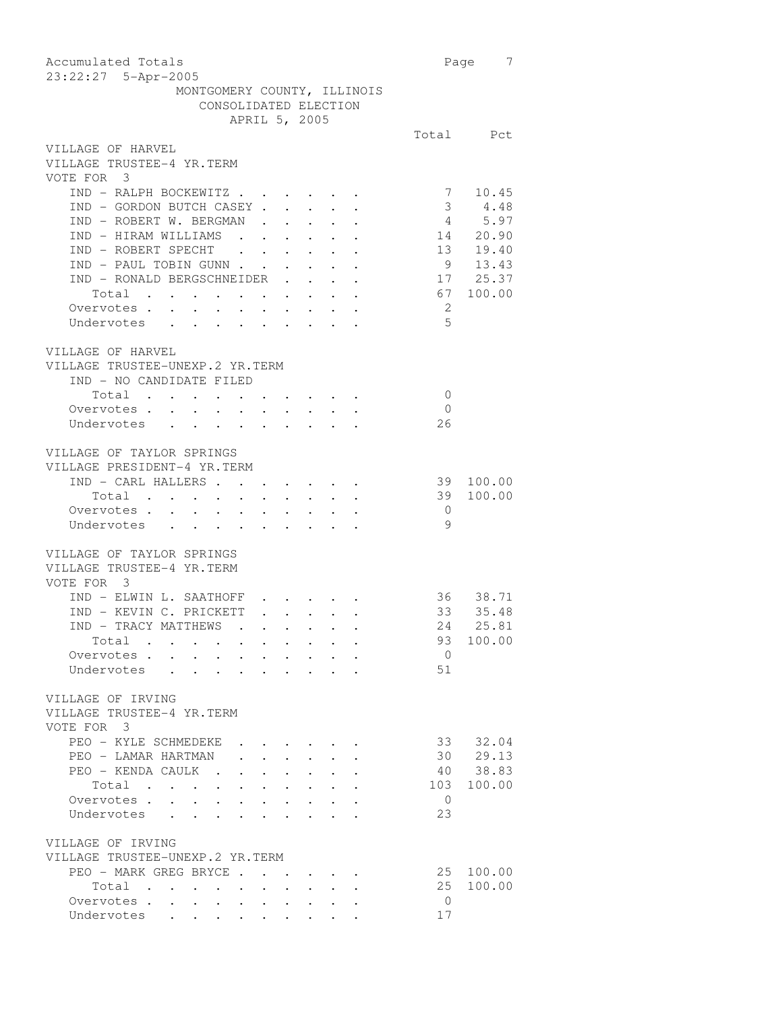| Accumulated Totals<br>23:22:27 5-Apr-2005                                                                         |                            | $\overline{7}$<br>Page                                                |
|-------------------------------------------------------------------------------------------------------------------|----------------------------|-----------------------------------------------------------------------|
| MONTGOMERY COUNTY, ILLINOIS                                                                                       |                            |                                                                       |
| CONSOLIDATED ELECTION                                                                                             |                            |                                                                       |
| APRIL 5, 2005                                                                                                     |                            |                                                                       |
|                                                                                                                   |                            | Total Pct                                                             |
| VILLAGE OF HARVEL                                                                                                 |                            |                                                                       |
| VILLAGE TRUSTEE-4 YR.TERM                                                                                         |                            |                                                                       |
| VOTE FOR 3                                                                                                        |                            |                                                                       |
| IND - RALPH BOCKEWITZ                                                                                             | 7                          | 10.45                                                                 |
| IND - GORDON BUTCH CASEY.<br>$\mathbf{r} = \mathbf{r} \mathbf{r} + \mathbf{r} \mathbf{r} + \mathbf{r} \mathbf{r}$ |                            | 3 4.48                                                                |
| IND - ROBERT W. BERGMAN                                                                                           |                            |                                                                       |
| IND - HIRAM WILLIAMS<br>$\mathcal{L}^{\text{max}}$ , and $\mathcal{L}^{\text{max}}$                               |                            | $\begin{array}{ccc} 4 & 5.97 \\ 14 & 20.90 \\ 13 & 19.40 \end{array}$ |
| IND - ROBERT SPECHT<br>$\mathbf{L}^{\text{max}}$ , $\mathbf{L}^{\text{max}}$<br>$\sim$ $-$<br>$\sim$              |                            |                                                                       |
| IND - PAUL TOBIN GUNN                                                                                             |                            | $9 \t 13.43$                                                          |
| IND - RONALD BERGSCHNEIDER                                                                                        |                            | 17 25.37                                                              |
| Total                                                                                                             |                            | 67 100.00                                                             |
| Overvotes                                                                                                         | $\overline{\phantom{0}}^2$ |                                                                       |
| Undervotes                                                                                                        | 5                          |                                                                       |
|                                                                                                                   |                            |                                                                       |
| VILLAGE OF HARVEL                                                                                                 |                            |                                                                       |
| VILLAGE TRUSTEE-UNEXP.2 YR.TERM                                                                                   |                            |                                                                       |
| IND - NO CANDIDATE FILED                                                                                          |                            |                                                                       |
| Total                                                                                                             | $\overline{0}$             |                                                                       |
| Overvotes.                                                                                                        | $\overline{0}$             |                                                                       |
| Undervotes                                                                                                        | 26                         |                                                                       |
|                                                                                                                   |                            |                                                                       |
| VILLAGE OF TAYLOR SPRINGS                                                                                         |                            |                                                                       |
| VILLAGE PRESIDENT-4 YR.TERM                                                                                       |                            |                                                                       |
| IND - CARL HALLERS                                                                                                | 39                         | 100.00                                                                |
| Total                                                                                                             | 39                         | 100.00                                                                |
| Overvotes .<br>$\sim$<br>$\ddot{\phantom{0}}$<br>$\sim 100$<br>$\bullet$ .<br>$\bullet$ .                         | $\overline{0}$             |                                                                       |
| Undervotes .<br>$\ddot{\phantom{0}}$<br>$\ddot{\phantom{0}}$                                                      | 9                          |                                                                       |
|                                                                                                                   |                            |                                                                       |
| VILLAGE OF TAYLOR SPRINGS                                                                                         |                            |                                                                       |
| VILLAGE TRUSTEE-4 YR.TERM                                                                                         |                            |                                                                       |
| VOTE FOR 3                                                                                                        |                            |                                                                       |
| IND - ELWIN L. SAATHOFF                                                                                           |                            | 36 38.71                                                              |
| IND - KEVIN C. PRICKETT                                                                                           | 33                         | 35.48                                                                 |
| IND - TRACY MATTHEWS .                                                                                            |                            | 24 25.81                                                              |
| Total<br>$\sim 10^{-11}$<br>$\bullet$ , $\bullet$ , $\bullet$ , $\bullet$                                         |                            | 93 100.00                                                             |
| $\mathcal{L}^{\text{max}}$<br>Overvotes<br>$\sim$<br>$\sim$<br>$\mathbf{r} = \mathbf{r} + \mathbf{r}$             | $\overline{0}$             |                                                                       |
| Undervotes                                                                                                        | 51                         |                                                                       |
|                                                                                                                   |                            |                                                                       |
| VILLAGE OF IRVING                                                                                                 |                            |                                                                       |
| VILLAGE TRUSTEE-4 YR.TERM                                                                                         |                            |                                                                       |
| VOTE FOR 3                                                                                                        |                            |                                                                       |
| PEO - KYLE SCHMEDEKE                                                                                              |                            | 33 32.04                                                              |
| PEO - LAMAR HARTMAN                                                                                               | 30                         | 29.13                                                                 |
| PEO - KENDA CAULK.<br>$\ddot{\phantom{0}}$<br>$\ddot{\phantom{a}}$                                                |                            | 40 38.83                                                              |
| Total<br>$\cdot$ $\cdot$ $\cdot$<br>$\mathbf{L} = \mathbf{L} \mathbf{L}$<br>$\sim$                                | 103                        | 100.00                                                                |
| Overvotes.                                                                                                        | $\overline{0}$             |                                                                       |
| Undervotes                                                                                                        | 23                         |                                                                       |
|                                                                                                                   |                            |                                                                       |
| VILLAGE OF IRVING                                                                                                 |                            |                                                                       |
| VILLAGE TRUSTEE-UNEXP.2 YR.TERM                                                                                   |                            |                                                                       |
| PEO - MARK GREG BRYCE<br>$\cdot$ $\cdot$ $\cdot$ $\cdot$                                                          | 25                         | 100.00                                                                |
| Total                                                                                                             | 25                         | 100.00                                                                |
| Overvotes<br>$\ddot{\phantom{0}}$<br>$\sim$                                                                       | $\overline{0}$             |                                                                       |
| $\sim$<br>$\ddot{\phantom{0}}$<br>$\bullet$ .<br>Undervotes                                                       | 17                         |                                                                       |
|                                                                                                                   |                            |                                                                       |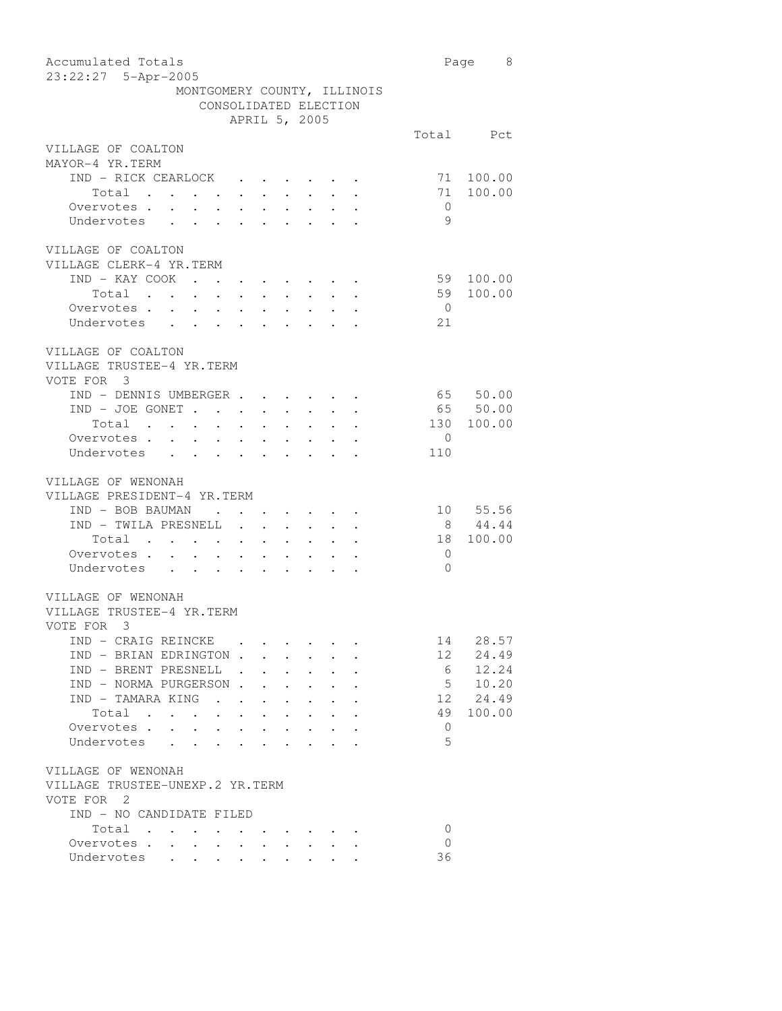| Accumulated Totals                                                                                                                                                                                                                                                                                                                                                                                                                    |                | Page 8    |
|---------------------------------------------------------------------------------------------------------------------------------------------------------------------------------------------------------------------------------------------------------------------------------------------------------------------------------------------------------------------------------------------------------------------------------------|----------------|-----------|
| 23:22:27 5-Apr-2005                                                                                                                                                                                                                                                                                                                                                                                                                   |                |           |
| MONTGOMERY COUNTY, ILLINOIS                                                                                                                                                                                                                                                                                                                                                                                                           |                |           |
| CONSOLIDATED ELECTION                                                                                                                                                                                                                                                                                                                                                                                                                 |                |           |
| APRIL 5, 2005                                                                                                                                                                                                                                                                                                                                                                                                                         |                |           |
|                                                                                                                                                                                                                                                                                                                                                                                                                                       |                | Total Pct |
| VILLAGE OF COALTON                                                                                                                                                                                                                                                                                                                                                                                                                    |                |           |
| MAYOR-4 YR.TERM                                                                                                                                                                                                                                                                                                                                                                                                                       |                |           |
| IND - RICK CEARLOCK .                                                                                                                                                                                                                                                                                                                                                                                                                 | 71             | 100.00    |
| Total<br>Total<br>Overvotes                                                                                                                                                                                                                                                                                                                                                                                                           | 71             | 100.00    |
|                                                                                                                                                                                                                                                                                                                                                                                                                                       | $\overline{0}$ |           |
| Undervotes                                                                                                                                                                                                                                                                                                                                                                                                                            | 9              |           |
| VILLAGE OF COALTON                                                                                                                                                                                                                                                                                                                                                                                                                    |                |           |
| VILLAGE CLERK-4 YR.TERM                                                                                                                                                                                                                                                                                                                                                                                                               |                |           |
| $\begin{tabular}{ccccccccccccccccc} IND & - & KAY & COOK & . & . & . & . & . & . & . & . & . \end{tabular}$                                                                                                                                                                                                                                                                                                                           | 59             | 100.00    |
|                                                                                                                                                                                                                                                                                                                                                                                                                                       | 59             | 100.00    |
| Total<br>Overvotes .                                                                                                                                                                                                                                                                                                                                                                                                                  |                |           |
| $\sim$<br>$\mathcal{L}_{\text{max}}$<br>$\begin{array}{ccc} \cdot & \cdot & \cdot \\ \cdot & \cdot & \cdot \end{array}$<br>$\sim$<br>$\sim$ $-$                                                                                                                                                                                                                                                                                       | $\overline{0}$ |           |
| Undervotes<br>$\mathcal{L}^{\text{max}}$ , where $\mathcal{L}^{\text{max}}$<br>$\cdot$ $\cdot$ $\cdot$ $\cdot$ $\cdot$ $\cdot$                                                                                                                                                                                                                                                                                                        | 21             |           |
| VILLAGE OF COALTON                                                                                                                                                                                                                                                                                                                                                                                                                    |                |           |
| VILLAGE TRUSTEE-4 YR.TERM                                                                                                                                                                                                                                                                                                                                                                                                             |                |           |
| VOTE FOR 3                                                                                                                                                                                                                                                                                                                                                                                                                            |                |           |
| IND - DENNIS UMBERGER                                                                                                                                                                                                                                                                                                                                                                                                                 |                | 65 50.00  |
| $IND - JOE GONET$<br>$\mathbf{a}^{\prime}$ , and $\mathbf{a}^{\prime}$ , and $\mathbf{a}^{\prime}$ , and $\mathbf{a}^{\prime}$<br>$\bullet$ .                                                                                                                                                                                                                                                                                         |                | 65 50.00  |
| Total<br>$\mathbf{L}^{\text{max}}$<br>$\sim$ $-$                                                                                                                                                                                                                                                                                                                                                                                      | 130            | 100.00    |
| Overvotes .<br>$\sim$<br>$\ddot{\phantom{a}}$                                                                                                                                                                                                                                                                                                                                                                                         | $\overline{0}$ |           |
| $\ddot{\phantom{0}}$<br>$\bullet$ .<br>Undervotes                                                                                                                                                                                                                                                                                                                                                                                     | 110            |           |
| $\ddot{\phantom{0}}$<br>$\ddot{\phantom{a}}$<br>$\ddot{\phantom{0}}$                                                                                                                                                                                                                                                                                                                                                                  |                |           |
| VILLAGE OF WENONAH                                                                                                                                                                                                                                                                                                                                                                                                                    |                |           |
| VILLAGE PRESIDENT-4 YR.TERM                                                                                                                                                                                                                                                                                                                                                                                                           |                |           |
| IND - BOB BAUMAN<br>$\sim$<br>$\mathcal{L}(\mathcal{A})$ . The contribution of the contribution of the contribution of the contribution of the contribution of the contribution of the contribution of the contribution of the contribution of the contribution of the                                                                                                                                                                |                | 10 55.56  |
| IND - TWILA PRESNELL                                                                                                                                                                                                                                                                                                                                                                                                                  |                | 8 44.44   |
| Total                                                                                                                                                                                                                                                                                                                                                                                                                                 | 18             | 100.00    |
| Overvotes .<br>$\sim$                                                                                                                                                                                                                                                                                                                                                                                                                 | $\overline{0}$ |           |
| $\mathcal{A}=\mathcal{A}=\mathcal{A}=\mathcal{A}$ .<br>Undervotes                                                                                                                                                                                                                                                                                                                                                                     | $\Omega$       |           |
|                                                                                                                                                                                                                                                                                                                                                                                                                                       |                |           |
| VILLAGE OF WENONAH                                                                                                                                                                                                                                                                                                                                                                                                                    |                |           |
| VILLAGE TRUSTEE-4 YR.TERM                                                                                                                                                                                                                                                                                                                                                                                                             |                |           |
| VOTE FOR 3                                                                                                                                                                                                                                                                                                                                                                                                                            |                |           |
| IND - CRAIG REINCKE                                                                                                                                                                                                                                                                                                                                                                                                                   | 14             | 28.57     |
| IND - BRIAN EDRINGTON.<br>$\bullet$ .                                                                                                                                                                                                                                                                                                                                                                                                 | 12             | 24.49     |
| IND - BRENT PRESNELL.                                                                                                                                                                                                                                                                                                                                                                                                                 | 6              | 12.24     |
| IND - NORMA PURGERSON.                                                                                                                                                                                                                                                                                                                                                                                                                | 5 <sup>5</sup> | 10.20     |
| IND - TAMARA KING<br>$\ddot{\phantom{0}}$                                                                                                                                                                                                                                                                                                                                                                                             | 12             | 24.49     |
| Total<br>$\ddot{\phantom{0}}$<br>$\sim$<br>$\sim$ $\sim$<br>$\sim$                                                                                                                                                                                                                                                                                                                                                                    | 49             | 100.00    |
| Overvotes.                                                                                                                                                                                                                                                                                                                                                                                                                            | $\overline{0}$ |           |
| Undervotes                                                                                                                                                                                                                                                                                                                                                                                                                            | 5              |           |
|                                                                                                                                                                                                                                                                                                                                                                                                                                       |                |           |
| VILLAGE OF WENONAH                                                                                                                                                                                                                                                                                                                                                                                                                    |                |           |
| VILLAGE TRUSTEE-UNEXP.2 YR.TERM                                                                                                                                                                                                                                                                                                                                                                                                       |                |           |
| VOTE FOR 2                                                                                                                                                                                                                                                                                                                                                                                                                            |                |           |
| IND - NO CANDIDATE FILED                                                                                                                                                                                                                                                                                                                                                                                                              |                |           |
| Total<br>$\mathbf{a} = \mathbf{a} + \mathbf{a} + \mathbf{a} + \mathbf{a} + \mathbf{a} + \mathbf{a} + \mathbf{a} + \mathbf{a} + \mathbf{a} + \mathbf{a} + \mathbf{a} + \mathbf{a} + \mathbf{a} + \mathbf{a} + \mathbf{a} + \mathbf{a} + \mathbf{a} + \mathbf{a} + \mathbf{a} + \mathbf{a} + \mathbf{a} + \mathbf{a} + \mathbf{a} + \mathbf{a} + \mathbf{a} + \mathbf{a} + \mathbf{a} + \mathbf{a} + \mathbf{a} + \mathbf{a} + \mathbf$ | $\mathbf{0}$   |           |
| Overvotes.                                                                                                                                                                                                                                                                                                                                                                                                                            | $\Omega$       |           |
| Undervotes                                                                                                                                                                                                                                                                                                                                                                                                                            | 36             |           |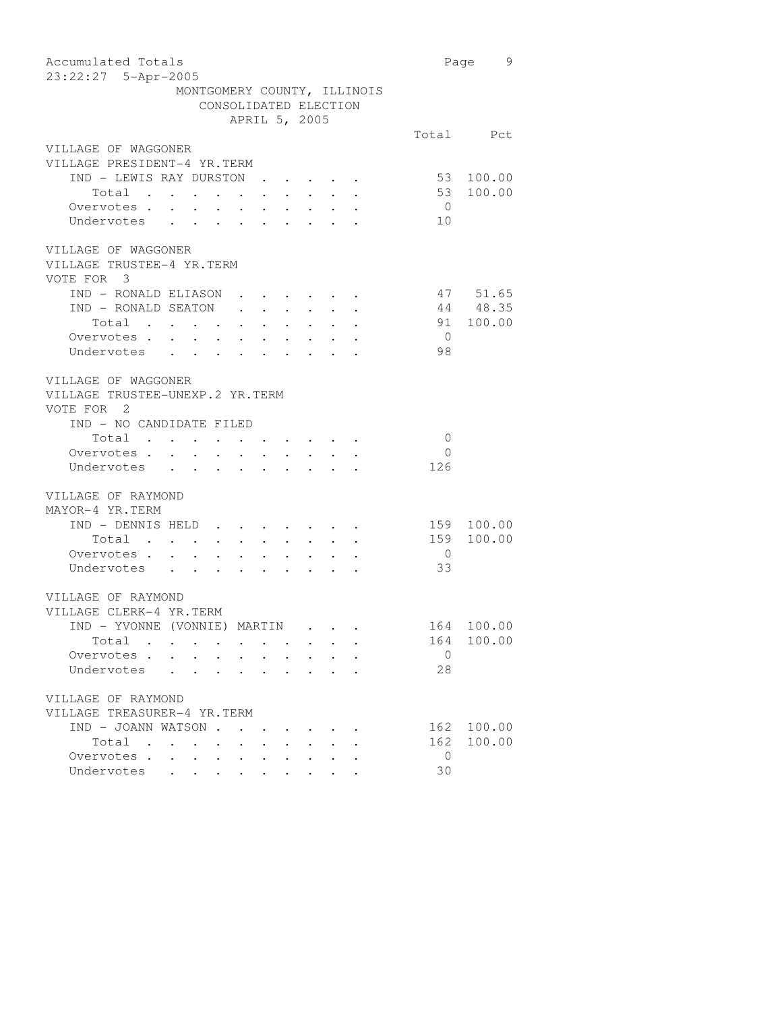| Accumulated Totals                 |                                     |                                                                 |        |                                                      |                       |                                                                     |                | Page 9     |
|------------------------------------|-------------------------------------|-----------------------------------------------------------------|--------|------------------------------------------------------|-----------------------|---------------------------------------------------------------------|----------------|------------|
| 23:22:27 5-Apr-2005                |                                     |                                                                 |        |                                                      |                       |                                                                     |                |            |
|                                    | MONTGOMERY COUNTY, ILLINOIS         |                                                                 |        |                                                      |                       |                                                                     |                |            |
|                                    |                                     |                                                                 |        |                                                      | CONSOLIDATED ELECTION |                                                                     |                |            |
|                                    |                                     |                                                                 |        |                                                      | APRIL 5, 2005         |                                                                     |                |            |
|                                    |                                     |                                                                 |        |                                                      |                       |                                                                     |                | Total Pct  |
| VILLAGE OF WAGGONER                |                                     |                                                                 |        |                                                      |                       |                                                                     |                |            |
| VILLAGE PRESIDENT-4 YR.TERM        |                                     |                                                                 |        |                                                      |                       |                                                                     |                |            |
| IND - LEWIS RAY DURSTON.           |                                     |                                                                 |        |                                                      |                       |                                                                     |                | 53 100.00  |
| Total                              |                                     |                                                                 |        |                                                      |                       |                                                                     | 53             | 100.00     |
|                                    |                                     |                                                                 |        |                                                      |                       |                                                                     | $\overline{0}$ |            |
| Total<br>Overvotes<br>Undervotes   |                                     |                                                                 |        |                                                      |                       |                                                                     | 10             |            |
| VILLAGE OF WAGGONER                |                                     |                                                                 |        |                                                      |                       |                                                                     |                |            |
| VILLAGE TRUSTEE-4 YR.TERM          |                                     |                                                                 |        |                                                      |                       |                                                                     |                |            |
| VOTE FOR 3                         |                                     |                                                                 |        |                                                      |                       |                                                                     |                |            |
| IND - RONALD ELIASON               |                                     |                                                                 |        |                                                      |                       |                                                                     |                | 47 51.65   |
| IND - RONALD SEATON                |                                     |                                                                 |        |                                                      |                       |                                                                     |                | 44 48.35   |
| Total $\cdots$                     |                                     |                                                                 |        |                                                      |                       |                                                                     |                | 91 100.00  |
|                                    |                                     |                                                                 |        |                                                      |                       |                                                                     | $\overline{0}$ |            |
| Total<br>Overvotes<br>Undervotes   |                                     |                                                                 |        |                                                      |                       |                                                                     | 98             |            |
|                                    |                                     |                                                                 |        |                                                      |                       |                                                                     |                |            |
| VILLAGE OF WAGGONER                |                                     |                                                                 |        |                                                      |                       |                                                                     |                |            |
| VILLAGE TRUSTEE-UNEXP.2 YR.TERM    |                                     |                                                                 |        |                                                      |                       |                                                                     |                |            |
| VOTE FOR 2                         |                                     |                                                                 |        |                                                      |                       |                                                                     |                |            |
| IND - NO CANDIDATE FILED           |                                     |                                                                 |        |                                                      |                       |                                                                     |                |            |
| Total .                            |                                     |                                                                 |        |                                                      |                       |                                                                     | $\overline{0}$ |            |
| Overvotes .<br>$\sim$              | $\sim$ $-$                          | $\bullet$ .                                                     | $\sim$ |                                                      |                       |                                                                     | $\overline{0}$ |            |
| Undervotes<br>$\ddot{\phantom{0}}$ | $\sim$                              | $\ddot{\phantom{0}}$                                            | $\sim$ | $\sim$                                               |                       |                                                                     | 126            |            |
|                                    |                                     |                                                                 |        |                                                      |                       |                                                                     |                |            |
| VILLAGE OF RAYMOND                 |                                     |                                                                 |        |                                                      |                       |                                                                     |                |            |
| MAYOR-4 YR.TERM                    |                                     |                                                                 |        |                                                      |                       |                                                                     |                |            |
| IND - DENNIS HELD                  |                                     |                                                                 |        |                                                      |                       |                                                                     |                | 159 100.00 |
| Total $\cdot$                      |                                     |                                                                 |        |                                                      |                       |                                                                     | 159            | 100.00     |
| Overvotes                          |                                     |                                                                 |        |                                                      |                       |                                                                     | $\overline{0}$ |            |
| Undervotes                         |                                     |                                                                 |        |                                                      |                       |                                                                     | 33             |            |
|                                    |                                     |                                                                 |        |                                                      |                       |                                                                     |                |            |
| VILLAGE OF RAYMOND                 |                                     |                                                                 |        |                                                      |                       |                                                                     |                |            |
| VILLAGE CLERK-4 YR.TERM            |                                     |                                                                 |        |                                                      |                       |                                                                     |                |            |
| IND – YVONNE (VONNIE) MARTIN       |                                     |                                                                 |        |                                                      |                       |                                                                     |                | 164 100.00 |
| Total                              |                                     | $\bullet$ .<br><br><br><br><br><br><br><br><br><br><br><br><br> |        |                                                      |                       |                                                                     | 164            | 100.00     |
| Overvotes .                        | $\bullet$ . In the set of $\bullet$ | $\bullet$ .                                                     |        |                                                      |                       |                                                                     | $\mathbf{0}$   |            |
| Undervotes                         |                                     |                                                                 |        |                                                      |                       |                                                                     | 28             |            |
|                                    |                                     |                                                                 |        |                                                      |                       |                                                                     |                |            |
| VILLAGE OF RAYMOND                 |                                     |                                                                 |        |                                                      |                       |                                                                     |                |            |
| VILLAGE TREASURER-4 YR.TERM        |                                     |                                                                 |        |                                                      |                       |                                                                     |                |            |
| IND - JOANN WATSON                 |                                     |                                                                 |        |                                                      |                       |                                                                     | 162            | 100.00     |
| Total                              |                                     |                                                                 |        |                                                      |                       |                                                                     | 162            | 100.00     |
| Overvotes                          |                                     | $\ddot{\phantom{0}}$                                            |        | $\bullet$ . In the case of the case of the $\bullet$ |                       | $\bullet$ .<br><br><br><br><br><br><br><br><br><br><br><br><br><br> | $\circ$        |            |
| Undervotes                         |                                     |                                                                 |        |                                                      | $\sim$ $\sim$         |                                                                     | 30             |            |
|                                    |                                     |                                                                 |        |                                                      |                       |                                                                     |                |            |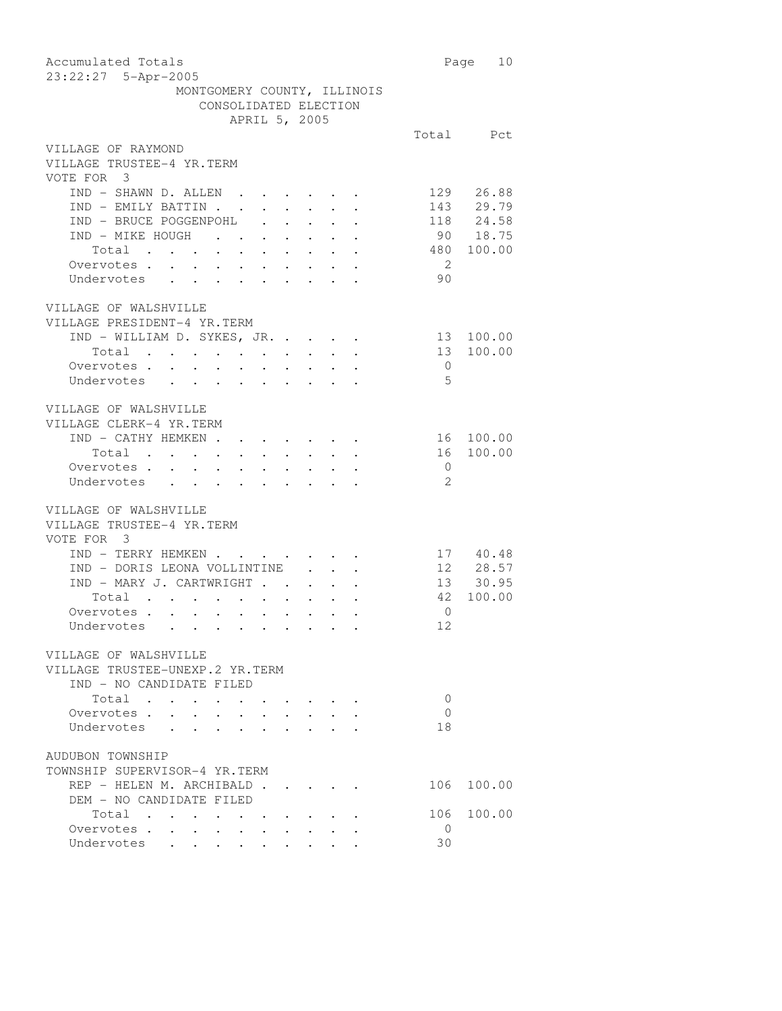| Accumulated Totals<br>23:22:27 5-Apr-2005                                                                                                                                                     |                | Page 10            |
|-----------------------------------------------------------------------------------------------------------------------------------------------------------------------------------------------|----------------|--------------------|
| MONTGOMERY COUNTY, ILLINOIS                                                                                                                                                                   |                |                    |
| CONSOLIDATED ELECTION                                                                                                                                                                         |                |                    |
| APRIL 5, 2005                                                                                                                                                                                 |                |                    |
|                                                                                                                                                                                               |                | Total Pct          |
| VILLAGE OF RAYMOND                                                                                                                                                                            |                |                    |
| VILLAGE TRUSTEE-4 YR.TERM<br>VOTE FOR 3                                                                                                                                                       |                |                    |
| IND - SHAWN D. ALLEN                                                                                                                                                                          |                | 129 26.88          |
|                                                                                                                                                                                               | 143            |                    |
| IND - EMILY BATTIN<br>IND - BRUCE POGGENPOHL                                                                                                                                                  |                | 29.79<br>118 24.58 |
| IND - MIKE HOUGH                                                                                                                                                                              |                | 90 18.75           |
|                                                                                                                                                                                               |                |                    |
| Total                                                                                                                                                                                         | 480            | 100.00             |
| Overvotes                                                                                                                                                                                     | $\overline{2}$ |                    |
| Undervotes                                                                                                                                                                                    | 90             |                    |
|                                                                                                                                                                                               |                |                    |
| VILLAGE OF WALSHVILLE<br>VILLAGE PRESIDENT-4 YR.TERM                                                                                                                                          |                |                    |
|                                                                                                                                                                                               |                |                    |
| IND - WILLIAM D. SYKES, JR.                                                                                                                                                                   | 13             | 100.00             |
| Total<br>Overvotes                                                                                                                                                                            | 13             | 100.00             |
|                                                                                                                                                                                               | $\overline{0}$ |                    |
| Undervotes                                                                                                                                                                                    | $-5$           |                    |
| VILLAGE OF WALSHVILLE                                                                                                                                                                         |                |                    |
| VILLAGE CLERK-4 YR.TERM                                                                                                                                                                       |                |                    |
|                                                                                                                                                                                               |                |                    |
| IND - CATHY HEMKEN                                                                                                                                                                            |                | 16 100.00          |
| Total $\cdots$ $\cdots$ $\cdots$ $\cdots$                                                                                                                                                     | 16             | 100.00             |
| $\begin{array}{ccccccccc}\n\text{overvotes} & \cdot & \cdot & \cdot & \cdot & \cdot\\ \n\text{Undervotes} & \cdot & \cdot & \cdot & \cdot\\ \n\end{array}$<br>$\epsilon = \epsilon_{\rm eff}$ | $\overline{0}$ |                    |
|                                                                                                                                                                                               | -2             |                    |
| VILLAGE OF WALSHVILLE                                                                                                                                                                         |                |                    |
| VILLAGE TRUSTEE-4 YR.TERM                                                                                                                                                                     |                |                    |
|                                                                                                                                                                                               |                |                    |
| VOTE FOR 3                                                                                                                                                                                    |                |                    |
| IND - TERRY HEMKEN                                                                                                                                                                            |                | 17 40.48           |
| IND - DORIS LEONA VOLLINTINE                                                                                                                                                                  |                | $12 \t 28.57$      |
| IND - MARY J. CARTWRIGHT                                                                                                                                                                      |                | 13 30.95           |
| Total<br>Total<br>Overvotes<br>$\bullet$ .                                                                                                                                                    | 42             | 100.00             |
|                                                                                                                                                                                               | $\mathbf{0}$   |                    |
| Undervotes .                                                                                                                                                                                  | 12             |                    |
|                                                                                                                                                                                               |                |                    |
| VILLAGE OF WALSHVILLE                                                                                                                                                                         |                |                    |
| VILLAGE TRUSTEE-UNEXP.2 YR.TERM                                                                                                                                                               |                |                    |
| IND - NO CANDIDATE FILED                                                                                                                                                                      |                |                    |
| Total                                                                                                                                                                                         | $\overline{0}$ |                    |
| Overvotes.                                                                                                                                                                                    | 0              |                    |
| Undervotes .                                                                                                                                                                                  | 18             |                    |
| AUDUBON TOWNSHIP                                                                                                                                                                              |                |                    |
| TOWNSHIP SUPERVISOR-4 YR.TERM                                                                                                                                                                 |                |                    |
|                                                                                                                                                                                               |                |                    |
| REP - HELEN M. ARCHIBALD                                                                                                                                                                      | 106            | 100.00             |
| DEM - NO CANDIDATE FILED                                                                                                                                                                      |                |                    |
| Total                                                                                                                                                                                         | 106            | 100.00             |
| Overvotes                                                                                                                                                                                     | $\overline{0}$ |                    |
| Undervotes<br>$\bullet$ .<br>$\bullet$ .                                                                                                                                                      | 30             |                    |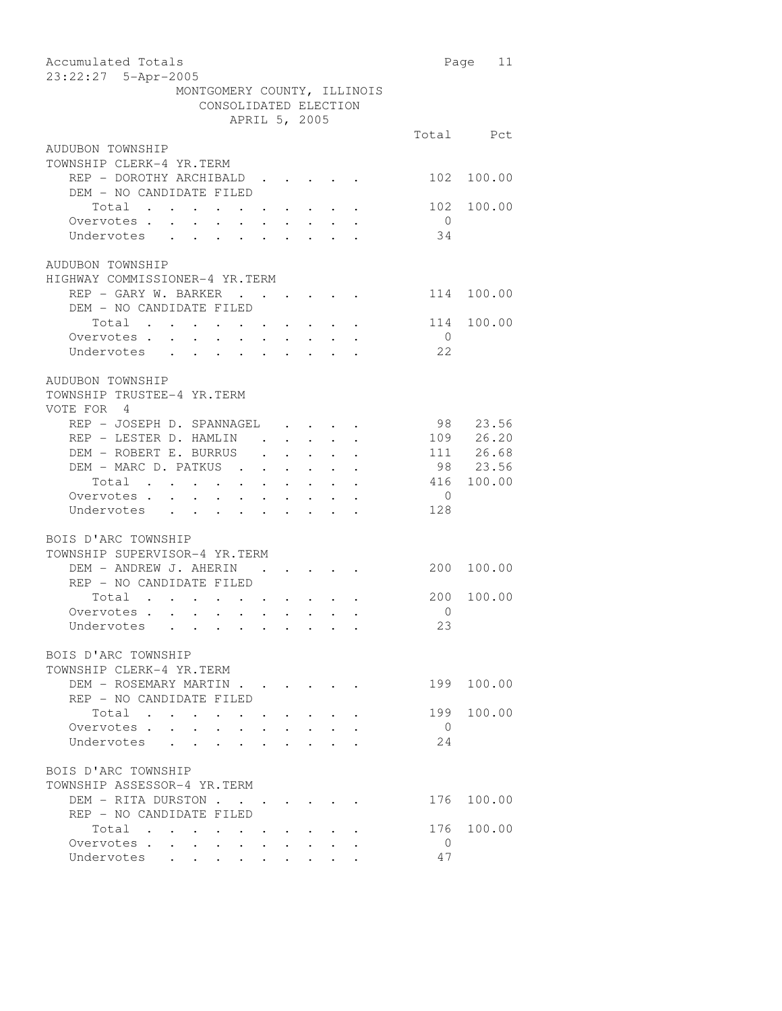| Accumulated Totals<br>23:22:27 5-Apr-2005                                                                                                                    |                | Page 11               |
|--------------------------------------------------------------------------------------------------------------------------------------------------------------|----------------|-----------------------|
| MONTGOMERY COUNTY, ILLINOIS                                                                                                                                  |                |                       |
| CONSOLIDATED ELECTION                                                                                                                                        |                |                       |
| APRIL 5, 2005                                                                                                                                                |                |                       |
|                                                                                                                                                              |                | Total Pct             |
|                                                                                                                                                              |                |                       |
| AUDUBON TOWNSHIP                                                                                                                                             |                |                       |
| TOWNSHIP CLERK-4 YR.TERM                                                                                                                                     |                |                       |
| REP - DOROTHY ARCHIBALD                                                                                                                                      | 102            | 100.00                |
| DEM - NO CANDIDATE FILED                                                                                                                                     |                |                       |
| Total<br>$\mathbf{r} = \mathbf{r} \times \mathbf{r}$ , where $\mathbf{r} = \mathbf{r} \times \mathbf{r}$ , where $\mathbf{r} = \mathbf{r} \times \mathbf{r}$ | 102            | 100.00                |
| Overvotes<br>Undervotes                                                                                                                                      | $\overline{0}$ |                       |
|                                                                                                                                                              | 34             |                       |
|                                                                                                                                                              |                |                       |
| AUDUBON TOWNSHIP                                                                                                                                             |                |                       |
| HIGHWAY COMMISSIONER-4 YR.TERM                                                                                                                               |                |                       |
| REP - GARY W. BARKER                                                                                                                                         | 114 100.00     |                       |
| DEM - NO CANDIDATE FILED                                                                                                                                     |                |                       |
|                                                                                                                                                              |                |                       |
| Total $\cdots$ $\cdots$ $\cdots$ $\cdots$                                                                                                                    | 114            | 100.00                |
| Overvotes<br>Undervotes                                                                                                                                      | $\overline{0}$ |                       |
|                                                                                                                                                              | 22             |                       |
|                                                                                                                                                              |                |                       |
| AUDUBON TOWNSHIP                                                                                                                                             |                |                       |
| TOWNSHIP TRUSTEE-4 YR.TERM                                                                                                                                   |                |                       |
| VOTE FOR 4                                                                                                                                                   |                |                       |
| REP - JOSEPH D. SPANNAGEL                                                                                                                                    |                | 98 23.56              |
| REP - LESTER D. HAMLIN                                                                                                                                       |                | 109 26.20             |
| DEM - ROBERT E. BURRUS                                                                                                                                       |                |                       |
| $\mathbf{r} = \mathbf{r} \times \mathbf{r}$ , $\mathbf{r} = \mathbf{r} \times \mathbf{r}$                                                                    |                | 111 26.68<br>98 23.56 |
| DEM – MARC D. PATKUS<br>Total<br>Overvotes                                                                                                                   | 416            |                       |
|                                                                                                                                                              | $\overline{0}$ | 100.00                |
|                                                                                                                                                              |                |                       |
| Undervotes                                                                                                                                                   | 128            |                       |
|                                                                                                                                                              |                |                       |
| BOIS D'ARC TOWNSHIP                                                                                                                                          |                |                       |
| TOWNSHIP SUPERVISOR-4 YR.TERM                                                                                                                                |                |                       |
| DEM - ANDREW J. AHERIN<br>$\mathbf{1}=\mathbf{1}=\mathbf{1}=\mathbf{1}=\mathbf{1}=\mathbf{1}=\mathbf{1}$                                                     | 200            | 100.00                |
| REP - NO CANDIDATE FILED                                                                                                                                     |                |                       |
| Total<br>$\mathbf{z} = \mathbf{z} + \mathbf{z} + \mathbf{z} + \mathbf{z} + \mathbf{z} + \mathbf{z}$                                                          | 200            | 100.00                |
| Overvotes                                                                                                                                                    | 0              |                       |
| Undervotes .                                                                                                                                                 | 23             |                       |
|                                                                                                                                                              |                |                       |
| BOIS D'ARC TOWNSHIP                                                                                                                                          |                |                       |
|                                                                                                                                                              |                |                       |
| TOWNSHIP CLERK-4 YR.TERM                                                                                                                                     |                |                       |
| DEM - ROSEMARY MARTIN                                                                                                                                        |                | 199 100.00            |
| REP - NO CANDIDATE FILED                                                                                                                                     |                |                       |
| Total                                                                                                                                                        | 199            | 100.00                |
| Overvotes.<br>$\ddot{\phantom{0}}$                                                                                                                           | $\overline{0}$ |                       |
| Undervotes<br>$\ddot{\phantom{0}}$                                                                                                                           | 24             |                       |
|                                                                                                                                                              |                |                       |
| BOIS D'ARC TOWNSHIP                                                                                                                                          |                |                       |
| TOWNSHIP ASSESSOR-4 YR.TERM                                                                                                                                  |                |                       |
| DEM - RITA DURSTON                                                                                                                                           | 176            | 100.00                |
| REP - NO CANDIDATE FILED                                                                                                                                     |                |                       |
| Total                                                                                                                                                        |                | 176 100.00            |
| Overvotes .                                                                                                                                                  | $\overline{0}$ |                       |
| $\sim$<br>$\sim$                                                                                                                                             |                |                       |
| Undervotes                                                                                                                                                   | 47             |                       |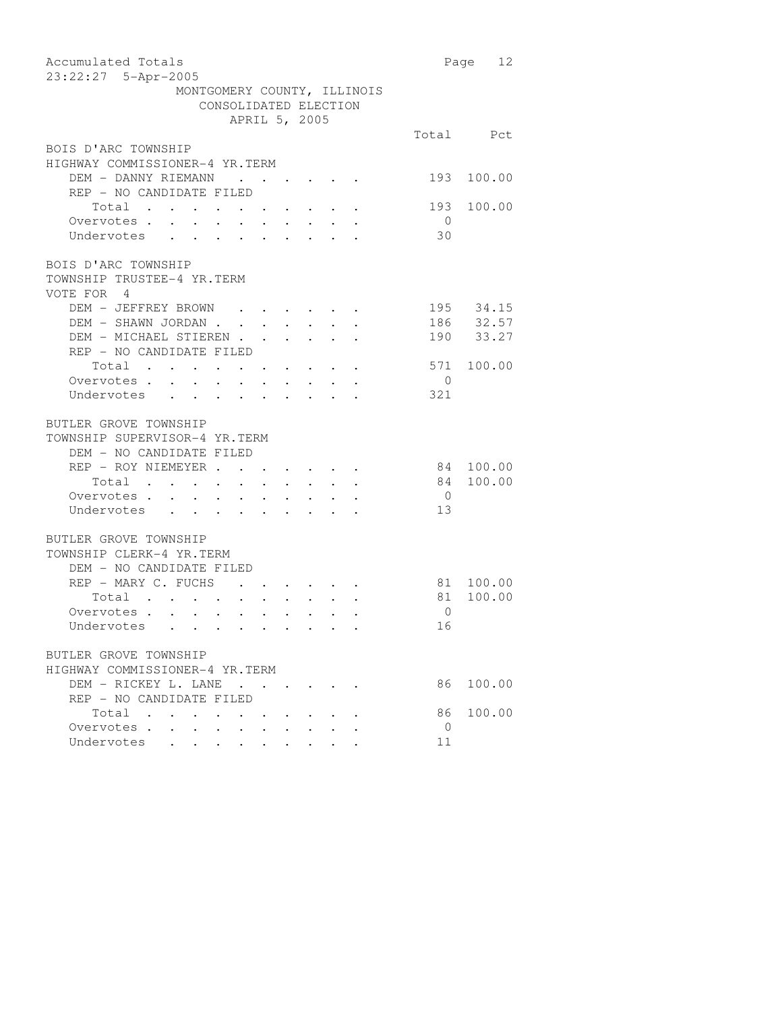| Accumulated Totals                                              |                | Page 12    |
|-----------------------------------------------------------------|----------------|------------|
| 23:22:27 5-Apr-2005                                             |                |            |
| MONTGOMERY COUNTY, ILLINOIS                                     |                |            |
| CONSOLIDATED ELECTION                                           |                |            |
| APRIL 5, 2005                                                   |                |            |
|                                                                 |                | Total Pct  |
| BOIS D'ARC TOWNSHIP                                             |                |            |
| HIGHWAY COMMISSIONER-4 YR.TERM                                  |                |            |
| DEM - DANNY RIEMANN .                                           |                | 193 100.00 |
| REP - NO CANDIDATE FILED                                        |                |            |
| Total                                                           | 193            | 100.00     |
| Overvotes                                                       | $\overline{0}$ |            |
| Undervotes                                                      | 30             |            |
|                                                                 |                |            |
| BOIS D'ARC TOWNSHIP                                             |                |            |
| TOWNSHIP TRUSTEE-4 YR.TERM                                      |                |            |
| VOTE FOR 4                                                      |                |            |
| DEM - JEFFREY BROWN                                             |                | 195 34.15  |
|                                                                 |                | 186 32.57  |
| DEM - SHAWN JORDAN<br>DEM - MICHAEL STIEREN                     |                | 190 33.27  |
| REP - NO CANDIDATE FILED                                        |                |            |
| Total                                                           |                | 571 100.00 |
| Overvotes.                                                      | $\overline{0}$ |            |
| Undervotes                                                      | 321            |            |
|                                                                 |                |            |
| BUTLER GROVE TOWNSHIP                                           |                |            |
| TOWNSHIP SUPERVISOR-4 YR.TERM                                   |                |            |
| DEM - NO CANDIDATE FILED                                        |                |            |
| REP - ROY NIEMEYER                                              |                | 84 100.00  |
| Total                                                           | 84             | 100.00     |
| Overvotes.                                                      | $\overline{0}$ |            |
| Undervotes                                                      | 13             |            |
|                                                                 |                |            |
| BUTLER GROVE TOWNSHIP                                           |                |            |
| TOWNSHIP CLERK-4 YR.TERM                                        |                |            |
| DEM - NO CANDIDATE FILED                                        |                |            |
| REP - MARY C. FUCHS                                             |                | 81 100.00  |
| Total                                                           | 81             | 100.00     |
| Overvotes                                                       | $\overline{0}$ |            |
| Undervotes                                                      | 16             |            |
|                                                                 |                |            |
| BUTLER GROVE TOWNSHIP                                           |                |            |
| HIGHWAY COMMISSIONER-4 YR.TERM                                  |                |            |
| DEM - RICKEY L. LANE<br>$\cdot$ $\cdot$ $\cdot$ $\cdot$ $\cdot$ | 86             | 100.00     |
| REP - NO CANDIDATE FILED                                        |                |            |
| Total                                                           | 86             | 100.00     |
| Overvotes<br>$\ddot{\phantom{0}}$                               | $\overline{0}$ |            |
| Undervotes                                                      | 11             |            |
|                                                                 |                |            |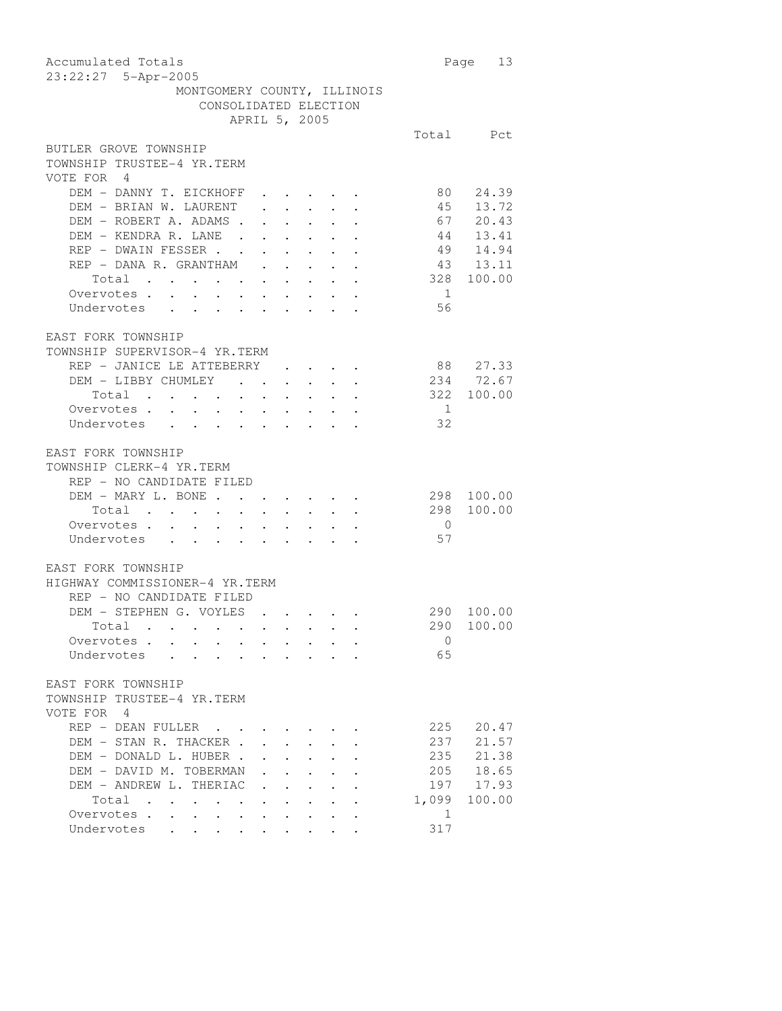| Accumulated Totals<br>23:22:27 5-Apr-2005                                                                                                                              |                | Page 13                  |
|------------------------------------------------------------------------------------------------------------------------------------------------------------------------|----------------|--------------------------|
| MONTGOMERY COUNTY, ILLINOIS<br>CONSOLIDATED ELECTION                                                                                                                   |                |                          |
| APRIL 5, 2005                                                                                                                                                          |                |                          |
|                                                                                                                                                                        |                | Total Pct                |
| BUTLER GROVE TOWNSHIP<br>TOWNSHIP TRUSTEE-4 YR.TERM<br>VOTE FOR 4                                                                                                      |                |                          |
| DEM - DANNY T. EICKHOFF<br>$\cdot$ $\cdot$ $\cdot$ $\cdot$ $\cdot$ $\cdot$ $\cdot$<br>DEM - BRIAN W. LAURENT<br>$\epsilon = \epsilon - \epsilon = \epsilon - \epsilon$ |                | 80 24.39                 |
|                                                                                                                                                                        |                | 45 13.72<br>67 20.43     |
| DEM – ROBERT A. ADAMS<br>DEM – KENDRA R. LANE                                                                                                                          |                | 44 13.41                 |
| $\ddot{\phantom{a}}$<br>REP - DWAIN FESSER                                                                                                                             |                | 49 14.94                 |
| REP - DANA R. GRANTHAM                                                                                                                                                 | 43 13.11       |                          |
| Total                                                                                                                                                                  | 328            | 100.00                   |
| Overvotes.                                                                                                                                                             | $\overline{1}$ |                          |
| Undervotes                                                                                                                                                             | 56             |                          |
| EAST FORK TOWNSHIP<br>TOWNSHIP SUPERVISOR-4 YR.TERM                                                                                                                    |                |                          |
| REP - JANICE LE ATTEBERRY                                                                                                                                              | 88 27.33       |                          |
| DEM - LIBBY CHUMLEY                                                                                                                                                    |                | 234 72.67                |
| Total                                                                                                                                                                  | 322 100.00     |                          |
| Overvotes.                                                                                                                                                             | $\overline{1}$ |                          |
| Undervotes                                                                                                                                                             | 32             |                          |
| EAST FORK TOWNSHIP<br>TOWNSHIP CLERK-4 YR.TERM<br>REP - NO CANDIDATE FILED<br>DEM - MARY L. BONE                                                                       | 298            | 100.00                   |
| Total                                                                                                                                                                  |                | 298 100.00               |
| Overvotes.                                                                                                                                                             | $\overline{0}$ |                          |
| Undervotes                                                                                                                                                             | 57             |                          |
| EAST FORK TOWNSHIP<br>HIGHWAY COMMISSIONER-4 YR.TERM<br>REP - NO CANDIDATE FILED                                                                                       |                |                          |
| DEM - STEPHEN G. VOYLES                                                                                                                                                |                | 290 100.00<br>290 100.00 |
| . Total<br>Overvotes.                                                                                                                                                  | $\circ$        |                          |
| Undervotes<br>$\mathbf{r}$ , $\mathbf{r}$ , $\mathbf{r}$ , $\mathbf{r}$ , $\mathbf{r}$ , $\mathbf{r}$ , $\mathbf{r}$                                                   | 65             |                          |
|                                                                                                                                                                        |                |                          |
| EAST FORK TOWNSHIP<br>TOWNSHIP TRUSTEE-4 YR.TERM<br>VOTE FOR 4                                                                                                         |                |                          |
| $REF$ - DEAN FULLER                                                                                                                                                    | 225            | 20.47                    |
| DEM - STAN R. THACKER.                                                                                                                                                 | 237            | 21.57                    |
| DEM - DONALD L. HUBER.                                                                                                                                                 | 235            | 21.38                    |
| DEM - DAVID M. TOBERMAN                                                                                                                                                | 205            | 18.65                    |
| DEM - ANDREW L. THERIAC<br>$\mathbf{r} = \mathbf{r}$                                                                                                                   |                | 197 17.93                |
| Total<br>$\mathcal{L}(\mathcal{A})$ . The contribution of the contribution of $\mathcal{A}$<br>$\ddotsc$ . The contract of $\ddotsc$                                   | 1,099          | 100.00                   |
| Overvotes<br>$\mathbf{z} = \mathbf{z} + \mathbf{z} + \mathbf{z}$<br>Undervotes                                                                                         | 1<br>317       |                          |
|                                                                                                                                                                        |                |                          |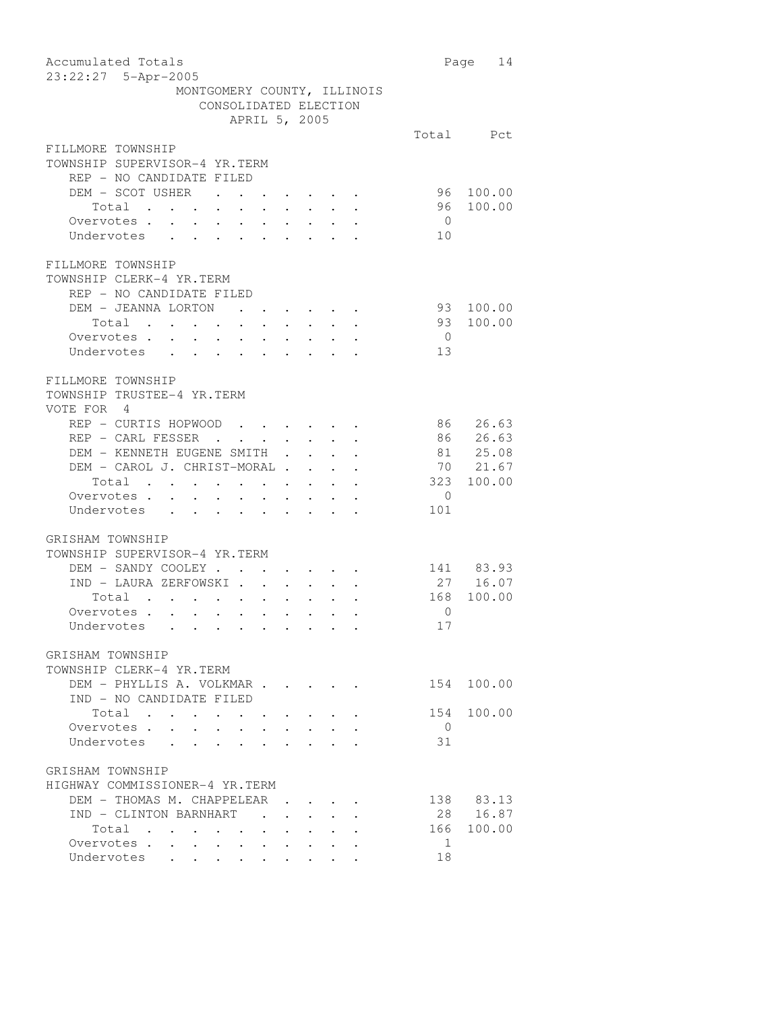| Accumulated Totals<br>23:22:27 5-Apr-2005                                                                                                                               |                       | Page 14   |
|-------------------------------------------------------------------------------------------------------------------------------------------------------------------------|-----------------------|-----------|
| MONTGOMERY COUNTY, ILLINOIS                                                                                                                                             |                       |           |
| CONSOLIDATED ELECTION                                                                                                                                                   |                       |           |
| APRIL 5, 2005                                                                                                                                                           |                       |           |
|                                                                                                                                                                         |                       | Total Pct |
| FILLMORE TOWNSHIP<br>TOWNSHIP SUPERVISOR-4 YR.TERM                                                                                                                      |                       |           |
| REP - NO CANDIDATE FILED                                                                                                                                                |                       |           |
| DEM - SCOT USHER<br>$\mathbf{a} = \mathbf{a} + \mathbf{a} + \mathbf{a} + \mathbf{a} + \mathbf{a} + \mathbf{a} + \mathbf{a} + \mathbf{a}$                                | 96                    | 100.00    |
| Total                                                                                                                                                                   | 96                    | 100.00    |
| Overvotes .<br>$\sim$<br>$\sim$<br>$\mathbf{r} = \left\{ \mathbf{r}_1, \ldots, \mathbf{r}_n \right\}$                                                                   | $\overline{0}$        |           |
| Undervotes<br>$\mathbf{L}$<br>$\ddot{\phantom{0}}$                                                                                                                      | 10                    |           |
| FILLMORE TOWNSHIP<br>TOWNSHIP CLERK-4 YR.TERM<br>REP - NO CANDIDATE FILED                                                                                               |                       |           |
| DEM - JEANNA LORTON<br>$\mathbf{r} = \mathbf{r} \cdot \mathbf{r}$ , where $\mathbf{r} = \mathbf{r} \cdot \mathbf{r}$ , where $\mathbf{r} = \mathbf{r} \cdot \mathbf{r}$ | 93                    | 100.00    |
| Total                                                                                                                                                                   | 93                    | 100.00    |
| Overvotes .<br>$\mathcal{A}^{\mathcal{A}}$ . As a set of the set of the set of the $\mathcal{A}^{\mathcal{A}}$                                                          | $\overline{0}$        |           |
| Undervotes<br>$\sim$                                                                                                                                                    | 13                    |           |
| FILLMORE TOWNSHIP<br>TOWNSHIP TRUSTEE-4 YR.TERM<br>VOTE FOR 4                                                                                                           |                       |           |
| REP - CURTIS HOPWOOD                                                                                                                                                    |                       | 86 26.63  |
| REP - CARL FESSER<br>and the contract of the contract of<br>$\sim$                                                                                                      |                       | 86 26.63  |
| DEM - KENNETH EUGENE SMITH<br>$\mathcal{A}^{\mathcal{A}}$ , and $\mathcal{A}^{\mathcal{A}}$ , and $\mathcal{A}^{\mathcal{A}}$<br>$\ddot{\phantom{0}}$                   |                       | 81 25.08  |
| DEM - CAROL J. CHRIST-MORAL                                                                                                                                             |                       | 70 21.67  |
| Total                                                                                                                                                                   | 323                   | 100.00    |
| Overvotes.<br>$\bullet$<br>$\ddot{\phantom{a}}$<br>$\ddot{\phantom{0}}$<br>$\sim$                                                                                       | $\overline{0}$        |           |
| Undervotes .<br>$\sim$<br>$\cdot$ $\cdot$ $\cdot$ $\cdot$ $\cdot$                                                                                                       | 101                   |           |
| GRISHAM TOWNSHIP<br>TOWNSHIP SUPERVISOR-4 YR.TERM                                                                                                                       |                       |           |
| DEM - SANDY COOLEY.                                                                                                                                                     |                       | 141 83.93 |
| IND - LAURA ZERFOWSKI                                                                                                                                                   |                       | 27 16.07  |
| Total                                                                                                                                                                   | 168                   | 100.00    |
| Overvotes.<br>$\begin{array}{cccccccccccccc} \bullet & \bullet & \bullet & \bullet & \bullet & \bullet & \bullet & \bullet \end{array}$                                 | 0                     |           |
| Undervotes                                                                                                                                                              | 17                    |           |
|                                                                                                                                                                         |                       |           |
| GRISHAM TOWNSHIP<br>TOWNSHIP CLERK-4 YR.TERM                                                                                                                            |                       |           |
| DEM - PHYLLIS A. VOLKMAR<br>IND - NO CANDIDATE FILED                                                                                                                    | 154                   | 100.00    |
| Total<br>Overvotes.                                                                                                                                                     | 154<br>$\overline{0}$ | 100.00    |
| Undervotes                                                                                                                                                              | 31                    |           |
|                                                                                                                                                                         |                       |           |
| GRISHAM TOWNSHIP<br>HIGHWAY COMMISSIONER-4 YR.TERM<br>DEM - THOMAS M. CHAPPELEAR                                                                                        |                       | 138 83.13 |
| IND - CLINTON BARNHART                                                                                                                                                  | 28                    | 16.87     |
| Total .<br>$\sim$ 100 $\pm$                                                                                                                                             | 166                   | 100.00    |
| Overvotes<br>$\ddot{\phantom{0}}$<br>$\bullet$ .                                                                                                                        | 1                     |           |
| Undervotes                                                                                                                                                              | 18                    |           |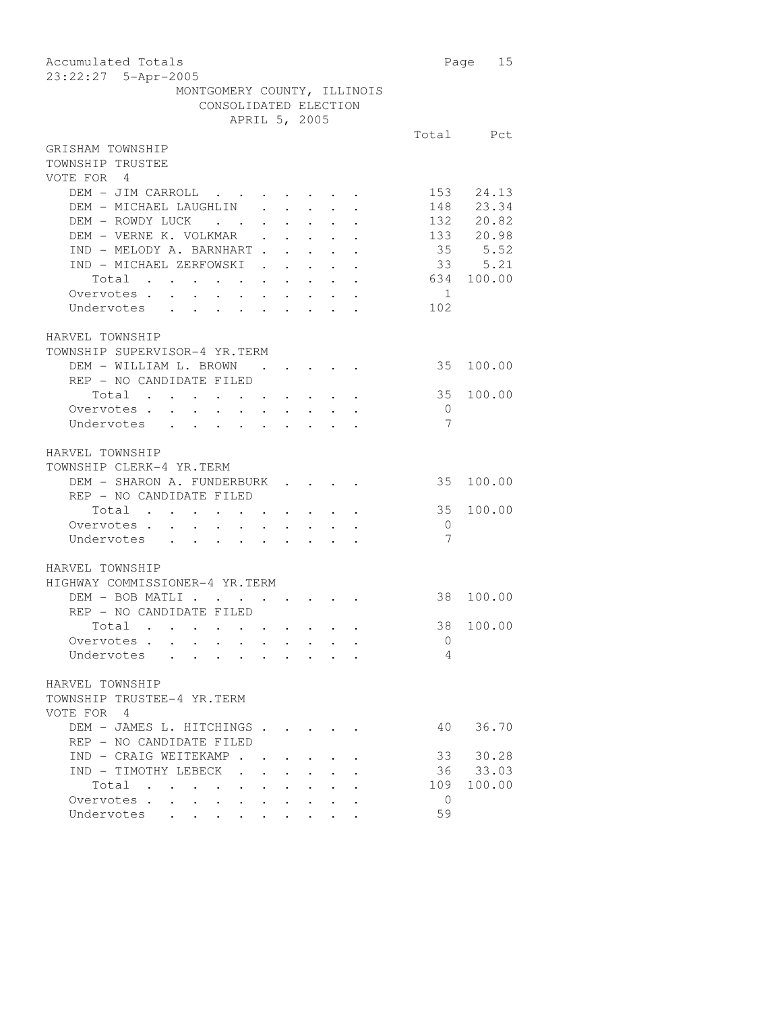| Accumulated Totals<br>23:22:27 5-Apr-2005                                                                                                            |                | Page 15    |
|------------------------------------------------------------------------------------------------------------------------------------------------------|----------------|------------|
| MONTGOMERY COUNTY, ILLINOIS                                                                                                                          |                |            |
| CONSOLIDATED ELECTION                                                                                                                                |                |            |
| APRIL 5, 2005                                                                                                                                        |                |            |
|                                                                                                                                                      |                | Total Pct  |
| GRISHAM TOWNSHIP<br>TOWNSHIP TRUSTEE                                                                                                                 |                |            |
| VOTE FOR 4                                                                                                                                           |                |            |
| DEM - JIM CARROLL                                                                                                                                    |                | 153 24.13  |
| DEM - MICHAEL LAUGHLIN                                                                                                                               |                | 148 23.34  |
| DEM - ROWDY LUCK                                                                                                                                     |                | 132 20.82  |
| DEM - VERNE K. VOLKMAR<br>$\mathbf{L}$ , $\mathbf{L}$ , $\mathbf{L}$ , $\mathbf{L}$                                                                  |                | 133 20.98  |
| IND - MELODY A. BARNHART.<br>$\sim 10^{-10}$                                                                                                         | 35             | 5.52       |
| IND - MICHAEL ZERFOWSKI<br>$\mathbf{r} = \mathbf{r} \cdot \mathbf{r}$<br>$\sim 10$                                                                   |                | 33 5.21    |
| Total                                                                                                                                                |                | 634 100.00 |
| Total<br>Overvotes                                                                                                                                   | $\overline{1}$ |            |
| Undervotes                                                                                                                                           | 102            |            |
|                                                                                                                                                      |                |            |
|                                                                                                                                                      |                |            |
| HARVEL TOWNSHIP                                                                                                                                      |                |            |
| TOWNSHIP SUPERVISOR-4 YR.TERM                                                                                                                        |                |            |
| DEM - WILLIAM L. BROWN                                                                                                                               | 35             | 100.00     |
| REP - NO CANDIDATE FILED                                                                                                                             |                |            |
| Total<br>$\mathbf{a} = \mathbf{a} + \mathbf{a} + \mathbf{a} + \mathbf{a} + \mathbf{a} + \mathbf{a} + \mathbf{a}$                                     | 35             | 100.00     |
| Overvotes<br>$\ddot{\phantom{0}}$<br>$\mathbf{L} = \mathbf{L} \mathbf{L}$<br>$\sim$ $\sim$                                                           | $\overline{0}$ |            |
| Undervotes                                                                                                                                           | 7              |            |
| HARVEL TOWNSHIP<br>TOWNSHIP CLERK-4 YR.TERM                                                                                                          |                |            |
| DEM - SHARON A. FUNDERBURK                                                                                                                           | 35             | 100.00     |
| REP - NO CANDIDATE FILED                                                                                                                             |                |            |
| Total .                                                                                                                                              | 35             | 100.00     |
| Overvotes.                                                                                                                                           | $\overline{0}$ |            |
| $\bullet$ .<br>$\ddot{\phantom{0}}$<br>$\ddot{\phantom{0}}$<br>$\mathcal{L}_{\text{max}}$<br>Undervotes<br>$\mathbf{L}$<br>$\mathbf{L} = \mathbf{L}$ | 7              |            |
|                                                                                                                                                      |                |            |
| HARVEL TOWNSHIP                                                                                                                                      |                |            |
|                                                                                                                                                      |                |            |
| HIGHWAY COMMISSIONER-4 YR.TERM                                                                                                                       |                |            |
| DEM - BOB MATLI                                                                                                                                      | 38             | 100.00     |
| REP - NO CANDIDATE FILED                                                                                                                             |                |            |
| Total .                                                                                                                                              |                | 38 100.00  |
| Overvotes .                                                                                                                                          | 0              |            |
| Undervotes                                                                                                                                           | 4              |            |
|                                                                                                                                                      |                |            |
| HARVEL TOWNSHIP                                                                                                                                      |                |            |
| TOWNSHIP TRUSTEE-4 YR.TERM                                                                                                                           |                |            |
| VOTE FOR 4                                                                                                                                           |                |            |
| DEM - JAMES L. HITCHINGS .                                                                                                                           | 40             | 36.70      |
| REP - NO CANDIDATE FILED                                                                                                                             |                |            |
| IND - CRAIG WEITEKAMP.                                                                                                                               | 33             | 30.28      |
| IND - TIMOTHY LEBECK                                                                                                                                 | 36             | 33.03      |
| Total<br>$\mathbf{L}^{\text{max}}$                                                                                                                   | 109            | 100.00     |
| $\mathbf{r}$<br>Overvotes .<br>$\ddot{\phantom{a}}$<br>$\cdot$                                                                                       | $\mathbf{0}$   |            |
| Undervotes                                                                                                                                           | 59             |            |
|                                                                                                                                                      |                |            |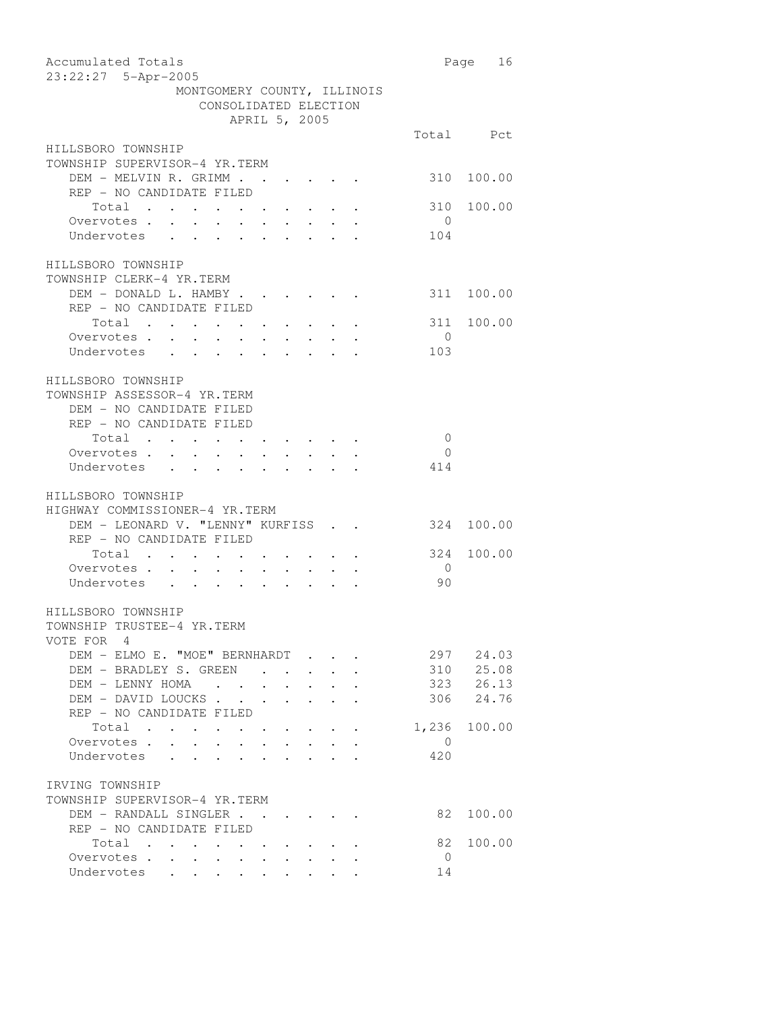| Accumulated Totals<br>23:22:27 5-Apr-2005                                                                                |                | Page 16    |
|--------------------------------------------------------------------------------------------------------------------------|----------------|------------|
| MONTGOMERY COUNTY, ILLINOIS                                                                                              |                |            |
| CONSOLIDATED ELECTION                                                                                                    |                |            |
| APRIL 5, 2005                                                                                                            |                |            |
|                                                                                                                          |                | Total Pct  |
| HILLSBORO TOWNSHIP                                                                                                       |                |            |
| TOWNSHIP SUPERVISOR-4 YR.TERM                                                                                            |                |            |
| DEM - MELVIN R. GRIMM                                                                                                    |                | 310 100.00 |
| REP - NO CANDIDATE FILED                                                                                                 |                |            |
| Total                                                                                                                    | 310            | 100.00     |
| Overvotes .                                                                                                              | $\overline{0}$ |            |
| Overvotes<br>Undervotes                                                                                                  | 104            |            |
|                                                                                                                          |                |            |
| HILLSBORO TOWNSHIP                                                                                                       |                |            |
| TOWNSHIP CLERK-4 YR.TERM                                                                                                 |                |            |
| DEM - DONALD L. HAMBY                                                                                                    |                | 311 100.00 |
| REP - NO CANDIDATE FILED                                                                                                 |                |            |
| Total                                                                                                                    |                | 311 100.00 |
| Overvotes .<br>$\mathcal{A}^{\mathcal{A}}$ , and $\mathcal{A}^{\mathcal{A}}$ , and $\mathcal{A}^{\mathcal{A}}$<br>$\sim$ | $\overline{0}$ |            |
| Undervotes                                                                                                               | 103            |            |
|                                                                                                                          |                |            |
| HILLSBORO TOWNSHIP                                                                                                       |                |            |
| TOWNSHIP ASSESSOR-4 YR.TERM                                                                                              |                |            |
| DEM - NO CANDIDATE FILED                                                                                                 |                |            |
| REP - NO CANDIDATE FILED                                                                                                 |                |            |
| Total                                                                                                                    | $\overline{0}$ |            |
| Overvotes.                                                                                                               | $\overline{0}$ |            |
| Undervotes                                                                                                               | 414            |            |
|                                                                                                                          |                |            |
| HILLSBORO TOWNSHIP                                                                                                       |                |            |
| HIGHWAY COMMISSIONER-4 YR.TERM                                                                                           |                |            |
| DEM - LEONARD V. "LENNY" KURFISS                                                                                         | 324            | 100.00     |
| REP - NO CANDIDATE FILED                                                                                                 |                |            |
| Total                                                                                                                    | 324            | 100.00     |
| Overvotes                                                                                                                | $\overline{0}$ |            |
| Undervotes                                                                                                               | 90             |            |
| HILLSBORO TOWNSHIP                                                                                                       |                |            |
| TOWNSHIP TRUSTEE-4 YR.TERM                                                                                               |                |            |
| VOTE FOR 4                                                                                                               |                |            |
| DEM - ELMO E. "MOE" BERNHARDT                                                                                            |                | 297 24.03  |
| DEM - BRADLEY S. GREEN                                                                                                   |                | 310 25.08  |
| DEM - LENNY HOMA                                                                                                         |                | 323 26.13  |
| DEM - DAVID LOUCKS                                                                                                       |                | 306 24.76  |
| REP - NO CANDIDATE FILED                                                                                                 |                |            |
| Total                                                                                                                    | 1,236          | 100.00     |
| Overvotes .<br>$\sim$ $\sim$<br>$\ddot{\phantom{0}}$                                                                     | $\overline{0}$ |            |
| $\mathbf{1}$ $\mathbf{1}$ $\mathbf{1}$ $\mathbf{1}$ $\mathbf{1}$<br>Undervotes                                           | 420            |            |
|                                                                                                                          |                |            |
| IRVING TOWNSHIP                                                                                                          |                |            |
| TOWNSHIP SUPERVISOR-4 YR.TERM                                                                                            |                |            |
| DEM - RANDALL SINGLER                                                                                                    | 82             | 100.00     |
| REP - NO CANDIDATE FILED                                                                                                 |                |            |
| Total                                                                                                                    | 82             | 100.00     |
|                                                                                                                          | $\overline{0}$ |            |
| Overvotes<br>Undervotes                                                                                                  | 14             |            |
|                                                                                                                          |                |            |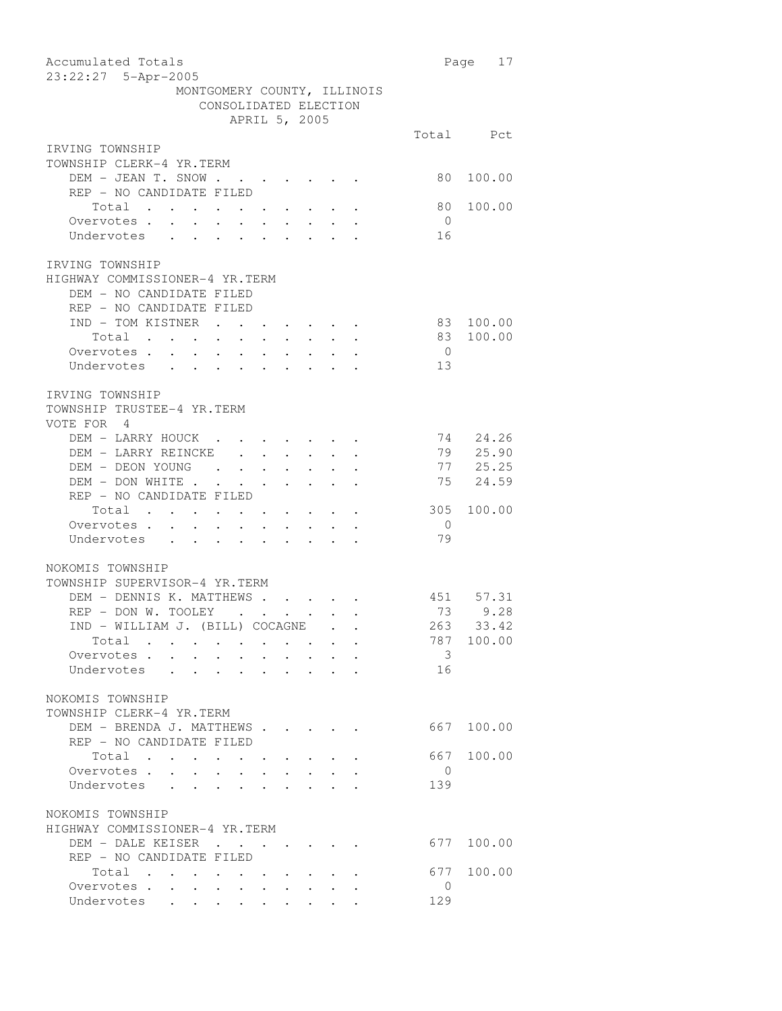| Accumulated Totals<br>23:22:27 5-Apr-2005                                                                                                                                                                                                                        |                         | Page<br>17 |
|------------------------------------------------------------------------------------------------------------------------------------------------------------------------------------------------------------------------------------------------------------------|-------------------------|------------|
| MONTGOMERY COUNTY, ILLINOIS<br>CONSOLIDATED ELECTION                                                                                                                                                                                                             |                         |            |
| APRIL 5, 2005                                                                                                                                                                                                                                                    |                         |            |
|                                                                                                                                                                                                                                                                  |                         | Total Pct  |
| IRVING TOWNSHIP<br>TOWNSHIP CLERK-4 YR.TERM                                                                                                                                                                                                                      |                         |            |
| DEM - JEAN T. SNOW                                                                                                                                                                                                                                               | 80                      | 100.00     |
| REP - NO CANDIDATE FILED                                                                                                                                                                                                                                         |                         |            |
| Total                                                                                                                                                                                                                                                            | 80                      | 100.00     |
| Overvotes<br>$\sim$ $-$<br>$\mathbf{r} = \mathbf{r} \times \mathbf{r}$ , where $\mathbf{r} = \mathbf{r} \times \mathbf{r}$ , $\mathbf{r} = \mathbf{r} \times \mathbf{r}$                                                                                         | $\overline{0}$          |            |
| Undervotes<br>$\sim$<br>$\ddot{\phantom{0}}$                                                                                                                                                                                                                     | 16                      |            |
|                                                                                                                                                                                                                                                                  |                         |            |
| IRVING TOWNSHIP<br>HIGHWAY COMMISSIONER-4 YR.TERM                                                                                                                                                                                                                |                         |            |
| DEM - NO CANDIDATE FILED                                                                                                                                                                                                                                         |                         |            |
| REP - NO CANDIDATE FILED                                                                                                                                                                                                                                         |                         |            |
| IND - TOM KISTNER<br>$\mathcal{A}(\mathcal{A})$ , and $\mathcal{A}(\mathcal{A})$ , and $\mathcal{A}(\mathcal{A})$ , and $\mathcal{A}(\mathcal{A})$                                                                                                               | 83                      | 100.00     |
| Total                                                                                                                                                                                                                                                            | 83                      | 100.00     |
|                                                                                                                                                                                                                                                                  | $\overline{0}$          |            |
| Overvotes<br>Undervotes<br>Undervotes                                                                                                                                                                                                                            | 13                      |            |
|                                                                                                                                                                                                                                                                  |                         |            |
| IRVING TOWNSHIP                                                                                                                                                                                                                                                  |                         |            |
| TOWNSHIP TRUSTEE-4 YR.TERM                                                                                                                                                                                                                                       |                         |            |
| VOTE FOR 4                                                                                                                                                                                                                                                       |                         |            |
| DEM - LARRY HOUCK                                                                                                                                                                                                                                                |                         | 74 24.26   |
| DEM - LARRY REINCKE                                                                                                                                                                                                                                              |                         | 79 25.90   |
| DEM - DEON YOUNG                                                                                                                                                                                                                                                 |                         | 77 25.25   |
| DEM - DON WHITE<br>$\cdot$ $\cdot$ $\cdot$ $\cdot$ $\cdot$                                                                                                                                                                                                       |                         | 75 24.59   |
| REP - NO CANDIDATE FILED                                                                                                                                                                                                                                         |                         |            |
| Total                                                                                                                                                                                                                                                            | 305                     | 100.00     |
| Overvotes.                                                                                                                                                                                                                                                       | $\overline{0}$          |            |
| Undervotes                                                                                                                                                                                                                                                       | 79                      |            |
| NOKOMIS TOWNSHIP                                                                                                                                                                                                                                                 |                         |            |
| TOWNSHIP SUPERVISOR-4 YR.TERM                                                                                                                                                                                                                                    |                         |            |
| DEM - DENNIS K. MATTHEWS                                                                                                                                                                                                                                         |                         | 451 57.31  |
| REP - DON W. TOOLEY<br>$\mathcal{L}^{\mathcal{A}}$ . The contribution of the contribution of the contribution of the contribution of the contribution of the contribution of the contribution of the contribution of the contribution of the contribution of the | 73                      | 9.28       |
| IND - WILLIAM J. (BILL) COCAGNE                                                                                                                                                                                                                                  | 263                     | 33.42      |
| Total                                                                                                                                                                                                                                                            |                         | 787 100.00 |
| Overvotes<br>$\sim$                                                                                                                                                                                                                                              | $\overline{\mathbf{3}}$ |            |
| Undervotes<br>$\mathbf{r}$ , $\mathbf{r}$ , $\mathbf{r}$                                                                                                                                                                                                         | 16                      |            |
|                                                                                                                                                                                                                                                                  |                         |            |
| NOKOMIS TOWNSHIP                                                                                                                                                                                                                                                 |                         |            |
| TOWNSHIP CLERK-4 YR.TERM                                                                                                                                                                                                                                         |                         |            |
| DEM - BRENDA J. MATTHEWS                                                                                                                                                                                                                                         | 667                     | 100.00     |
| REP - NO CANDIDATE FILED                                                                                                                                                                                                                                         |                         |            |
| Total<br>$\bullet$ , and $\bullet$ , and $\bullet$ , and $\bullet$                                                                                                                                                                                               | 667                     | 100.00     |
| Overvotes<br>$\sim$<br>$\ddot{\phantom{0}}$                                                                                                                                                                                                                      | $\overline{0}$          |            |
| Undervotes                                                                                                                                                                                                                                                       | 139                     |            |
| NOKOMIS TOWNSHIP                                                                                                                                                                                                                                                 |                         |            |
| HIGHWAY COMMISSIONER-4 YR.TERM                                                                                                                                                                                                                                   |                         |            |
| DEM - DALE KEISER                                                                                                                                                                                                                                                | 677                     | 100.00     |
| REP - NO CANDIDATE FILED                                                                                                                                                                                                                                         |                         |            |
| Total                                                                                                                                                                                                                                                            | 677                     | 100.00     |
| Overvotes<br>$\bullet$ .<br><br><br><br><br><br><br><br><br><br><br><br><br><br>$\ddot{\phantom{0}}$                                                                                                                                                             | $\overline{0}$          |            |
| Undervotes                                                                                                                                                                                                                                                       | 129                     |            |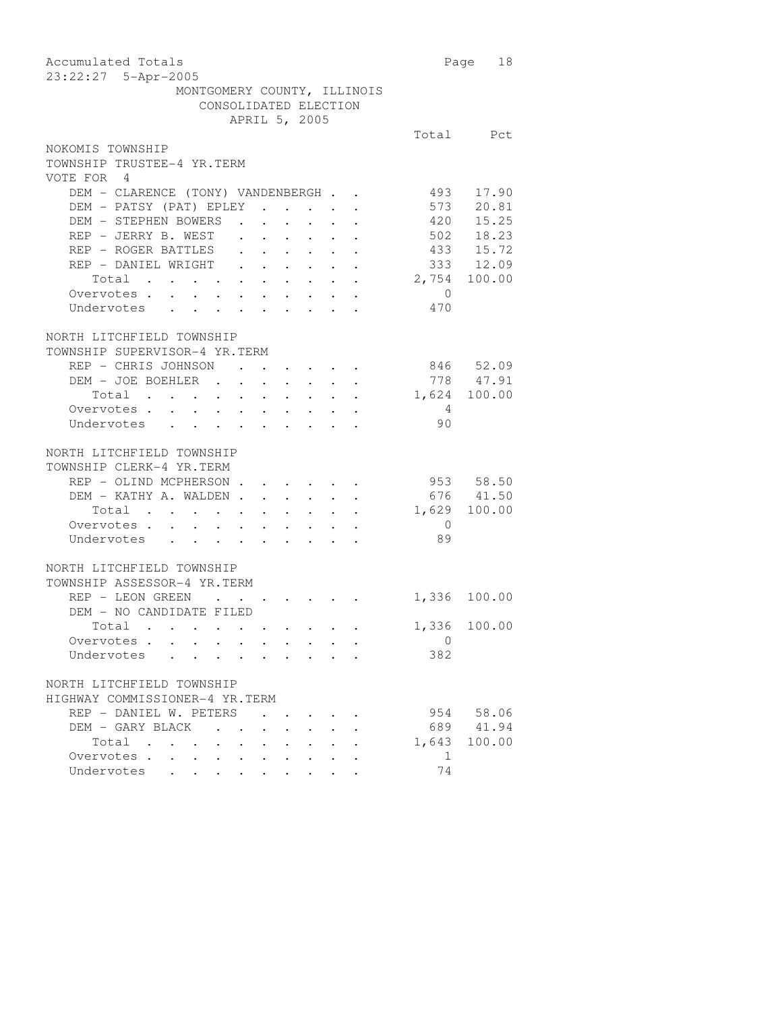| Accumulated Totals<br>23:22:27 5-Apr-2005                                    |                | Page 18      |
|------------------------------------------------------------------------------|----------------|--------------|
| MONTGOMERY COUNTY, ILLINOIS                                                  |                |              |
| CONSOLIDATED ELECTION                                                        |                |              |
| APRIL 5, 2005                                                                |                |              |
|                                                                              |                | Total Pct    |
| NOKOMIS TOWNSHIP                                                             |                |              |
| TOWNSHIP TRUSTEE-4 YR.TERM                                                   |                |              |
| VOTE FOR 4                                                                   |                |              |
| DEM - CLARENCE (TONY) VANDENBERGH                                            | 493            | 17.90        |
| DEM - PATSY (PAT) EPLEY                                                      | 573            | 20.81        |
| DEM - STEPHEN BOWERS<br>$\sim$ $\sim$ $\sim$ $\sim$<br>$\sim$ $\sim$         | 420            | 15.25        |
| REP - JERRY B. WEST                                                          |                | 502 18.23    |
| REP - ROGER BATTLES                                                          |                | 433 15.72    |
| REP - DANIEL WRIGHT                                                          |                | 333 12.09    |
| Total 2,754 100.00                                                           |                |              |
| Overvotes.                                                                   | $\overline{0}$ |              |
| Undervotes                                                                   | 470            |              |
|                                                                              |                |              |
| NORTH LITCHFIELD TOWNSHIP                                                    |                |              |
| TOWNSHIP SUPERVISOR-4 YR.TERM                                                |                |              |
| REP - CHRIS JOHNSON                                                          |                | 846 52.09    |
| DEM - JOE BOEHLER 778 47.91                                                  |                |              |
| Total 1,624 100.00                                                           |                |              |
| Overvotes.                                                                   | $\overline{4}$ |              |
| Undervotes                                                                   | 90             |              |
|                                                                              |                |              |
| NORTH LITCHFIELD TOWNSHIP                                                    |                |              |
| TOWNSHIP CLERK-4 YR.TERM                                                     |                |              |
| REP - OLIND MCPHERSON                                                        |                | 953 58.50    |
| DEM - KATHY A. WALDEN                                                        |                | 676 41.50    |
| Total 1,629 100.00                                                           |                |              |
| Overvotes.                                                                   | $\sim$ 0       |              |
| Undervotes                                                                   | 89             |              |
|                                                                              |                |              |
| NORTH LITCHFIELD TOWNSHIP                                                    |                |              |
| TOWNSHIP ASSESSOR-4 YR.TERM                                                  |                |              |
| REP - LEON GREEN<br>$\sim$ $\sim$ $\sim$<br>$\cdot$ $\cdot$ $\cdot$ $\cdot$  |                | 1,336 100.00 |
| DEM - NO CANDIDATE FILED                                                     |                |              |
| Total .                                                                      |                | 1,336 100.00 |
| Overvotes                                                                    | 0              |              |
| Undervotes                                                                   | 382            |              |
|                                                                              |                |              |
| NORTH LITCHFIELD TOWNSHIP                                                    |                |              |
| HIGHWAY COMMISSIONER-4 YR.TERM                                               |                |              |
| REP - DANIEL W. PETERS                                                       |                | 954 58.06    |
| DEM - GARY BLACK .                                                           |                | 689 41.94    |
| Total<br>$\ddot{\phantom{0}}$                                                |                | 1,643 100.00 |
| Overvotes<br>$\cdot$ $\cdot$ $\cdot$ $\cdot$ $\cdot$<br>$\sim$ $\sim$ $\sim$ | 1              |              |
| Undervotes                                                                   | 74             |              |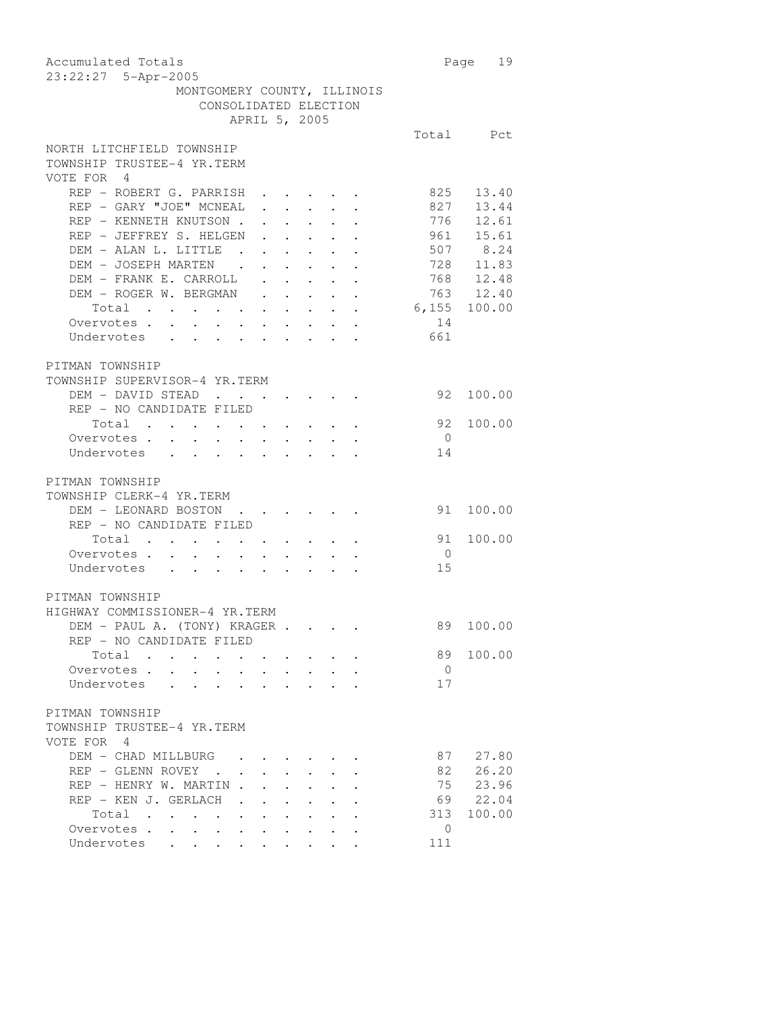Accumulated Totals **Page 19** 23:22:27 5-Apr-2005 MONTGOMERY COUNTY, ILLINOIS CONSOLIDATED ELECTION APRIL 5, 2005 Total Pct NORTH LITCHFIELD TOWNSHIP TOWNSHIP TRUSTEE-4 YR.TERM VOTE FOR 4 REP - ROBERT G. PARRISH . . . . . 825 13.40 REP - GARY "JOE" MCNEAL . . . . . 827 13.44 REP – KENNETH KNUTSON . . . . . . 776 12.61<br>REP – JEFFREY S. HELGEN . . . . . 961 15.61 REP - JEFFREY S. HELGEN . . . . . 961 15.61 DEM - ALAN L. LITTLE . . . . . . . 507 8.24 DEM - JOSEPH MARTEN . . . . . . 728 11.83 DEM - FRANK E. CARROLL . . . . . 768 12.48 DEM - ROGER W. BERGMAN . . . . . 763 12.40 Total . . . . . . . . . . 6,155 100.00 Overvotes . . . . . . . . . . . 14 Undervotes . . . . . . . . . 661 PITMAN TOWNSHIP TOWNSHIP SUPERVISOR-4 YR.TERM DEM - DAVID STEAD . . . . . . . 92 100.00 REP - NO CANDIDATE FILED Total . . . . . . . . . . 92 100.00 Overvotes . . . . . . . . . . 0 Undervotes . . . . . . . . . 14 PITMAN TOWNSHIP TOWNSHIP CLERK-4 YR.TERM DEM - LEONARD BOSTON . . . . . . 91 100.00 REP - NO CANDIDATE FILED Total . . . . . . . . . . 91 100.00 Overvotes . . . . . . . . . . 0 Undervotes . . . . . . . . . 15 PITMAN TOWNSHIP HIGHWAY COMMISSIONER-4 YR.TERM DEM - PAUL A. (TONY) KRAGER . . . . 89 100.00 REP - NO CANDIDATE FILED Total . . . . . . . . . 89 100.00 Overvotes . . . . . . . . . . 0 Undervotes . . . . . . . . . 17 PITMAN TOWNSHIP TOWNSHIP TRUSTEE-4 YR.TERM VOTE FOR 4 DEM - CHAD MILLBURG . . . . . . 87 27.80 REP - GLENN ROVEY . . . . . . . . 82 26.20 REP - HENRY W. MARTIN . . . . . . 75 23.96 REP - KEN J. GERLACH . . . . . . . 69 22.04<br>Total . . . . . . . . . . . 313 100.00 Total . . . . . . . . . . Overvotes . . . . . . . . . . 0 Undervotes . . . . . . . . . 111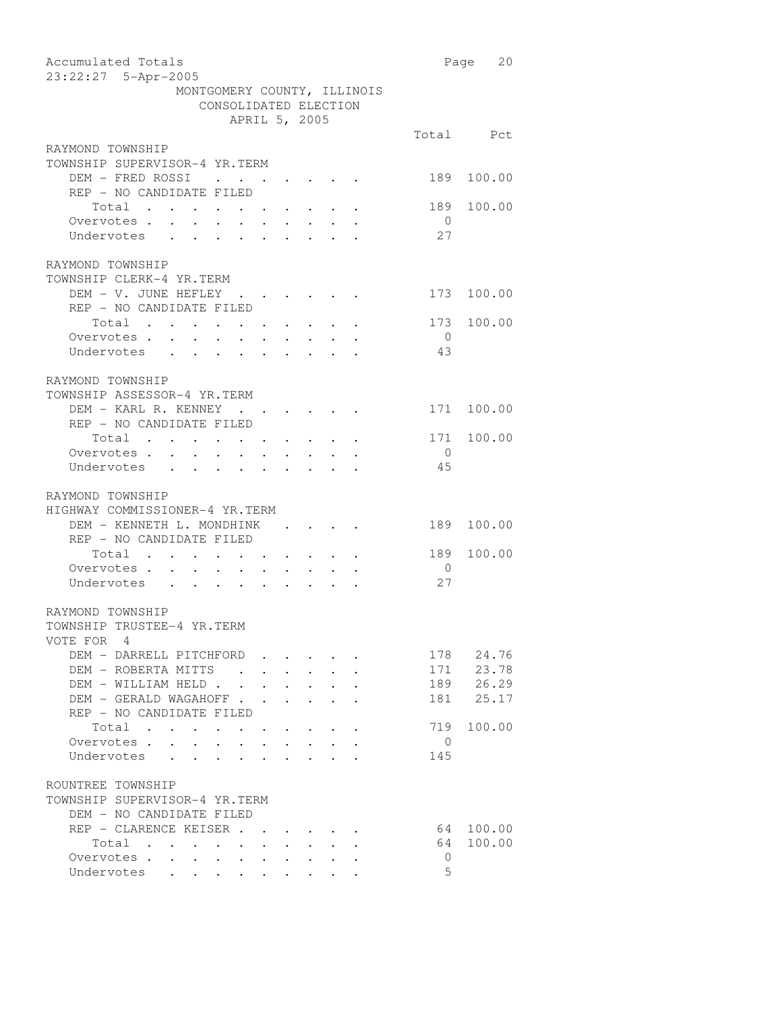| Accumulated Totals                                                                                                                                                       |                | Page 20    |
|--------------------------------------------------------------------------------------------------------------------------------------------------------------------------|----------------|------------|
| 23:22:27 5-Apr-2005                                                                                                                                                      |                |            |
| MONTGOMERY COUNTY, ILLINOIS                                                                                                                                              |                |            |
| CONSOLIDATED ELECTION                                                                                                                                                    |                |            |
| APRIL 5, 2005                                                                                                                                                            |                |            |
|                                                                                                                                                                          |                | Total Pct  |
| RAYMOND TOWNSHIP                                                                                                                                                         |                |            |
| TOWNSHIP SUPERVISOR-4 YR.TERM                                                                                                                                            |                |            |
| DEM - FRED ROSSI                                                                                                                                                         | 189            | 100.00     |
| REP - NO CANDIDATE FILED                                                                                                                                                 |                |            |
| Total                                                                                                                                                                    | 189            | 100.00     |
| Overvotes .<br>$\mathcal{A}^{\mathcal{A}}$ , and $\mathcal{A}^{\mathcal{A}}$ , and $\mathcal{A}^{\mathcal{A}}$<br>$\sim$<br>$\ddot{\phantom{0}}$<br>$\ddot{\phantom{0}}$ | $\overline{0}$ |            |
| $\frac{1}{2}$ , $\frac{1}{2}$ ,<br>$\mathbf{r}$ , $\mathbf{r}$ , $\mathbf{r}$ , $\mathbf{r}$<br>Undervotes .                                                             | 27             |            |
|                                                                                                                                                                          |                |            |
| RAYMOND TOWNSHIP                                                                                                                                                         |                |            |
| TOWNSHIP CLERK-4 YR.TERM                                                                                                                                                 |                |            |
| DEM - V. JUNE HEFLEY                                                                                                                                                     |                | 173 100.00 |
| REP - NO CANDIDATE FILED                                                                                                                                                 |                |            |
|                                                                                                                                                                          |                |            |
| Total                                                                                                                                                                    | 173            | 100.00     |
| Overvotes .<br>$\sim$<br>$\mathcal{A}=\mathcal{A}=\mathcal{A}=\mathcal{A}=\mathcal{A}=\mathcal{A}$ .                                                                     | $\overline{0}$ |            |
| Undervotes                                                                                                                                                               | - 43           |            |
|                                                                                                                                                                          |                |            |
| RAYMOND TOWNSHIP                                                                                                                                                         |                |            |
| TOWNSHIP ASSESSOR-4 YR.TERM                                                                                                                                              |                |            |
| DEM - KARL R. KENNEY                                                                                                                                                     |                | 171 100.00 |
| REP - NO CANDIDATE FILED                                                                                                                                                 |                |            |
| Total                                                                                                                                                                    |                | 171 100.00 |
| Overvotes.                                                                                                                                                               | $\overline{0}$ |            |
| Undervotes                                                                                                                                                               | 45             |            |
|                                                                                                                                                                          |                |            |
| RAYMOND TOWNSHIP                                                                                                                                                         |                |            |
| HIGHWAY COMMISSIONER-4 YR.TERM                                                                                                                                           |                |            |
|                                                                                                                                                                          |                |            |
| DEM - KENNETH L. MONDHINK                                                                                                                                                | 189            | 100.00     |
| REP - NO CANDIDATE FILED                                                                                                                                                 |                |            |
| Total                                                                                                                                                                    | 189            | 100.00     |
| Overvotes                                                                                                                                                                | $\overline{0}$ |            |
| Undervotes                                                                                                                                                               | 27             |            |
|                                                                                                                                                                          |                |            |
| RAYMOND TOWNSHIP                                                                                                                                                         |                |            |
| TOWNSHIP TRUSTEE-4 YR.TERM                                                                                                                                               |                |            |
| VOTE FOR 4                                                                                                                                                               |                |            |
| DEM - DARRELL PITCHFORD                                                                                                                                                  |                | 178 24.76  |
| DEM - ROBERTA MITTS                                                                                                                                                      |                | 171 23.78  |
| DEM - WILLIAM HELD<br>$\mathbf{r} = \mathbf{r} + \mathbf{r} + \mathbf{r} + \mathbf{r}$                                                                                   |                | 189 26.29  |
| DEM - GERALD WAGAHOFF .<br>$\mathbf{r} = \mathbf{r} + \mathbf{r} + \mathbf{r} + \mathbf{r}$ .<br>$\sim 100$                                                              |                | 181 25.17  |
| REP - NO CANDIDATE FILED                                                                                                                                                 |                |            |
|                                                                                                                                                                          | 719            | 100.00     |
| Total                                                                                                                                                                    |                |            |
| Overvotes.<br>$\sim$<br>$\ddot{\phantom{0}}$                                                                                                                             | $\overline{0}$ |            |
| Undervotes<br>$\mathbf{r} = \mathbf{r}$ and $\mathbf{r} = \mathbf{r}$                                                                                                    | 145            |            |
|                                                                                                                                                                          |                |            |
| ROUNTREE TOWNSHIP                                                                                                                                                        |                |            |
| TOWNSHIP SUPERVISOR-4 YR.TERM                                                                                                                                            |                |            |
| DEM - NO CANDIDATE FILED                                                                                                                                                 |                |            |
| REP - CLARENCE KEISER                                                                                                                                                    |                | 64 100.00  |
| Total                                                                                                                                                                    | 64             | 100.00     |
| Overvotes<br>$\sim$<br>$\mathbf{r} = \mathbf{r} \cdot \mathbf{r}$                                                                                                        | $\mathbf{0}$   |            |
| Undervotes                                                                                                                                                               | 5              |            |
|                                                                                                                                                                          |                |            |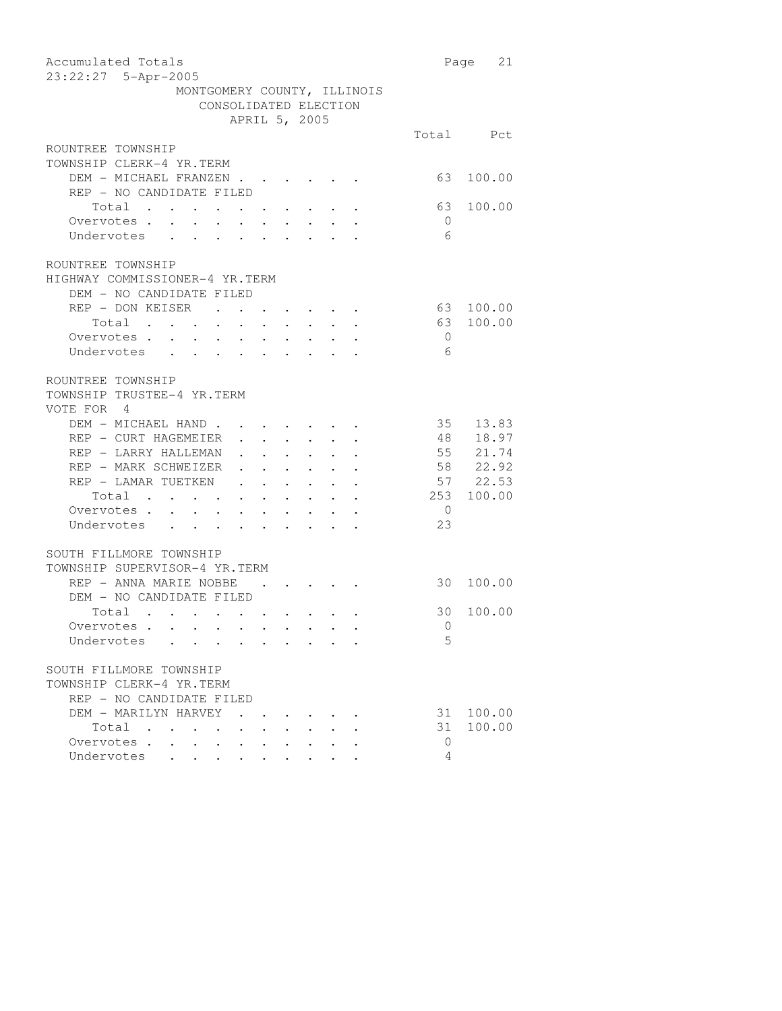| Accumulated Totals                                                                                                                                                                                                                                                                                                                                                                                                                                                                                            |                | 21<br>Page |
|---------------------------------------------------------------------------------------------------------------------------------------------------------------------------------------------------------------------------------------------------------------------------------------------------------------------------------------------------------------------------------------------------------------------------------------------------------------------------------------------------------------|----------------|------------|
| 23:22:27 5-Apr-2005                                                                                                                                                                                                                                                                                                                                                                                                                                                                                           |                |            |
| MONTGOMERY COUNTY, ILLINOIS                                                                                                                                                                                                                                                                                                                                                                                                                                                                                   |                |            |
| CONSOLIDATED ELECTION                                                                                                                                                                                                                                                                                                                                                                                                                                                                                         |                |            |
| APRIL 5, 2005                                                                                                                                                                                                                                                                                                                                                                                                                                                                                                 |                |            |
|                                                                                                                                                                                                                                                                                                                                                                                                                                                                                                               |                | Total Pct  |
| ROUNTREE TOWNSHIP                                                                                                                                                                                                                                                                                                                                                                                                                                                                                             |                |            |
| TOWNSHIP CLERK-4 YR.TERM                                                                                                                                                                                                                                                                                                                                                                                                                                                                                      |                |            |
| DEM - MICHAEL FRANZEN.                                                                                                                                                                                                                                                                                                                                                                                                                                                                                        | 63             | 100.00     |
| REP - NO CANDIDATE FILED                                                                                                                                                                                                                                                                                                                                                                                                                                                                                      |                |            |
| Total                                                                                                                                                                                                                                                                                                                                                                                                                                                                                                         | 63             | 100.00     |
| Overvotes                                                                                                                                                                                                                                                                                                                                                                                                                                                                                                     | $\overline{0}$ |            |
| Undervotes                                                                                                                                                                                                                                                                                                                                                                                                                                                                                                    | 6              |            |
|                                                                                                                                                                                                                                                                                                                                                                                                                                                                                                               |                |            |
| ROUNTREE TOWNSHIP                                                                                                                                                                                                                                                                                                                                                                                                                                                                                             |                |            |
| HIGHWAY COMMISSIONER-4 YR.TERM                                                                                                                                                                                                                                                                                                                                                                                                                                                                                |                |            |
| DEM - NO CANDIDATE FILED                                                                                                                                                                                                                                                                                                                                                                                                                                                                                      |                |            |
| REP - DON KEISER.<br>$\bullet$ . In the case of the contract $\bullet$                                                                                                                                                                                                                                                                                                                                                                                                                                        | 63             | 100.00     |
| Total<br>Overvotes                                                                                                                                                                                                                                                                                                                                                                                                                                                                                            | 63             | 100.00     |
|                                                                                                                                                                                                                                                                                                                                                                                                                                                                                                               | $\overline{0}$ |            |
| Undervotes                                                                                                                                                                                                                                                                                                                                                                                                                                                                                                    | 6              |            |
| ROUNTREE TOWNSHIP                                                                                                                                                                                                                                                                                                                                                                                                                                                                                             |                |            |
| TOWNSHIP TRUSTEE-4 YR.TERM                                                                                                                                                                                                                                                                                                                                                                                                                                                                                    |                |            |
| VOTE FOR 4                                                                                                                                                                                                                                                                                                                                                                                                                                                                                                    |                |            |
| DEM - MICHAEL HAND                                                                                                                                                                                                                                                                                                                                                                                                                                                                                            | 35             | 13.83      |
| REP - CURT HAGEMEIER<br>$\mathbf{1}^{\prime}$ , $\mathbf{1}^{\prime}$ , $\mathbf{1}^{\prime}$ , $\mathbf{1}^{\prime}$<br>$\mathcal{A}^{\mathcal{A}}$ and $\mathcal{A}^{\mathcal{A}}$                                                                                                                                                                                                                                                                                                                          | 48             | 18.97      |
| REP - LARRY HALLEMAN<br>$\mathbf{L} = \mathbf{L} \times \mathbf{L}$                                                                                                                                                                                                                                                                                                                                                                                                                                           |                | 55 21.74   |
| $\begin{aligned} \mathbf{1}_{\mathcal{A}}\left(\mathbf{1}_{\mathcal{A}}\right) & =\mathbf{1}_{\mathcal{A}}\left(\mathbf{1}_{\mathcal{A}}\right) & =\mathbf{1}_{\mathcal{A}}\left(\mathbf{1}_{\mathcal{A}}\right) & =\mathbf{1}_{\mathcal{A}}\left(\mathbf{1}_{\mathcal{A}}\right) & =\mathbf{1}_{\mathcal{A}}\left(\mathbf{1}_{\mathcal{A}}\right) & =\mathbf{1}_{\mathcal{A}}\left(\mathbf{1}_{\mathcal{A}}\right) & =\mathbf{1}_{\mathcal{A}}\left(\mathbf{1}_{\mathcal{A}}\right)$<br>REP - MARK SCHWEIZER |                | 58 22.92   |
| $\cdot$ $\cdot$ $\cdot$ $\cdot$ $\cdot$ $\cdot$ $\cdot$<br>REP - LAMAR TUETKEN                                                                                                                                                                                                                                                                                                                                                                                                                                |                | 57 22.53   |
| Total<br>$\mathcal{A}$ is a set of the set of the set of the set of the $\mathcal{A}$                                                                                                                                                                                                                                                                                                                                                                                                                         |                | 253 100.00 |
| Overvotes                                                                                                                                                                                                                                                                                                                                                                                                                                                                                                     | $\overline{0}$ |            |
|                                                                                                                                                                                                                                                                                                                                                                                                                                                                                                               | 23             |            |
| Undervotes                                                                                                                                                                                                                                                                                                                                                                                                                                                                                                    |                |            |
| SOUTH FILLMORE TOWNSHIP                                                                                                                                                                                                                                                                                                                                                                                                                                                                                       |                |            |
| TOWNSHIP SUPERVISOR-4 YR.TERM                                                                                                                                                                                                                                                                                                                                                                                                                                                                                 |                |            |
| REP - ANNA MARIE NOBBE<br>$\cdot$ $\cdot$ $\cdot$ $\cdot$<br>$\sim$ $\sim$ $\sim$                                                                                                                                                                                                                                                                                                                                                                                                                             | 30             | 100.00     |
| DEM - NO CANDIDATE FILED                                                                                                                                                                                                                                                                                                                                                                                                                                                                                      |                |            |
| Total                                                                                                                                                                                                                                                                                                                                                                                                                                                                                                         | 30             | 100.00     |
| Overvotes                                                                                                                                                                                                                                                                                                                                                                                                                                                                                                     | $\overline{0}$ |            |
| Undervotes                                                                                                                                                                                                                                                                                                                                                                                                                                                                                                    | 5              |            |
|                                                                                                                                                                                                                                                                                                                                                                                                                                                                                                               |                |            |
| SOUTH FILLMORE TOWNSHIP                                                                                                                                                                                                                                                                                                                                                                                                                                                                                       |                |            |
| TOWNSHIP CLERK-4 YR.TERM                                                                                                                                                                                                                                                                                                                                                                                                                                                                                      |                |            |
| REP - NO CANDIDATE FILED                                                                                                                                                                                                                                                                                                                                                                                                                                                                                      |                |            |
| DEM - MARILYN HARVEY                                                                                                                                                                                                                                                                                                                                                                                                                                                                                          | 31             | 100.00     |
| Total                                                                                                                                                                                                                                                                                                                                                                                                                                                                                                         | 31             | 100.00     |
| Overvotes                                                                                                                                                                                                                                                                                                                                                                                                                                                                                                     | $\overline{0}$ |            |
| Undervotes<br>$\ddot{\phantom{0}}$<br>$\sim$<br>$\ddot{\phantom{0}}$                                                                                                                                                                                                                                                                                                                                                                                                                                          | 4              |            |
|                                                                                                                                                                                                                                                                                                                                                                                                                                                                                                               |                |            |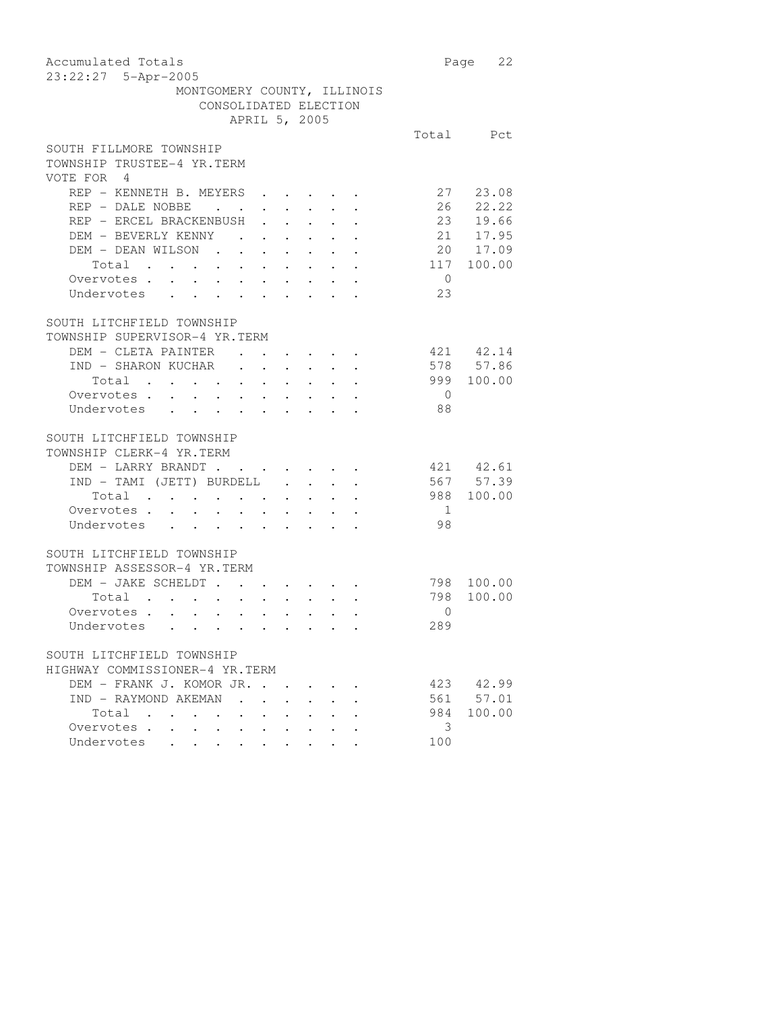| Accumulated Totals                                                                                            | 22<br>Page     |
|---------------------------------------------------------------------------------------------------------------|----------------|
| 23:22:27 5-Apr-2005                                                                                           |                |
| MONTGOMERY COUNTY, ILLINOIS                                                                                   |                |
| CONSOLIDATED ELECTION                                                                                         |                |
| APRIL 5, 2005                                                                                                 |                |
|                                                                                                               | Total Pct      |
| SOUTH FILLMORE TOWNSHIP                                                                                       |                |
| TOWNSHIP TRUSTEE-4 YR.TERM                                                                                    |                |
| VOTE FOR 4                                                                                                    |                |
| REP - KENNETH B. MEYERS                                                                                       | 27 23.08       |
| REP - DALE NOBBE<br>$\mathbf{z} = \mathbf{z} + \mathbf{z}$                                                    | 26<br>22.22    |
| $\mathbf{L}^{\text{max}}$<br>REP - ERCEL BRACKENBUSH<br>$\mathbf{L}^{\text{max}}$ , $\mathbf{L}^{\text{max}}$ | 23 19.66       |
| DEM - BEVERLY KENNY                                                                                           | 21 17.95       |
| DEM - DEAN WILSON                                                                                             | 20 17.09       |
| Total                                                                                                         | 117 100.00     |
| $\overline{0}$<br>Overvotes.                                                                                  |                |
| 23<br>Undervotes                                                                                              |                |
|                                                                                                               |                |
| SOUTH LITCHFIELD TOWNSHIP                                                                                     |                |
| TOWNSHIP SUPERVISOR-4 YR.TERM                                                                                 |                |
| DEM - CLETA PAINTER                                                                                           | 421 42.14      |
| IND - SHARON KUCHAR                                                                                           | 578 57.86      |
| Total                                                                                                         | 999 100.00     |
| Overvotes.<br>$\overline{0}$                                                                                  |                |
| 88<br>Undervotes                                                                                              |                |
|                                                                                                               |                |
| SOUTH LITCHFIELD TOWNSHIP                                                                                     |                |
| TOWNSHIP CLERK-4 YR.TERM                                                                                      |                |
| DEM - LARRY BRANDT<br>$\cdot$ $\cdot$ $\cdot$ $\cdot$ $\cdot$<br>$\bullet$ .<br><br><br><br><br><br>          | 421 42.61      |
| IND - TAMI (JETT) BURDELL.<br>$\mathbf{r} = \mathbf{r} \cdot \mathbf{r}$                                      | 567 57.39      |
| Total                                                                                                         | 988 100.00     |
| Overvotes.<br>$\overline{1}$                                                                                  |                |
| 98<br>Undervotes                                                                                              |                |
|                                                                                                               |                |
| SOUTH LITCHFIELD TOWNSHIP                                                                                     |                |
| TOWNSHIP ASSESSOR-4 YR.TERM                                                                                   |                |
| DEM - JAKE SCHELDT                                                                                            | 798 100.00     |
| 798<br>Total                                                                                                  | 100.00         |
| Total<br>Overvotes                                                                                            | $\Omega$       |
| 289<br>Undervotes .                                                                                           |                |
|                                                                                                               |                |
| SOUTH LITCHFIELD TOWNSHIP                                                                                     |                |
| HIGHWAY COMMISSIONER-4 YR.TERM                                                                                |                |
| DEM - FRANK J. KOMOR JR.                                                                                      | 423 42.99      |
| IND - RAYMOND AKEMAN<br>$\ddot{\phantom{0}}$                                                                  | 561 57.01      |
| Total                                                                                                         | 984 100.00     |
| Overvotes .                                                                                                   | $\overline{3}$ |
| Undervotes                                                                                                    |                |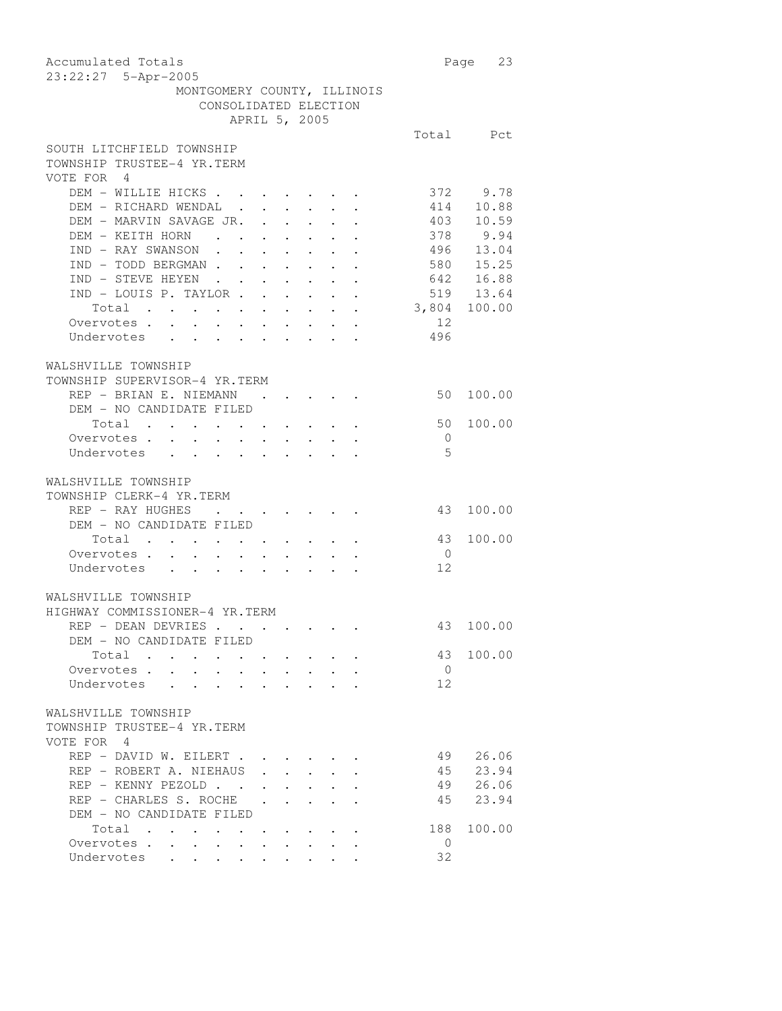| Accumulated Totals<br>23:22:27 5-Apr-2005                                                                                      |                | Page 23    |
|--------------------------------------------------------------------------------------------------------------------------------|----------------|------------|
| MONTGOMERY COUNTY, ILLINOIS                                                                                                    |                |            |
| CONSOLIDATED ELECTION                                                                                                          |                |            |
| APRIL 5, 2005                                                                                                                  |                |            |
|                                                                                                                                |                | Total Pct  |
| SOUTH LITCHFIELD TOWNSHIP<br>TOWNSHIP TRUSTEE-4 YR.TERM<br>VOTE FOR 4                                                          |                |            |
| DEM - WILLIE HICKS                                                                                                             |                | 372 9.78   |
| DEM - RICHARD WENDAL .<br>$\mathbf{r} = \mathbf{r} \times \mathbf{r}$ , where $\mathbf{r} = \mathbf{r} \times \mathbf{r}$      |                | 414 10.88  |
| DEM - MARVIN SAVAGE JR. .<br>$\mathcal{L}^{\text{max}}$                                                                        |                | 403 10.59  |
| DEM - KEITH HORN<br>$\mathcal{A}^{\mathcal{A}}$ , and $\mathcal{A}^{\mathcal{A}}$ , and $\mathcal{A}^{\mathcal{A}}$            |                | $378$ 9.94 |
| $\bullet$ .<br>IND - RAY SWANSON                                                                                               |                | 496 13.04  |
| $\sim 10^{-11}$<br>$\sim$ $-$<br>$\mathbf{L}^{\text{max}}$<br>IND - TODD BERGMAN                                               | 580 15.25      |            |
| $\cdot$ 642 16.88                                                                                                              |                |            |
| IND - STEVE HEYEN                                                                                                              |                |            |
| IND - LOUIS P. TAYLOR                                                                                                          | 519 13.64      |            |
| Total 3,804 100.00                                                                                                             |                |            |
| Overvotes                                                                                                                      | 12             |            |
| Undervotes                                                                                                                     | 496            |            |
|                                                                                                                                |                |            |
| WALSHVILLE TOWNSHIP                                                                                                            |                |            |
| TOWNSHIP SUPERVISOR-4 YR.TERM                                                                                                  |                |            |
| REP - BRIAN E. NIEMANN                                                                                                         | 50             | 100.00     |
| DEM - NO CANDIDATE FILED                                                                                                       |                |            |
| Total                                                                                                                          | 50             | 100.00     |
| Overvotes                                                                                                                      | $\overline{0}$ |            |
| Undervotes                                                                                                                     | .5             |            |
|                                                                                                                                |                |            |
| WALSHVILLE TOWNSHIP                                                                                                            |                |            |
| TOWNSHIP CLERK-4 YR.TERM                                                                                                       |                |            |
| REP - RAY HUGHES                                                                                                               | 43             | 100.00     |
|                                                                                                                                |                |            |
| DEM - NO CANDIDATE FILED                                                                                                       |                |            |
| $\begin{tabular}{ccccccccccc} Total & . & . & . & . & . & . & . & . & . & . & . \end{tabular}$                                 | 43             | 100.00     |
| Overvotes.                                                                                                                     | $\overline{0}$ |            |
| Undervotes                                                                                                                     | 12             |            |
|                                                                                                                                |                |            |
| WALSHVILLE TOWNSHIP                                                                                                            |                |            |
| HIGHWAY COMMISSIONER-4 YR.TERM                                                                                                 |                |            |
| REP - DEAN DEVRIES                                                                                                             |                | 43 100.00  |
| DEM - NO CANDIDATE FILED                                                                                                       |                |            |
| Total                                                                                                                          | 43             | 100.00     |
| Overvotes                                                                                                                      | $\overline{0}$ |            |
| Undervotes                                                                                                                     | 12             |            |
|                                                                                                                                |                |            |
| WALSHVILLE TOWNSHIP                                                                                                            |                |            |
| TOWNSHIP TRUSTEE-4 YR.TERM                                                                                                     |                |            |
| VOTE FOR 4                                                                                                                     |                |            |
| REP - DAVID W. EILERT.                                                                                                         | 49             | 26.06      |
| REP - ROBERT A. NIEHAUS                                                                                                        |                | 45 23.94   |
| $\mathbf{r}$ and $\mathbf{r}$ and $\mathbf{r}$                                                                                 |                | 49 26.06   |
| REP - KENNY PEZOLD                                                                                                             |                |            |
| REP - CHARLES S. ROCHE<br>$\ddot{\phantom{0}}$<br>$\ddot{\phantom{0}}$<br>$\ddot{\phantom{a}}$                                 | 45             | 23.94      |
| DEM - NO CANDIDATE FILED                                                                                                       |                |            |
| Total .<br>$\cdots$                                                                                                            | 188            | 100.00     |
| Overvotes<br>$\sim$ 100 $\pm$<br>$\bullet$ .<br><br><br><br><br><br><br><br><br><br><br><br><br><br>$\bullet$ .<br>$\bullet$ . | $\circ$        |            |
| Undervotes                                                                                                                     | 32             |            |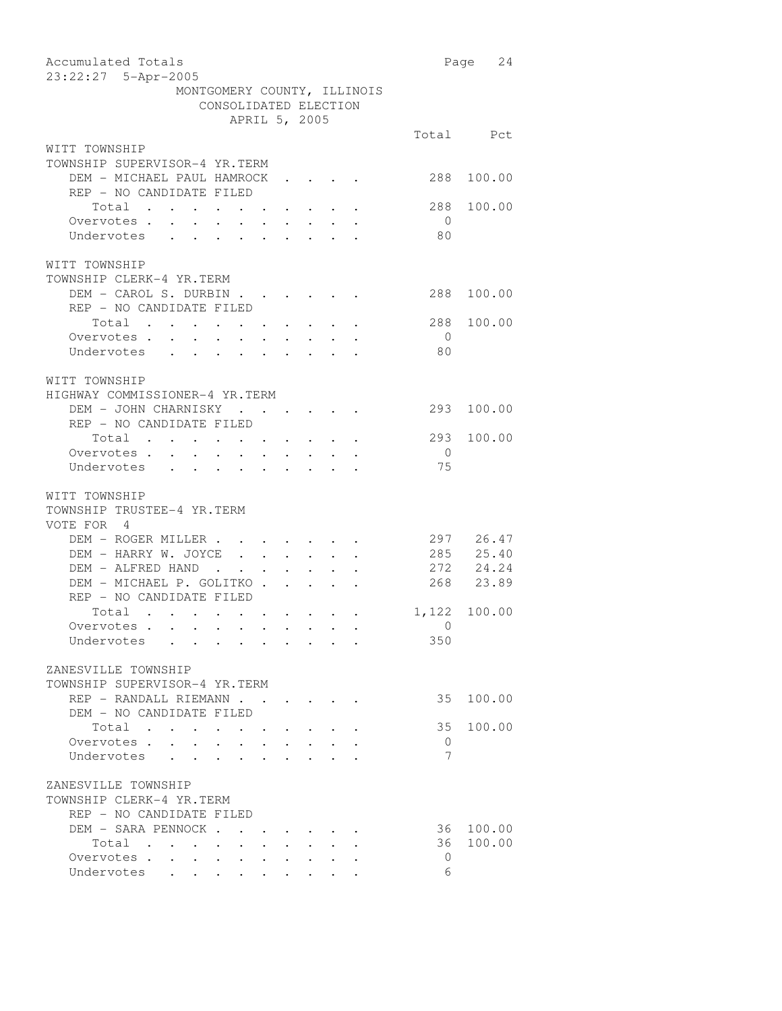| Accumulated Totals<br>23:22:27 5-Apr-2005                                                                               |                | Page 24      |
|-------------------------------------------------------------------------------------------------------------------------|----------------|--------------|
| MONTGOMERY COUNTY, ILLINOIS                                                                                             |                |              |
| CONSOLIDATED ELECTION                                                                                                   |                |              |
| APRIL 5, 2005                                                                                                           |                |              |
|                                                                                                                         |                | Total Pct    |
| WITT TOWNSHIP                                                                                                           |                |              |
|                                                                                                                         |                |              |
| TOWNSHIP SUPERVISOR-4 YR.TERM                                                                                           |                |              |
| DEM - MICHAEL PAUL HAMROCK                                                                                              | 288            | 100.00       |
| REP - NO CANDIDATE FILED                                                                                                |                |              |
| Total .<br>$\mathbf{z} = \mathbf{z} + \mathbf{z}$ .                                                                     | 288            | 100.00       |
| Overvotes .<br>$\ddot{\phantom{0}}$<br>$\sim$<br>$\ddot{\phantom{0}}$<br>$\bullet$ .<br>$\bullet$ .                     | $\overline{0}$ |              |
| Undervotes<br>$\ddot{\phantom{0}}$<br>$\ddot{\phantom{0}}$<br>$\ddot{\phantom{0}}$                                      | 80             |              |
|                                                                                                                         |                |              |
| WITT TOWNSHIP                                                                                                           |                |              |
| TOWNSHIP CLERK-4 YR.TERM                                                                                                |                |              |
| DEM - CAROL S. DURBIN                                                                                                   | 288            | 100.00       |
| REP - NO CANDIDATE FILED                                                                                                |                |              |
| Total                                                                                                                   | 288            | 100.00       |
| Overvotes .                                                                                                             | $\overline{0}$ |              |
| $\mathcal{A}^{\mathcal{A}}$ . As a set of the set of the set of the $\mathcal{A}^{\mathcal{A}}$                         | 80             |              |
| Undervotes                                                                                                              |                |              |
|                                                                                                                         |                |              |
| WITT TOWNSHIP                                                                                                           |                |              |
| HIGHWAY COMMISSIONER-4 YR.TERM                                                                                          |                |              |
| DEM - JOHN CHARNISKY                                                                                                    | 293            | 100.00       |
| REP - NO CANDIDATE FILED                                                                                                |                |              |
| Total                                                                                                                   | 293            | 100.00       |
| Overvotes.                                                                                                              | $\overline{0}$ |              |
| Undervotes                                                                                                              | 75             |              |
|                                                                                                                         |                |              |
| WITT TOWNSHIP                                                                                                           |                |              |
| TOWNSHIP TRUSTEE-4 YR.TERM                                                                                              |                |              |
| VOTE FOR 4                                                                                                              |                |              |
| DEM - ROGER MILLER                                                                                                      | 297 26.47      |              |
| DEM - HARRY W. JOYCE                                                                                                    |                | 285 25.40    |
|                                                                                                                         |                |              |
| DEM - ALFRED HAND<br>$\mathbf{r} = \mathbf{r} \cdot \mathbf{r}$ , where $\mathbf{r} = \mathbf{r} \cdot \mathbf{r}$      |                | 272 24.24    |
| DEM - MICHAEL P. GOLITKO                                                                                                |                | 268 23.89    |
| REP - NO CANDIDATE FILED                                                                                                |                |              |
| Total                                                                                                                   |                | 1,122 100.00 |
| Overvotes.                                                                                                              | $\overline{0}$ |              |
| Undervotes                                                                                                              | 350            |              |
|                                                                                                                         |                |              |
| ZANESVILLE TOWNSHIP                                                                                                     |                |              |
| TOWNSHIP SUPERVISOR-4 YR.TERM                                                                                           |                |              |
| REP - RANDALL RIEMANN                                                                                                   | 35             | 100.00       |
| DEM - NO CANDIDATE FILED                                                                                                |                |              |
| Total                                                                                                                   | 35             | 100.00       |
| Overvotes.<br>$\ddot{\phantom{0}}$                                                                                      | $\mathbf{0}$   |              |
| Undervotes<br>$\ddot{\phantom{0}}$                                                                                      | 7              |              |
| $\sim$ $\sim$                                                                                                           |                |              |
|                                                                                                                         |                |              |
| ZANESVILLE TOWNSHIP                                                                                                     |                |              |
| TOWNSHIP CLERK-4 YR.TERM                                                                                                |                |              |
| REP - NO CANDIDATE FILED                                                                                                |                |              |
| DEM - SARA PENNOCK                                                                                                      | 36             | 100.00       |
| Total                                                                                                                   | 36             | 100.00       |
| Overvotes.<br>$\sim$<br>$\mathcal{A}^{\mathcal{A}}$ , and $\mathcal{A}^{\mathcal{A}}$ , and $\mathcal{A}^{\mathcal{A}}$ | 0              |              |
| Undervotes                                                                                                              | 6              |              |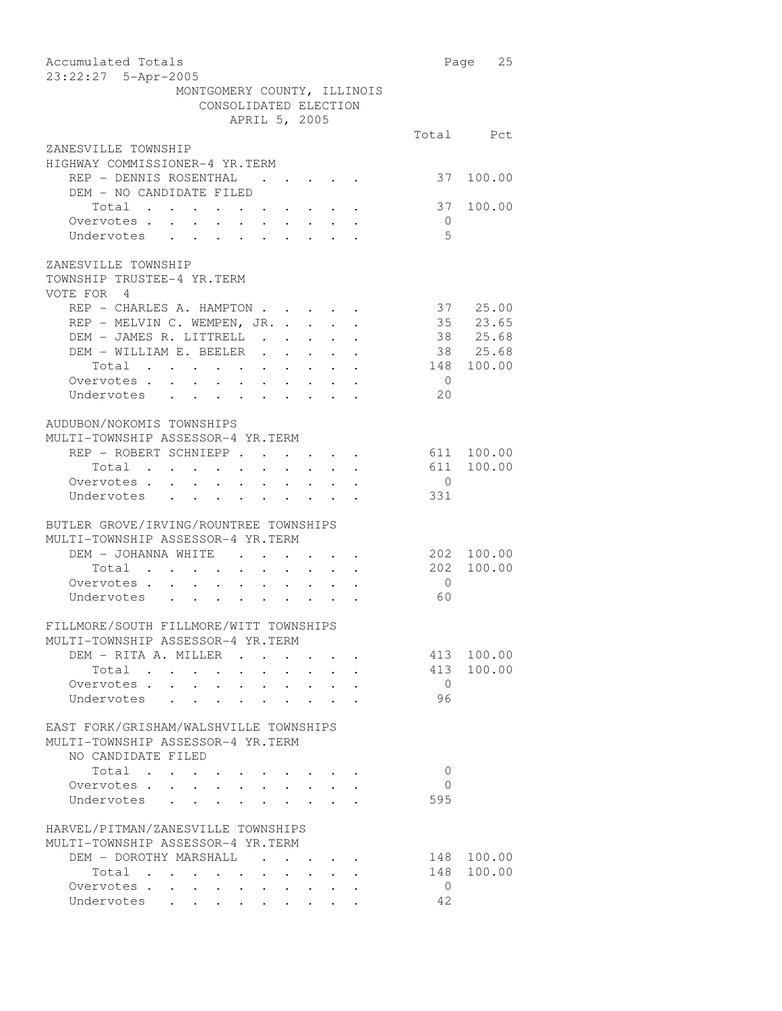| Accumulated Totals                                                                                                                                                                                         |                | Page 25    |
|------------------------------------------------------------------------------------------------------------------------------------------------------------------------------------------------------------|----------------|------------|
| 23:22:27 5-Apr-2005                                                                                                                                                                                        |                |            |
| MONTGOMERY COUNTY, ILLINOIS                                                                                                                                                                                |                |            |
| CONSOLIDATED ELECTION                                                                                                                                                                                      |                |            |
| APRIL 5, 2005                                                                                                                                                                                              |                |            |
|                                                                                                                                                                                                            |                | Total Pct  |
| ZANESVILLE TOWNSHIP                                                                                                                                                                                        |                |            |
| HIGHWAY COMMISSIONER-4 YR.TERM                                                                                                                                                                             |                |            |
| REP - DENNIS ROSENTHAL<br>$\mathbf{r}$ , and $\mathbf{r}$ , and $\mathbf{r}$ , and $\mathbf{r}$                                                                                                            |                | 37 100.00  |
| DEM - NO CANDIDATE FILED                                                                                                                                                                                   |                |            |
| Total                                                                                                                                                                                                      |                | 37 100.00  |
| Overvotes.<br>$\sim$<br>$\mathbf{r} = \mathbf{r} \times \mathbf{r}$ , where $\mathbf{r} = \mathbf{r} \times \mathbf{r}$ , $\mathbf{r} = \mathbf{r} \times \mathbf{r}$<br>$\sim$                            | $\overline{0}$ |            |
| Undervotes<br>$\mathbf{1}$ $\mathbf{1}$ $\mathbf{1}$ $\mathbf{1}$ $\mathbf{1}$ $\mathbf{1}$<br>$\ddot{\phantom{a}}$<br>$\cdot$ $\cdot$<br>$\ddot{\phantom{0}}$<br>$\mathbf{r} = \mathbf{r} + \mathbf{r}$ . | -5             |            |
|                                                                                                                                                                                                            |                |            |
| ZANESVILLE TOWNSHIP                                                                                                                                                                                        |                |            |
| TOWNSHIP TRUSTEE-4 YR.TERM                                                                                                                                                                                 |                |            |
| VOTE FOR 4                                                                                                                                                                                                 |                |            |
| REP - CHARLES A. HAMPTON                                                                                                                                                                                   |                | 37 25.00   |
| REP - MELVIN C. WEMPEN, JR.                                                                                                                                                                                |                | 35 23.65   |
| DEM - JAMES R. LITTRELL                                                                                                                                                                                    |                | 38 25.68   |
| DEM - WILLIAM E. BEELER.<br>$\mathcal{A}=\mathcal{A}=\mathcal{A}=\mathcal{A}$ .                                                                                                                            |                | 38 25.68   |
| Total<br>$\mathcal{A}^{\mathcal{A}}$ , and $\mathcal{A}^{\mathcal{A}}$ , and $\mathcal{A}^{\mathcal{A}}$                                                                                                   |                | 148 100.00 |
|                                                                                                                                                                                                            | $\overline{0}$ |            |
| Overvotes<br>Undervotes                                                                                                                                                                                    | 20             |            |
|                                                                                                                                                                                                            |                |            |
| AUDUBON/NOKOMIS TOWNSHIPS                                                                                                                                                                                  |                |            |
| MULTI-TOWNSHIP ASSESSOR-4 YR.TERM                                                                                                                                                                          |                |            |
|                                                                                                                                                                                                            |                |            |
| REP - ROBERT SCHNIEPP                                                                                                                                                                                      |                | 611 100.00 |
| Total                                                                                                                                                                                                      |                | 611 100.00 |
| Overvotes.<br>$\sim$<br>$\sim$ $\sim$<br>$\mathbf{r} = \mathbf{r} + \mathbf{r} + \mathbf{r} + \mathbf{r} + \mathbf{r} + \mathbf{r} + \mathbf{r}$                                                           | $\overline{0}$ |            |
| Undervotes<br>$\mathbf{r}$ , $\mathbf{r}$<br>$\mathbf{r} = \mathbf{r} \cdot \mathbf{r}$ , where $\mathbf{r} = \mathbf{r} \cdot \mathbf{r}$                                                                 | 331            |            |
|                                                                                                                                                                                                            |                |            |
| BUTLER GROVE/IRVING/ROUNTREE TOWNSHIPS                                                                                                                                                                     |                |            |
| MULTI-TOWNSHIP ASSESSOR-4 YR.TERM                                                                                                                                                                          |                |            |
| DEM - JOHANNA WHITE                                                                                                                                                                                        |                | 202 100.00 |
| Total                                                                                                                                                                                                      |                | 202 100.00 |
| Overvotes                                                                                                                                                                                                  | $\bigcirc$     |            |
| Undervotes                                                                                                                                                                                                 | 60             |            |
|                                                                                                                                                                                                            |                |            |
| FILLMORE/SOUTH FILLMORE/WITT TOWNSHIPS                                                                                                                                                                     |                |            |
| MULTI-TOWNSHIP ASSESSOR-4 YR.TERM                                                                                                                                                                          |                |            |
| DEM - RITA A. MILLER                                                                                                                                                                                       |                | 413 100.00 |
| Total                                                                                                                                                                                                      |                | 413 100.00 |
| Overvotes.                                                                                                                                                                                                 | $\overline{0}$ |            |
| Undervotes                                                                                                                                                                                                 | 96             |            |
|                                                                                                                                                                                                            |                |            |
| EAST FORK/GRISHAM/WALSHVILLE TOWNSHIPS                                                                                                                                                                     |                |            |
| MULTI-TOWNSHIP ASSESSOR-4 YR.TERM                                                                                                                                                                          |                |            |
| NO CANDIDATE FILED                                                                                                                                                                                         |                |            |
| Total                                                                                                                                                                                                      | $\mathbf{0}$   |            |
| Overvotes.                                                                                                                                                                                                 | 0              |            |
| Undervotes                                                                                                                                                                                                 | 595            |            |
|                                                                                                                                                                                                            |                |            |
| HARVEL/PITMAN/ZANESVILLE TOWNSHIPS                                                                                                                                                                         |                |            |
| MULTI-TOWNSHIP ASSESSOR-4 YR.TERM                                                                                                                                                                          |                |            |
| DEM - DOROTHY MARSHALL                                                                                                                                                                                     |                | 148 100.00 |
| Total .<br>$\mathbf{z} = \left\{ \mathbf{z}_1, \ldots, \mathbf{z}_n \right\}$ .                                                                                                                            | 148            | 100.00     |
| Overvotes<br>$\mathbf{z} = \mathbf{z}$ .                                                                                                                                                                   | $\overline{0}$ |            |
| Overvotes<br>Undervotes                                                                                                                                                                                    | 42             |            |
|                                                                                                                                                                                                            |                |            |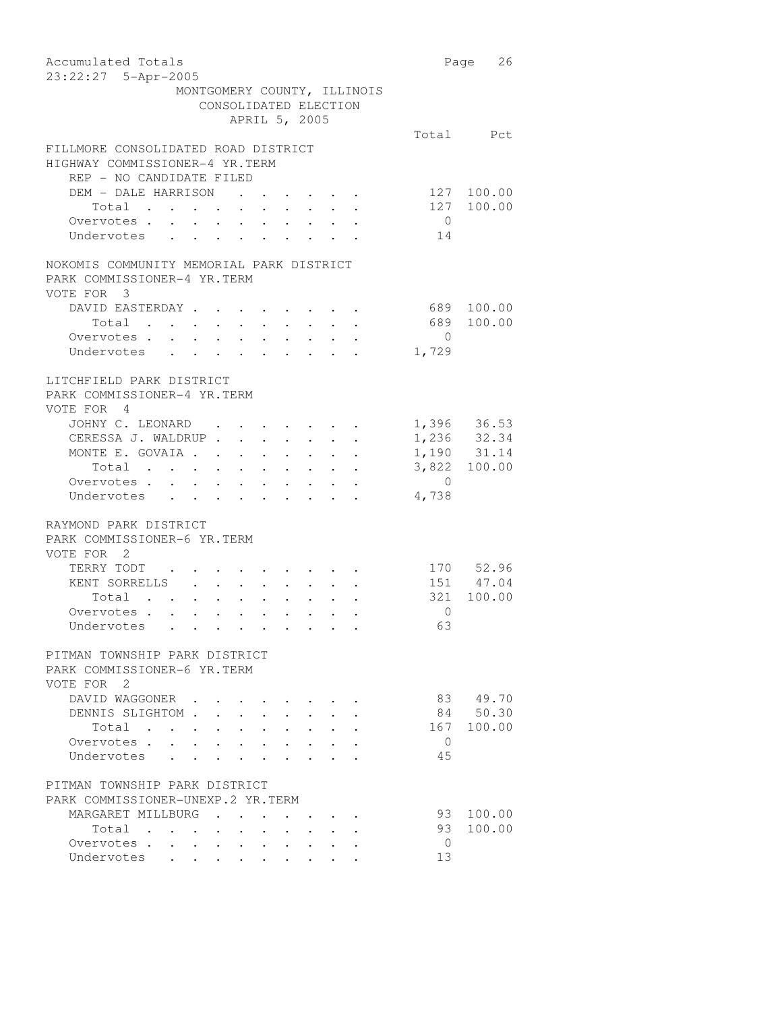| Accumulated Totals<br>23:22:27 5-Apr-2005                                                                 |                                                                 |        |                                                                                                                 |                                 |                                                                                                       |                                                                                                                                               |                | Page 26      |
|-----------------------------------------------------------------------------------------------------------|-----------------------------------------------------------------|--------|-----------------------------------------------------------------------------------------------------------------|---------------------------------|-------------------------------------------------------------------------------------------------------|-----------------------------------------------------------------------------------------------------------------------------------------------|----------------|--------------|
| MONTGOMERY COUNTY, ILLINOIS                                                                               | CONSOLIDATED ELECTION                                           |        | APRIL 5, 2005                                                                                                   |                                 |                                                                                                       |                                                                                                                                               |                |              |
|                                                                                                           |                                                                 |        |                                                                                                                 |                                 |                                                                                                       |                                                                                                                                               |                | Total Pct    |
| FILLMORE CONSOLIDATED ROAD DISTRICT<br>HIGHWAY COMMISSIONER-4 YR.TERM<br>REP - NO CANDIDATE FILED         |                                                                 |        |                                                                                                                 |                                 |                                                                                                       |                                                                                                                                               |                |              |
| DEM - DALE HARRISON                                                                                       |                                                                 |        | $\cdots$ $\cdots$                                                                                               |                                 |                                                                                                       |                                                                                                                                               | 127            | 100.00       |
| Total                                                                                                     |                                                                 |        |                                                                                                                 |                                 |                                                                                                       | $\bullet$ , and $\bullet$ , and $\bullet$ , and $\bullet$                                                                                     |                | 127 100.00   |
| Overvotes .<br>$\mathbf{r} = \mathbf{r} + \mathbf{r} + \mathbf{r} + \mathbf{r} + \mathbf{r} + \mathbf{r}$ |                                                                 |        |                                                                                                                 |                                 |                                                                                                       |                                                                                                                                               | $\overline{0}$ |              |
| Undervotes<br>$\bullet$ .<br><br><br><br><br><br><br><br><br><br><br><br><br>$\ddot{\phantom{a}}$         | $\ddot{\phantom{a}}$                                            | $\sim$ |                                                                                                                 |                                 |                                                                                                       |                                                                                                                                               | 14             |              |
| NOKOMIS COMMUNITY MEMORIAL PARK DISTRICT<br>PARK COMMISSIONER-4 YR.TERM<br>VOTE FOR 3                     |                                                                 |        |                                                                                                                 |                                 |                                                                                                       |                                                                                                                                               |                |              |
| DAVID EASTERDAY                                                                                           |                                                                 |        |                                                                                                                 |                                 |                                                                                                       |                                                                                                                                               | 689            | 100.00       |
| Total                                                                                                     |                                                                 |        |                                                                                                                 | $\cdot$ $\cdot$ $\cdot$ $\cdot$ |                                                                                                       |                                                                                                                                               | 689            | 100.00       |
| Overvotes                                                                                                 |                                                                 |        |                                                                                                                 |                                 | $\bullet$ , $\bullet$ , $\bullet$ , $\bullet$                                                         |                                                                                                                                               | $\overline{0}$ |              |
| Undervotes                                                                                                |                                                                 |        |                                                                                                                 |                                 |                                                                                                       |                                                                                                                                               | 1,729          |              |
| LITCHFIELD PARK DISTRICT<br>PARK COMMISSIONER-4 YR.TERM<br>VOTE FOR 4                                     |                                                                 |        |                                                                                                                 |                                 |                                                                                                       |                                                                                                                                               |                |              |
| JOHNY C. LEONARD                                                                                          |                                                                 |        | the contract of the contract of the contract of the contract of the contract of the contract of the contract of |                                 |                                                                                                       |                                                                                                                                               |                | 1,396 36.53  |
| CERESSA J. WALDRUP                                                                                        |                                                                 |        |                                                                                                                 |                                 |                                                                                                       |                                                                                                                                               |                | 1,236 32.34  |
| MONTE E. GOVAIA .                                                                                         |                                                                 |        |                                                                                                                 |                                 |                                                                                                       | and a strong control of the state of the                                                                                                      |                | 1,190 31.14  |
| Total                                                                                                     |                                                                 |        |                                                                                                                 |                                 |                                                                                                       | $\mathbf{a}^{\prime}$ , $\mathbf{a}^{\prime}$ , $\mathbf{a}^{\prime}$ , $\mathbf{a}^{\prime}$ , $\mathbf{a}^{\prime}$ , $\mathbf{a}^{\prime}$ |                | 3,822 100.00 |
| Overvotes .<br>$\mathcal{A}=\mathcal{A}=\mathcal{A}=\mathcal{A}=\mathcal{A}=\mathcal{A}=\mathcal{A}$      |                                                                 |        |                                                                                                                 |                                 |                                                                                                       | $\bullet$ , $\bullet$ , $\bullet$ , $\bullet$ , $\bullet$ , $\bullet$                                                                         | $\overline{0}$ |              |
| Undervotes<br>$\ddot{\phantom{0}}$<br>$\bullet$ .<br><br><br><br><br><br><br><br><br><br><br><br>         | $\ddot{\phantom{a}}$                                            | $\sim$ |                                                                                                                 |                                 |                                                                                                       |                                                                                                                                               | 4,738          |              |
| RAYMOND PARK DISTRICT<br>PARK COMMISSIONER-6 YR. TERM<br>VOTE FOR 2                                       |                                                                 |        |                                                                                                                 |                                 |                                                                                                       |                                                                                                                                               |                |              |
| TERRY TODT                                                                                                |                                                                 |        |                                                                                                                 |                                 |                                                                                                       |                                                                                                                                               |                | 170 52.96    |
| KENT SORRELLS                                                                                             |                                                                 |        |                                                                                                                 |                                 |                                                                                                       |                                                                                                                                               |                | 151 47.04    |
| Total<br>$\mathcal{L}(\mathbf{r})$ . The contribution of the contribution of $\mathcal{L}(\mathbf{r})$    |                                                                 |        | $\bullet$ .<br><br><br><br><br><br><br><br><br><br><br><br>                                                     |                                 |                                                                                                       |                                                                                                                                               |                | 321 100.00   |
| Overvotes.                                                                                                |                                                                 |        |                                                                                                                 |                                 | $\begin{array}{cccccccccccccc} \bullet & \bullet & \bullet & \bullet & \bullet & \bullet \end{array}$ |                                                                                                                                               | $\circ$        |              |
| Undervotes                                                                                                |                                                                 |        |                                                                                                                 |                                 |                                                                                                       |                                                                                                                                               | 63             |              |
| PITMAN TOWNSHIP PARK DISTRICT<br>PARK COMMISSIONER-6 YR.TERM<br>VOTE FOR 2                                |                                                                 |        |                                                                                                                 |                                 |                                                                                                       |                                                                                                                                               |                |              |
| DAVID WAGGONER                                                                                            |                                                                 |        |                                                                                                                 |                                 |                                                                                                       |                                                                                                                                               |                | 83 49.70     |
| DENNIS SLIGHTOM .                                                                                         |                                                                 |        |                                                                                                                 |                                 |                                                                                                       |                                                                                                                                               | 84 -           | 50.30        |
| Total .<br>$\ddot{\phantom{a}}$<br>$\sim$ 100 $\pm$                                                       |                                                                 |        |                                                                                                                 |                                 |                                                                                                       |                                                                                                                                               | 167            | 100.00       |
| Overvotes .                                                                                               |                                                                 |        |                                                                                                                 |                                 |                                                                                                       |                                                                                                                                               | 0              |              |
| Undervotes                                                                                                |                                                                 |        |                                                                                                                 |                                 |                                                                                                       |                                                                                                                                               | 45             |              |
| PITMAN TOWNSHIP PARK DISTRICT<br>PARK COMMISSIONER-UNEXP.2 YR.TERM                                        |                                                                 |        |                                                                                                                 |                                 |                                                                                                       |                                                                                                                                               |                |              |
| MARGARET MILLBURG                                                                                         |                                                                 |        |                                                                                                                 |                                 |                                                                                                       |                                                                                                                                               | 93             | 100.00       |
| Total<br>$\overline{\phantom{a}}$<br>$\sim 100$ km s $^{-1}$                                              | $\bullet$ .<br><br><br><br><br><br><br><br><br><br><br><br><br> |        |                                                                                                                 |                                 |                                                                                                       |                                                                                                                                               | 93             | 100.00       |
| Overvotes<br>Undervotes                                                                                   | $\bullet$ . The set of $\bullet$                                |        | $\ddot{\phantom{0}}$                                                                                            |                                 |                                                                                                       |                                                                                                                                               | 0<br>13        |              |
|                                                                                                           |                                                                 |        |                                                                                                                 |                                 |                                                                                                       |                                                                                                                                               |                |              |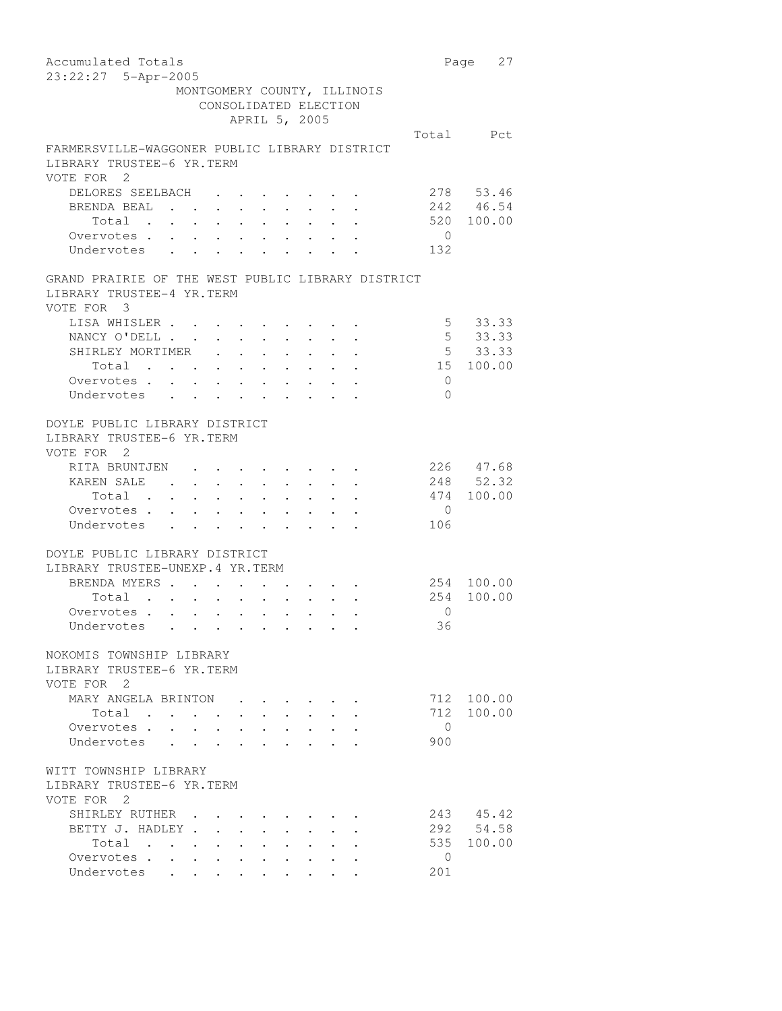Accumulated Totals **Page 27** 23:22:27 5-Apr-2005 MONTGOMERY COUNTY, ILLINOIS CONSOLIDATED ELECTION APRIL 5, 2005 Total Pct FARMERSVILLE-WAGGONER PUBLIC LIBRARY DISTRICT LIBRARY TRUSTEE-6 YR.TERM VOTE FOR 2 DELORES SEELBACH . . . . . . . 278 53.46 BRENDA BEAL . . . . . . . . . 242 46.54 Total . . . . . . . . . . 520 100.00 Overvotes . . . . . . . . . . . 0<br>Undervotes . . . . . . . . . . . 132 Undervotes . . . . . . . . . GRAND PRAIRIE OF THE WEST PUBLIC LIBRARY DISTRICT LIBRARY TRUSTEE-4 YR.TERM VOTE FOR 3 LISA WHISLER . . . . . . . . . . . 5 33.33<br>NANCY O'DELL . . . . . . . . . . 5 33.33 NANCY O'DELL . . . . . . . . . 5 33.33 SHIRLEY MORTIMER . . . . . . . . . 5 33.33<br>Total . . . . . . . . . . . 15 100.00 Total . . . . . . . . . . Overvotes . . . . . . . . . . 0 Undervotes . . . . . . . . . 0 DOYLE PUBLIC LIBRARY DISTRICT LIBRARY TRUSTEE-6 YR.TERM VOTE FOR 2 RITA BRUNTJEN . . . . . . . . 226 47.68 KAREN SALE . . . . . . . . . 248 52.32 Total . . . . . . . . . . 474 100.00 Overvotes . . . . . . . . . . . 0<br>Undervotes . . . . . . . . . . 106 Undervotes . . DOYLE PUBLIC LIBRARY DISTRICT LIBRARY TRUSTEE-UNEXP.4 YR.TERM BRENDA MYERS . . . . . . . . . 254 100.00 Total . . . . . . . . . . 254 100.00 Overvotes . . . . . . . . . . . 0<br>Undervotes . . . . . . . . . . 36 Undervotes . . . . . . . NOKOMIS TOWNSHIP LIBRARY LIBRARY TRUSTEE-6 YR.TERM VOTE FOR 2 MARY ANGELA BRINTON . . . . . . 712 100.00<br>Total . . . . . . . . . . 712 100.00 Total . . . . . . . . . . Overvotes . . . . . . . . . . 0 Undervotes . . . . . . . . 900 WITT TOWNSHIP LIBRARY LIBRARY TRUSTEE-6 YR.TERM VOTE FOR 2 SHIRLEY RUTHER . . . . . . . . . 243 45.42<br>BETTY J. HADLEY . . . . . . . . . 292 54.58 BETTY J. HADLEY . . . . . . . . . 292 54.58<br>Total . . . . . . . . . . . 535 100.00 Total . . . . . . . . . . Overvotes . . . . . . . . . . 0 Undervotes . . . . . . . . 201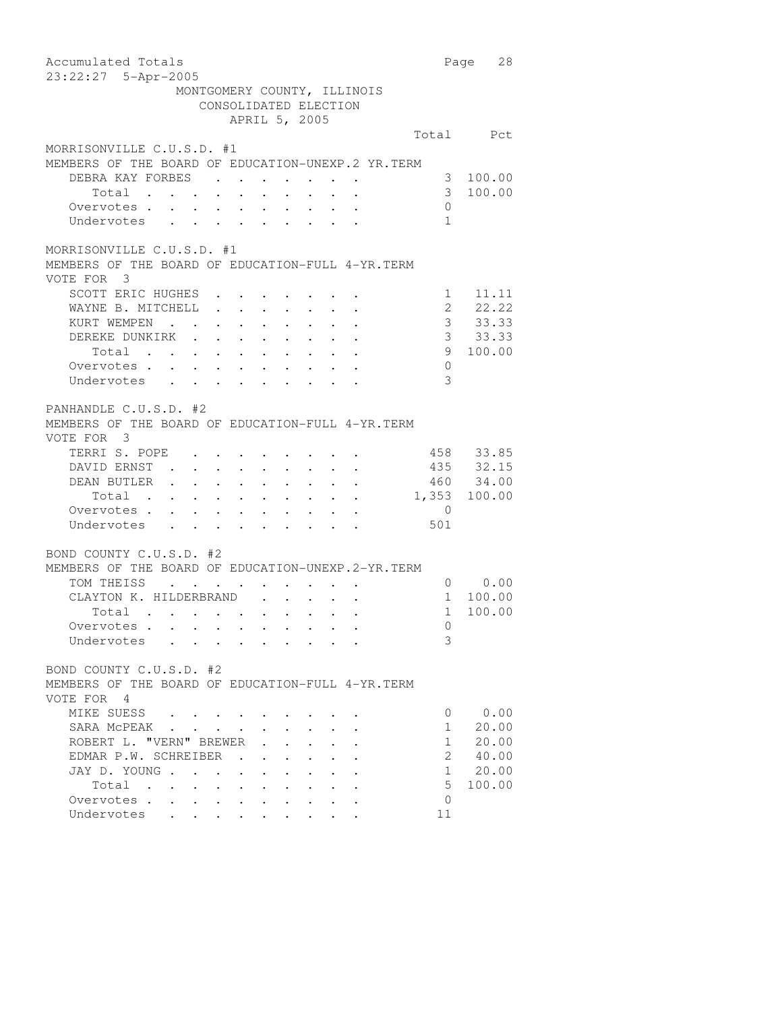| Accumulated Totals                                                                                                                                                                                                                                                                                                                                                                                                                                                                                             |                | 28<br>Page |
|----------------------------------------------------------------------------------------------------------------------------------------------------------------------------------------------------------------------------------------------------------------------------------------------------------------------------------------------------------------------------------------------------------------------------------------------------------------------------------------------------------------|----------------|------------|
| 23:22:27 5-Apr-2005                                                                                                                                                                                                                                                                                                                                                                                                                                                                                            |                |            |
| MONTGOMERY COUNTY, ILLINOIS                                                                                                                                                                                                                                                                                                                                                                                                                                                                                    |                |            |
| CONSOLIDATED ELECTION                                                                                                                                                                                                                                                                                                                                                                                                                                                                                          |                |            |
| APRIL 5, 2005                                                                                                                                                                                                                                                                                                                                                                                                                                                                                                  |                |            |
|                                                                                                                                                                                                                                                                                                                                                                                                                                                                                                                |                | Total Pct  |
| MORRISONVILLE C.U.S.D. #1                                                                                                                                                                                                                                                                                                                                                                                                                                                                                      |                |            |
| MEMBERS OF THE BOARD OF EDUCATION-UNEXP.2 YR. TERM                                                                                                                                                                                                                                                                                                                                                                                                                                                             |                |            |
| DEBRA KAY FORBES                                                                                                                                                                                                                                                                                                                                                                                                                                                                                               | 3              | 100.00     |
| Total .<br>$\mathbf{u} = \mathbf{u} \times \mathbf{u}$ , and $\mathbf{u} = \mathbf{u} \times \mathbf{u}$ , and                                                                                                                                                                                                                                                                                                                                                                                                 | 3              | 100.00     |
| $\sim$<br>$\mathcal{L}_{\text{max}}$                                                                                                                                                                                                                                                                                                                                                                                                                                                                           | $\mathbf{0}$   |            |
| Overvotes<br>Undervotes                                                                                                                                                                                                                                                                                                                                                                                                                                                                                        | $\overline{1}$ |            |
|                                                                                                                                                                                                                                                                                                                                                                                                                                                                                                                |                |            |
| MORRISONVILLE C.U.S.D. #1                                                                                                                                                                                                                                                                                                                                                                                                                                                                                      |                |            |
| MEMBERS OF THE BOARD OF EDUCATION-FULL 4-YR. TERM                                                                                                                                                                                                                                                                                                                                                                                                                                                              |                |            |
| VOTE FOR 3                                                                                                                                                                                                                                                                                                                                                                                                                                                                                                     |                |            |
| SCOTT ERIC HUGHES                                                                                                                                                                                                                                                                                                                                                                                                                                                                                              | $1 \quad$      | 11.11      |
| WAYNE B. MITCHELL                                                                                                                                                                                                                                                                                                                                                                                                                                                                                              | $\overline{2}$ | 22.22      |
| $\mathbf{r} = \mathbf{r} + \mathbf{r} + \mathbf{r} + \mathbf{r} + \mathbf{r} + \mathbf{r} + \mathbf{r}$                                                                                                                                                                                                                                                                                                                                                                                                        |                |            |
| KURT WEMPEN<br>$\mathcal{A}^{\mathcal{A}}$ , and $\mathcal{A}^{\mathcal{A}}$                                                                                                                                                                                                                                                                                                                                                                                                                                   | 3 <sup>7</sup> | 33.33      |
| DEREKE DUNKIRK<br>EKE DUNKIRK<br>Total                                                                                                                                                                                                                                                                                                                                                                                                                                                                         | 3 <sup>7</sup> | 33.33      |
|                                                                                                                                                                                                                                                                                                                                                                                                                                                                                                                | 9              | 100.00     |
| Overvotes.                                                                                                                                                                                                                                                                                                                                                                                                                                                                                                     | $\mathbf{0}$   |            |
| Undervotes                                                                                                                                                                                                                                                                                                                                                                                                                                                                                                     | 3              |            |
|                                                                                                                                                                                                                                                                                                                                                                                                                                                                                                                |                |            |
| PANHANDLE C.U.S.D. #2                                                                                                                                                                                                                                                                                                                                                                                                                                                                                          |                |            |
| MEMBERS OF THE BOARD OF EDUCATION-FULL 4-YR. TERM                                                                                                                                                                                                                                                                                                                                                                                                                                                              |                |            |
| VOTE FOR 3                                                                                                                                                                                                                                                                                                                                                                                                                                                                                                     |                |            |
| TERRI S. POPE                                                                                                                                                                                                                                                                                                                                                                                                                                                                                                  |                | 458 33.85  |
| DAVID ERNST.<br>$\begin{aligned} \mathbf{1}_{\mathcal{A}}\left(\mathbf{1}_{\mathcal{A}}\right) & = \mathbf{1}_{\mathcal{A}}\left(\mathbf{1}_{\mathcal{A}}\right) + \mathbf{1}_{\mathcal{A}}\left(\mathbf{1}_{\mathcal{A}}\right) + \mathbf{1}_{\mathcal{A}}\left(\mathbf{1}_{\mathcal{A}}\right) + \mathbf{1}_{\mathcal{A}}\left(\mathbf{1}_{\mathcal{A}}\right) \\ & = \mathbf{1}_{\mathcal{A}}\left(\mathbf{1}_{\mathcal{A}}\right) + \mathbf{1}_{\mathcal{A}}\left(\mathbf{1}_{\mathcal{A}}\right) + \math$ |                | 435 32.15  |
| DEAN BUTLER                                                                                                                                                                                                                                                                                                                                                                                                                                                                                                    |                | 460 34.00  |
| <u>na kama sa sa sa sa sa sa sa sa sa</u><br>Total                                                                                                                                                                                                                                                                                                                                                                                                                                                             | 1,353          | 100.00     |
| Overvotes                                                                                                                                                                                                                                                                                                                                                                                                                                                                                                      | $\mathbf{0}$   |            |
| Undervotes                                                                                                                                                                                                                                                                                                                                                                                                                                                                                                     | 501            |            |
|                                                                                                                                                                                                                                                                                                                                                                                                                                                                                                                |                |            |
| BOND COUNTY C.U.S.D. #2                                                                                                                                                                                                                                                                                                                                                                                                                                                                                        |                |            |
| MEMBERS OF THE BOARD OF EDUCATION-UNEXP.2-YR.TERM                                                                                                                                                                                                                                                                                                                                                                                                                                                              |                |            |
| TOM THEISS<br><b>Contract Contract</b>                                                                                                                                                                                                                                                                                                                                                                                                                                                                         | $\overline{0}$ | 0.00       |
| CLAYTON K. HILDERBRAND.                                                                                                                                                                                                                                                                                                                                                                                                                                                                                        | $\mathbf{1}$   | 100.00     |
| Total                                                                                                                                                                                                                                                                                                                                                                                                                                                                                                          | $\mathbf{1}$   | 100.00     |
| Overvotes                                                                                                                                                                                                                                                                                                                                                                                                                                                                                                      | $\Omega$       |            |
| Undervotes<br>the contract of the contract of the contract of the contract of the contract of the contract of the contract of                                                                                                                                                                                                                                                                                                                                                                                  | 3              |            |
|                                                                                                                                                                                                                                                                                                                                                                                                                                                                                                                |                |            |
| BOND COUNTY C.U.S.D. #2                                                                                                                                                                                                                                                                                                                                                                                                                                                                                        |                |            |
| MEMBERS OF THE BOARD OF EDUCATION-FULL 4-YR. TERM                                                                                                                                                                                                                                                                                                                                                                                                                                                              |                |            |
| VOTE FOR 4                                                                                                                                                                                                                                                                                                                                                                                                                                                                                                     |                |            |
| MIKE SUESS                                                                                                                                                                                                                                                                                                                                                                                                                                                                                                     | 0              | 0.00       |
| SARA MCPEAK                                                                                                                                                                                                                                                                                                                                                                                                                                                                                                    | 1              | 20.00      |
| ROBERT L. "VERN" BREWER                                                                                                                                                                                                                                                                                                                                                                                                                                                                                        | $\mathbf{1}$   | 20.00      |
| EDMAR P.W. SCHREIBER                                                                                                                                                                                                                                                                                                                                                                                                                                                                                           | 2              | 40.00      |
| JAY D. YOUNG<br>$\ddot{\phantom{a}}$                                                                                                                                                                                                                                                                                                                                                                                                                                                                           | $\mathbf{1}$   | 20.00      |
| Total<br>$\sim$                                                                                                                                                                                                                                                                                                                                                                                                                                                                                                | 5              | 100.00     |
| <b>Contract Contract Contract</b><br>$\mathbf{z} = \mathbf{z} + \mathbf{z}$ .<br>$\ddot{\phantom{a}}$<br>Overvotes                                                                                                                                                                                                                                                                                                                                                                                             | $\Omega$       |            |
| $\bullet$ .<br><br><br><br><br><br><br><br><br><br><br><br><br><br><br>$\bullet$<br>Undervotes                                                                                                                                                                                                                                                                                                                                                                                                                 | 11             |            |
|                                                                                                                                                                                                                                                                                                                                                                                                                                                                                                                |                |            |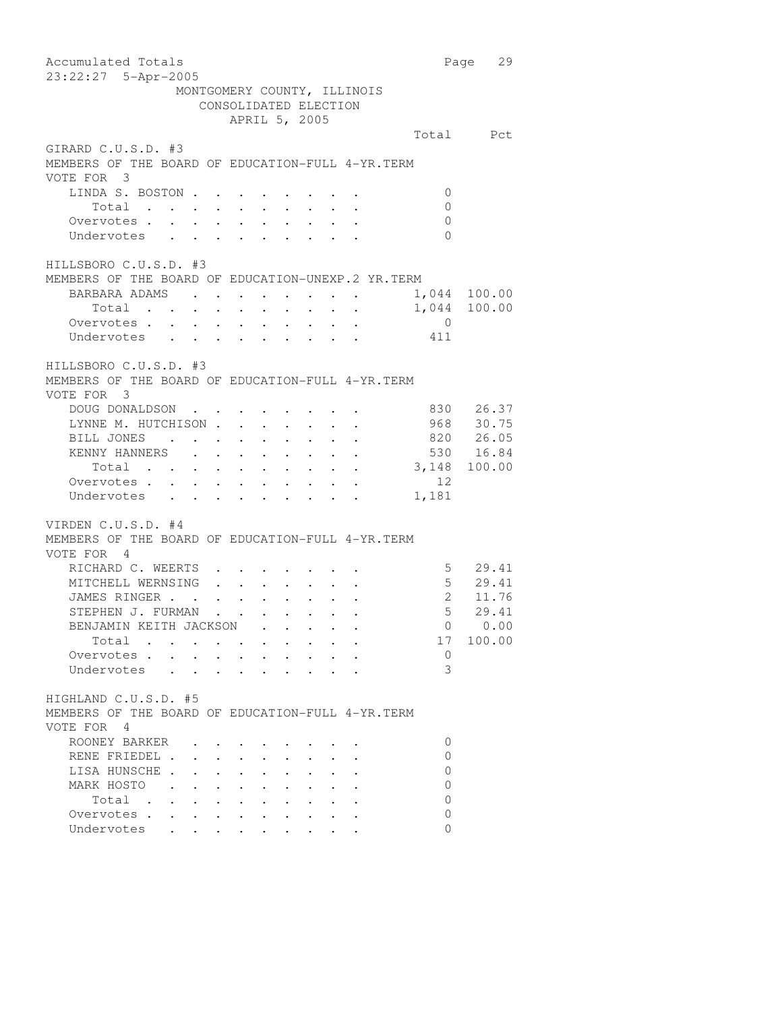Accumulated Totals **Page 29** 23:22:27 5-Apr-2005 MONTGOMERY COUNTY, ILLINOIS CONSOLIDATED ELECTION APRIL 5, 2005 Total Pct GIRARD C.U.S.D. #3 MEMBERS OF THE BOARD OF EDUCATION-FULL 4-YR.TERM VOTE FOR 3 LINDA S. BOSTON . . . . . . . . 0 Total . . . . . . . . . . 0 Overvotes . . . . . . . . . . 0 Undervotes . . . . . . . . . 0 HILLSBORO C.U.S.D. #3 MEMBERS OF THE BOARD OF EDUCATION-UNEXP.2 YR.TERM BARBARA ADAMS . . . . . . . . . 1,044 100.00<br>Total . . . . . . . . . . 1,044 100.00 Total . . . . . . . . . . Overvotes . . . . . . . . . . 0 Undervotes . . . . . . . . . 411 HILLSBORO C.U.S.D. #3 MEMBERS OF THE BOARD OF EDUCATION-FULL 4-YR.TERM VOTE FOR 3 DOUG DONALDSON . . . . . . . . . 830 26.37<br>LYNNE M. HUTCHISON . . . . . . . 968 30.75 128 M HUTCHISON . . . . . . . 968 30.75<br>
BILL JONES . . . . . . . . . . 820 26.05<br>
KENNY HANNERS . . . . . . . . 530 16.84 BILL JONES . . . . . . . . . XENNY HANNERS . . . . . . . . . 530 16.84<br>Total . . . . . . . . . . 3,148 100.00 Total . . . . . . . . . . Overvotes . . . . . . . . . . . 12<br>Undervotes . . . . . . . . . 1,181 Undervotes . . . . . . . . . VIRDEN C.U.S.D. #4 MEMBERS OF THE BOARD OF EDUCATION-FULL 4-YR.TERM VOTE FOR 4 RICHARD C. WEERTS . . . . . . . . 5 29.41 MITCHELL WERNSING . . . . . . . 5 29.41 JAMES RINGER . . . . . . . . . 2 11.76 STEPHEN J. FURMAN . . . . . . . . . 5 29.41<br>BENJAMIN KEITH JACKSON . . . . . 0 0.00 BENJAMIN KEITH JACKSON . . . . . 0 0.00<br>Total . . . . . . . . . . 17 100.00 Total . . . . . . . . . . 17<br>ervotes . . . . . . . . . . . 0 Overvotes . . . . . . . . . . Undervotes . . . . . . . . . 3 HIGHLAND C.U.S.D. #5 MEMBERS OF THE BOARD OF EDUCATION-FULL 4-YR.TERM VOTE FOR 4 ROONEY BARKER . . . . . . . . 0 RENE FRIEDEL . . . . . . . . . 0 LISA HUNSCHE . . . . . . . . . 0 MARK HOSTO . . . . . . . . . 0  $\texttt{Total} \quad . \quad . \quad . \quad . \quad . \quad . \quad . \qquad 0$ Overvotes . . . . . . . . . . 0 Undervotes . . . . . . . . 0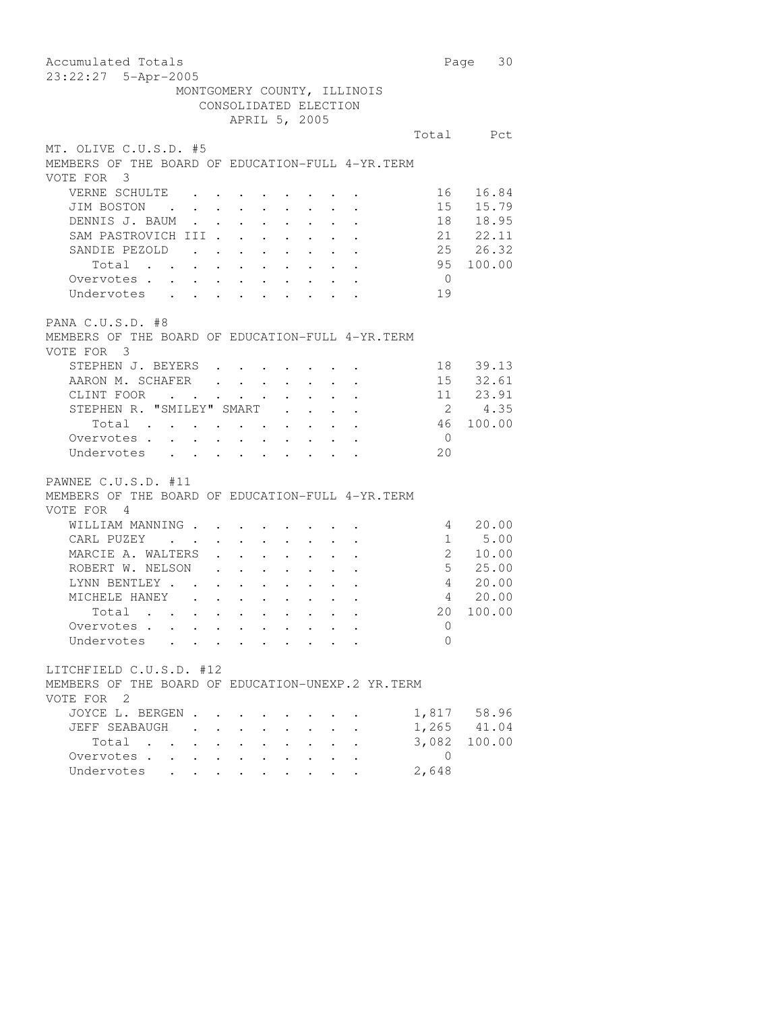Accumulated Totals **Page 30** 23:22:27 5-Apr-2005 MONTGOMERY COUNTY, ILLINOIS CONSOLIDATED ELECTION APRIL 5, 2005 Total Pct MT. OLIVE C.U.S.D. #5 MEMBERS OF THE BOARD OF EDUCATION-FULL 4-YR.TERM VOTE FOR 3 VERNE SCHULTE . . . . . . . . . 16 16.84 JIM BOSTON . . . . . . . . . 15 15.79 DENNIS J. BAUM . . . . . . . . 18 18.95 SAM PASTROVICH III . . . . . . . 21 22.11 SANDIE PEZOLD . . . . . . . . . 25 26.32<br>Total . . . . . . . . . . 95 100.00 Total . . . . . . . . . . Overvotes . . . . . . . . . . 0 Undervotes . . . . . . . . . 19 PANA C.U.S.D. #8 MEMBERS OF THE BOARD OF EDUCATION-FULL 4-YR.TERM VOTE FOR 3 STEPHEN J. BEYERS . . . . . . . . 18 39.13 AARON M. SCHAFER . . . . . . . 15 32.61 CLINT FOOR . . . . . . . . . . 11 23.91 STEPHEN R. "SMILEY" SMART . . . . . . 2 4.35<br>Total . . . . . . . . . . . 46 100.00 Total . . . . . . . . . . Overvotes . . . . . . . . . . 0 Undervotes . . . . . . . . 20 PAWNEE C.U.S.D. #11 MEMBERS OF THE BOARD OF EDUCATION-FULL 4-YR.TERM VOTE FOR 4 WILLIAM MANNING . . . . . . . . 4 20.00 CARL PUZEY . . . . . . . . . . 1 5.00 MARCIE A. WALTERS . . . . . . . 2 10.00 ROBERT W. NELSON . . . . . . . . 5 25.00 LYNN BENTLEY . . . . . . . . . . 4 20.00 MICHELE HANEY . . . . . . . . 4 20.00 Total . . . . . . . . . . 20 100.00 Overvotes . . . . . . . . . . 0 Undervotes . . . . . . . . 0 LITCHFIELD C.U.S.D. #12 MEMBERS OF THE BOARD OF EDUCATION-UNEXP.2 YR.TERM VOTE FOR 2 JOYCE L. BERGEN . . . . . . . . 1,817 58.96<br>JEFF SEABAUGH . . . . . . . . 1,265 41.04 JEFF SEABAUGH . . . . . . . . Total . . . . . . . . . 3,082 100.00 Overvotes . . . . . . . . . . 0 Undervotes . . . . . . . . 2,648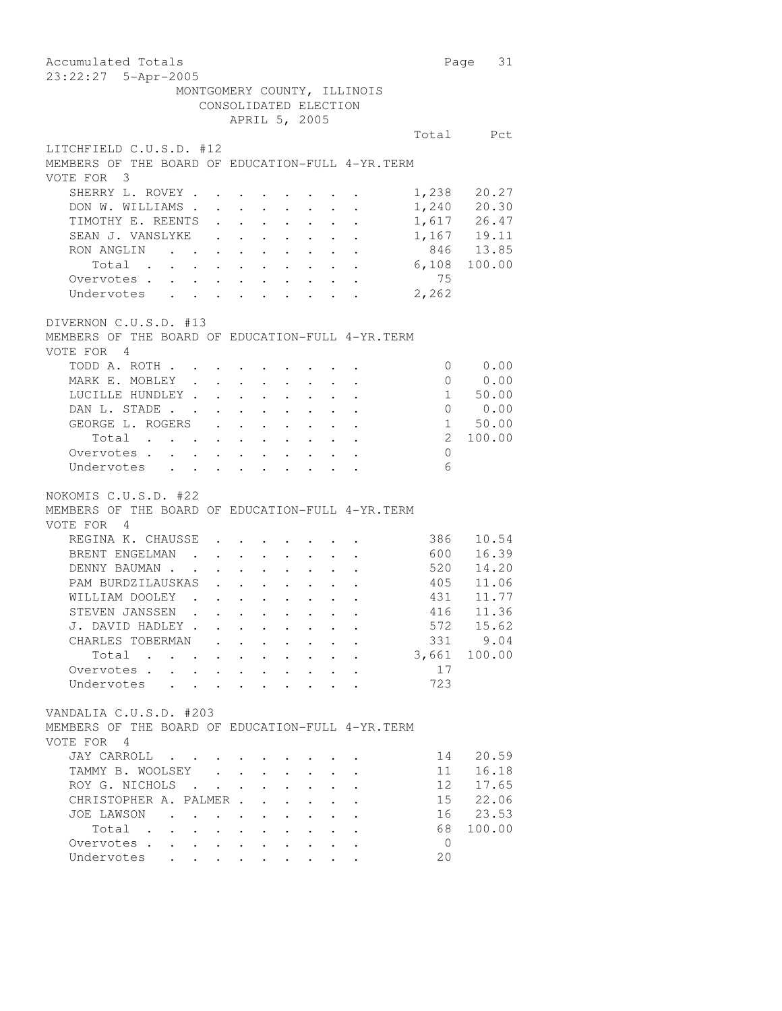Accumulated Totals **Page 31** 23:22:27 5-Apr-2005 MONTGOMERY COUNTY, ILLINOIS CONSOLIDATED ELECTION APRIL 5, 2005 Total Pct LITCHFIELD C.U.S.D. #12 MEMBERS OF THE BOARD OF EDUCATION-FULL 4-YR.TERM VOTE FOR 3 SHERRY L. ROVEY . . . . . . . . . 1,238 20.27<br>DON W. WILLIAMS . . . . . . . . 1,240 20.30 DON W. WILLIAMS . . . . . . . . 1,240 20.30<br>TIMOTHY E. REENTS . . . . . . . 1,617 26.47 TIMOTHY E. REENTS . . . . . . . 1,617 26.47<br>SEAN J. VANSLYKE . . . . . . . 1,167 19.11 SEAN J. VANSLYKE . . . . . . . 1,167 19.11<br>RON ANGLIN . . . . . . . . . 846 13.85 RON ANGLIN . . . . . . . . . Total . . . . . . . . . . 6,108 100.00 Overvotes . . . . . . . . . . 75 Undervotes . . . . . . . . . 2,262 DIVERNON C.U.S.D. #13 MEMBERS OF THE BOARD OF EDUCATION-FULL 4-YR.TERM VOTE FOR 4 TODD A. ROTH . . . . . . . . . 0 0.00 MARK E. MOBLEY . . . . . . . . 0 0.00 LUCILLE HUNDLEY . . . . . . . . 1 50.00 DAN L. STADE . . . . . . . . . 0 0.00 GEORGE L. ROGERS . . . . . . . . . 1 50.00<br>Total . . . . . . . . . . . 2 100.00 Total . . . . . . . . . . Overvotes . . . . . . . . . . 0 Undervotes . . . . . . . . . 6 NOKOMIS C.U.S.D. #22 MEMBERS OF THE BOARD OF EDUCATION-FULL 4-YR.TERM VOTE FOR 4 REGINA K. CHAUSSE . . . . . . . 386 10.54 BRENT ENGELMAN . . . . . . . . . 600 16.39 DENNY BAUMAN . . . . . . . . . . 520 14.20 PAM BURDZILAUSKAS . . . . . . . 405 11.06 WILLIAM DOOLEY . . . . . . . . 431 11.77 STEVEN JANSSEN . . . . . . . . STEVEN JANSSEN . . . . . . . . . . . . . 416 11.36<br>
J. DAVID HADLEY . . . . . . . . . . . . 572 15.62<br>
CHARLES TOBERMAN . . . . . . . . . . 331 9.04<br>
Total . . . . . . . . . . . . 3,661 100.00 CHARLES TOBERMAN . . . . . . . . Total  $\cdots$  . . . . . . . . Overvotes . . . . . . . . . . . 17 Undervotes . . . . . . . . . 723 VANDALIA C.U.S.D. #203 MEMBERS OF THE BOARD OF EDUCATION-FULL 4-YR.TERM VOTE FOR 4 JAY CARROLL . . . . . . . . . . 14 20.59<br>TAMMY B. WOOLSEY . . . . . . . . 11 16.18 TAMMY B. WOOLSEY . . . . . . . ROY G. NICHOLS . . . . . . . . 12 17.65 CHRISTOPHER A. PALMER . . . . . . 15 22.06<br>JOE LAWSON . . . . . . . . . . 16 23.53 JOE LAWSON . . . . . . . . . . . 16 23.53<br>Total . . . . . . . . . . . 68 100.00 Total . . . . . . . . . . Overvotes . . . . . . . . . . 0 Undervotes . . . . . . . . 20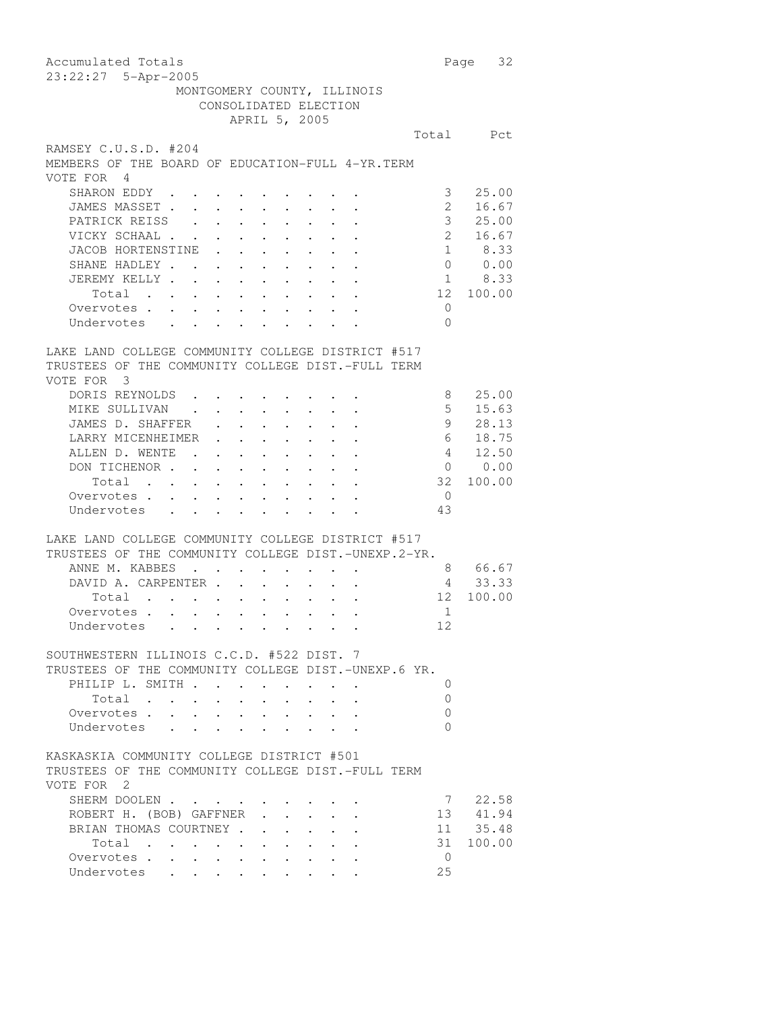Accumulated Totals **Page 32** 23:22:27 5-Apr-2005 MONTGOMERY COUNTY, ILLINOIS CONSOLIDATED ELECTION APRIL 5, 2005 Total Pct RAMSEY C.U.S.D. #204 MEMBERS OF THE BOARD OF EDUCATION-FULL 4-YR.TERM VOTE FOR 4 SHARON EDDY . . . . . . . . . . 3 25.00 JAMES MASSET . . . . . . . . . 2 16.67 PATRICK REISS . . . . . . . . . . 3 25.00<br>VICKY SCHAAL . . . . . . . . . . 2 16.67 VICKY SCHAAL . . . . . . . . . . 2 16.67<br>JACOB HORTENSTINE . . . . . . . 1 8.33 JACOB HORTENSTINE . . . . . . . . 1 8.33<br>SHANE HADLEY . . . . . . . . . 0 0.00 SHANE HADLEY . . . . . . . . . JEREMY KELLY . . . . . . . . . . . 1 8.33 Total . . . . . . . . . . 12 100.00 Overvotes . . . . . . . . . . 0 Undervotes . . . . . . . . 0 LAKE LAND COLLEGE COMMUNITY COLLEGE DISTRICT #517 TRUSTEES OF THE COMMUNITY COLLEGE DIST.-FULL TERM VOTE FOR 3 DORIS REYNOLDS . . . . . . . . 8 25.00 MIKE SULLIVAN . . . . . . . . . 5 15.63 JAMES D. SHAFFER . . . . . . . 9 28.13 LARRY MICENHEIMER . . . . . . . 6 18.75 ALLEN D. WENTE . . . . . . . . . 4 12.50 DON TICHENOR . . . . . . . . . 0 0.00 Total . . . . . . . . . . 32 100.00 Overvotes . . . . . . . . . . 0 Undervotes . . . . . . . . . 43 LAKE LAND COLLEGE COMMUNITY COLLEGE DISTRICT #517 TRUSTEES OF THE COMMUNITY COLLEGE DIST.-UNEXP.2-YR. ANNE M. KABBES . . . . . . . . 8 66.67 DAVID A. CARPENTER . . . . . . . 4 33.33 Total . . . . . . . . . . 12 100.00 Overvotes . . . . . . . . . . 1 Undervotes . . . . . . . . . 12 SOUTHWESTERN ILLINOIS C.C.D. #522 DIST. 7 TRUSTEES OF THE COMMUNITY COLLEGE DIST.-UNEXP.6 YR. PHILIP L. SMITH . . . . . . . . 0 Total . . . . . . . . . . 0 Overvotes . . . . . . . . . . 0 Undervotes . . . . . . . . 0 KASKASKIA COMMUNITY COLLEGE DISTRICT #501 TRUSTEES OF THE COMMUNITY COLLEGE DIST.-FULL TERM VOTE FOR 2 SHERM DOOLEN . . . . . . . . . . . 7 22.58<br>ROBERT H. (BOB) GAFFNER . . . . . 13 41.94 ROBERT H. (BOB) GAFFNER . . . . . 13 41.94<br>BRIAN THOMAS COURTNEY . . . . . . 11 35.48 BRIAN THOMAS COURTNEY . . . . . . . 11 35.48<br>Total . . . . . . . . . . 31 100.00 Total . . . . . . . . . . Overvotes . . . . . . . . . . 0 Undervotes . . . . . . . . 25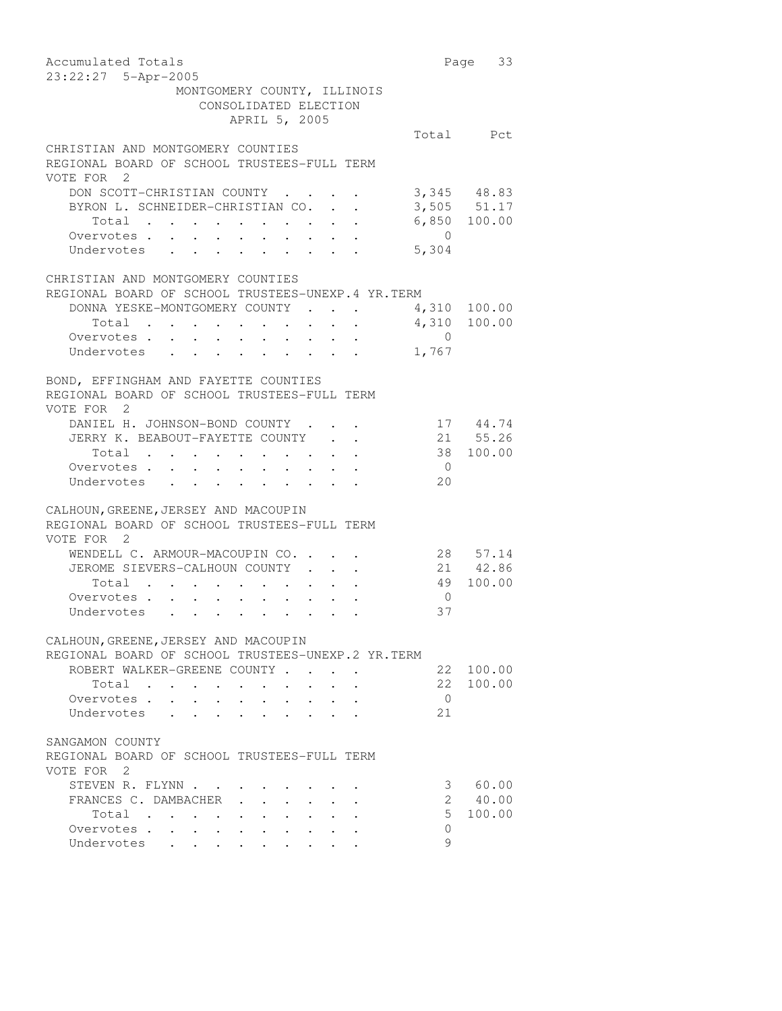| Accumulated Totals<br>23:22:27 5-Apr-2005                                                                                                         |                  | Page 33                      |
|---------------------------------------------------------------------------------------------------------------------------------------------------|------------------|------------------------------|
| MONTGOMERY COUNTY, ILLINOIS                                                                                                                       |                  |                              |
| CONSOLIDATED ELECTION                                                                                                                             |                  |                              |
| APRIL 5, 2005                                                                                                                                     |                  |                              |
|                                                                                                                                                   |                  | Total Pct                    |
| CHRISTIAN AND MONTGOMERY COUNTIES                                                                                                                 |                  |                              |
| REGIONAL BOARD OF SCHOOL TRUSTEES-FULL TERM                                                                                                       |                  |                              |
| VOTE FOR 2                                                                                                                                        |                  |                              |
| DON SCOTT-CHRISTIAN COUNTY.                                                                                                                       |                  | 3,345 48.83                  |
| BYRON L. SCHNEIDER-CHRISTIAN CO. .                                                                                                                |                  | $3,505$ $51.17$              |
|                                                                                                                                                   |                  | $6,850$ 100.00               |
| Total<br>Overvotes                                                                                                                                | $\overline{0}$   |                              |
|                                                                                                                                                   |                  |                              |
| Undervotes                                                                                                                                        | 5,304            |                              |
| CHRISTIAN AND MONTGOMERY COUNTIES                                                                                                                 |                  |                              |
| REGIONAL BOARD OF SCHOOL TRUSTEES-UNEXP. 4 YR. TERM                                                                                               |                  |                              |
| DONNA YESKE-MONTGOMERY COUNTY.                                                                                                                    |                  |                              |
|                                                                                                                                                   |                  | 4,310 100.00<br>4,310 100.00 |
| Total<br>$\bullet$ .                                                                                                                              |                  |                              |
| Overvotes<br>$\ddot{\phantom{0}}$<br>$\ddot{\phantom{0}}$<br>Undervotes                                                                           | $\circ$<br>1,767 |                              |
|                                                                                                                                                   |                  |                              |
|                                                                                                                                                   |                  |                              |
| BOND, EFFINGHAM AND FAYETTE COUNTIES                                                                                                              |                  |                              |
| REGIONAL BOARD OF SCHOOL TRUSTEES-FULL TERM                                                                                                       |                  |                              |
| VOTE FOR 2                                                                                                                                        |                  |                              |
| DANIEL H. JOHNSON-BOND COUNTY.                                                                                                                    |                  | 17 44.74                     |
| JERRY K. BEABOUT-FAYETTE COUNTY                                                                                                                   |                  | 21 55.26                     |
| Total .<br>$\sim 100$<br>$\mathbf{A}^{\text{max}}$ , and $\mathbf{A}^{\text{max}}$<br>$\bullet$ .<br><br><br><br><br><br><br><br><br><br><br><br> |                  | 38 100.00                    |
| Overvotes<br>$\sim$<br>$\ddot{\phantom{0}}$<br>$\sim$<br>$\ddot{\phantom{0}}$                                                                     | $\overline{0}$   |                              |
| Undervotes                                                                                                                                        | 20               |                              |
|                                                                                                                                                   |                  |                              |
| CALHOUN, GREENE, JERSEY AND MACOUPIN                                                                                                              |                  |                              |
| REGIONAL BOARD OF SCHOOL TRUSTEES-FULL TERM                                                                                                       |                  |                              |
| VOTE FOR 2                                                                                                                                        |                  |                              |
| WENDELL C. ARMOUR-MACOUPIN CO. .                                                                                                                  |                  | 28 57.14                     |
| JEROME SIEVERS-CALHOUN COUNTY                                                                                                                     | 21<br>49         | 42.86                        |
| Total<br>$\mathbf{r}$ , and $\mathbf{r}$                                                                                                          |                  | 100.00                       |
| Overvotes.<br>$\sim$<br>$\ddot{\phantom{0}}$<br>$\sim 10^{-11}$<br>$\ddot{\phantom{0}}$<br>$\sim 10$<br>$\ddot{\phantom{0}}$                      | $\overline{0}$   |                              |
| Undervotes                                                                                                                                        | 37               |                              |
|                                                                                                                                                   |                  |                              |
| CALHOUN, GREENE, JERSEY AND MACOUPIN                                                                                                              |                  |                              |
| REGIONAL BOARD OF SCHOOL TRUSTEES-UNEXP.2 YR.TERM                                                                                                 |                  |                              |
| ROBERT WALKER-GREENE COUNTY                                                                                                                       | 22               | 100.00                       |
| Total                                                                                                                                             | 22               | 100.00                       |
| Overvotes .                                                                                                                                       | $\bigcirc$       |                              |
| Undervotes                                                                                                                                        | 21               |                              |
|                                                                                                                                                   |                  |                              |
| SANGAMON COUNTY                                                                                                                                   |                  |                              |
| REGIONAL BOARD OF SCHOOL TRUSTEES-FULL TERM                                                                                                       |                  |                              |
| VOTE FOR 2                                                                                                                                        |                  |                              |
| STEVEN R. FLYNN                                                                                                                                   | 3                | 60.00                        |
| FRANCES C. DAMBACHER                                                                                                                              | $\overline{2}$   | 40.00                        |
| Total                                                                                                                                             | 5                | 100.00                       |
| Overvotes<br>$\sim$<br>$\ddot{\phantom{0}}$                                                                                                       | $\circ$          |                              |
| Undervotes                                                                                                                                        | 9                |                              |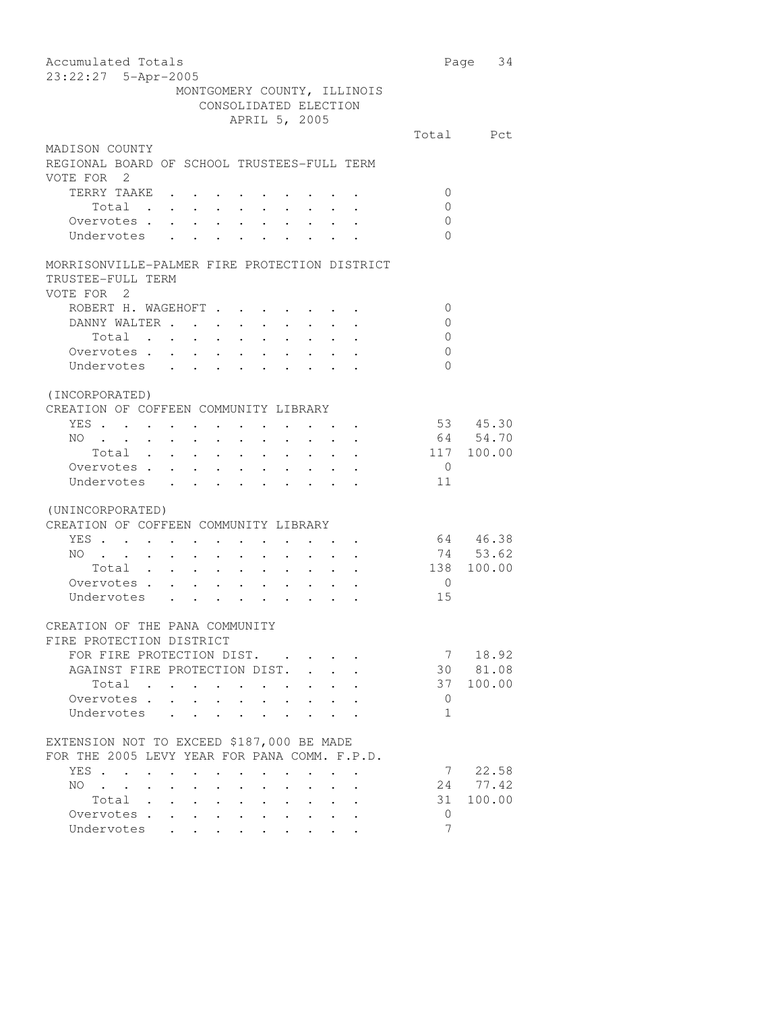| Accumulated Totals                                                                                                                                                                       |                | Page 34    |
|------------------------------------------------------------------------------------------------------------------------------------------------------------------------------------------|----------------|------------|
| 23:22:27 5-Apr-2005                                                                                                                                                                      |                |            |
| MONTGOMERY COUNTY, ILLINOIS                                                                                                                                                              |                |            |
| CONSOLIDATED ELECTION                                                                                                                                                                    |                |            |
| APRIL 5, 2005                                                                                                                                                                            |                |            |
|                                                                                                                                                                                          |                | Total Pct  |
| MADISON COUNTY                                                                                                                                                                           |                |            |
| REGIONAL BOARD OF SCHOOL TRUSTEES-FULL TERM                                                                                                                                              |                |            |
| VOTE FOR 2                                                                                                                                                                               |                |            |
| TERRY TAAKE                                                                                                                                                                              | 0              |            |
| Total                                                                                                                                                                                    | $\mathbf 0$    |            |
| Overvotes.                                                                                                                                                                               | $\mathbf{0}$   |            |
| Undervotes                                                                                                                                                                               | $\Omega$       |            |
|                                                                                                                                                                                          |                |            |
| MORRISONVILLE-PALMER FIRE PROTECTION DISTRICT                                                                                                                                            |                |            |
| TRUSTEE-FULL TERM                                                                                                                                                                        |                |            |
| VOTE FOR 2                                                                                                                                                                               |                |            |
| ROBERT H. WAGEHOFT                                                                                                                                                                       | 0              |            |
| DANNY WALTER<br>$\sim 100$<br>$\mathcal{A}^{\mathcal{A}}$ , and $\mathcal{A}^{\mathcal{A}}$                                                                                              | $\mathbf 0$    |            |
| Total                                                                                                                                                                                    | $\overline{0}$ |            |
| Overvotes.                                                                                                                                                                               | $\mathbf 0$    |            |
| Undervotes                                                                                                                                                                               | $\Omega$       |            |
|                                                                                                                                                                                          |                |            |
|                                                                                                                                                                                          |                |            |
| (INCORPORATED)                                                                                                                                                                           |                |            |
| CREATION OF COFFEEN COMMUNITY LIBRARY                                                                                                                                                    |                |            |
| YES<br>$\mathbf{r}$ , and $\mathbf{r}$ , and $\mathbf{r}$                                                                                                                                |                | 53 45.30   |
| NO.<br>$\sim$ $\sim$<br>$\ddot{\phantom{0}}$<br>$\mathbf{A}$ and $\mathbf{A}$ and $\mathbf{A}$<br>$\sim$<br>$\sim 10^{-10}$<br>$\bullet$ .<br>$\sim$                                     |                | 64 54.70   |
| Total<br>Total<br>Overvotes                                                                                                                                                              |                | 117 100.00 |
|                                                                                                                                                                                          | $\overline{0}$ |            |
| Undervotes                                                                                                                                                                               | 11             |            |
|                                                                                                                                                                                          |                |            |
| (UNINCORPORATED)                                                                                                                                                                         |                |            |
| CREATION OF COFFEEN COMMUNITY LIBRARY                                                                                                                                                    |                |            |
| YES                                                                                                                                                                                      |                | 64 46.38   |
| NO.<br>$\mathcal{L}^{\text{max}}$<br>$\sim$ $\sim$<br>$\sim$ $-$<br>$\mathbf{u} = \mathbf{u} + \mathbf{u} + \mathbf{u} + \mathbf{u} + \mathbf{u} + \mathbf{u} + \mathbf{u} + \mathbf{u}$ |                | 74 53.62   |
| Total                                                                                                                                                                                    | 138            | 100.00     |
| Total<br>Overvotes                                                                                                                                                                       | $\overline{0}$ |            |
| Undervotes                                                                                                                                                                               | 15             |            |
|                                                                                                                                                                                          |                |            |
| CREATION OF THE PANA COMMUNITY                                                                                                                                                           |                |            |
| FIRE PROTECTION DISTRICT                                                                                                                                                                 |                |            |
| FOR FIRE PROTECTION DIST.                                                                                                                                                                | 7              | 18.92      |
| AGAINST FIRE PROTECTION DIST.                                                                                                                                                            | 30             | 81.08      |
| Total<br>$\ddot{\phantom{0}}$<br>$\bullet$ . $\bullet$                                                                                                                                   | 37             | 100.00     |
| Overvotes .<br>$\ddot{\phantom{a}}$                                                                                                                                                      | $\mathbf{0}$   |            |
| Undervotes<br>$\ddot{\phantom{0}}$<br>$\ddot{\phantom{a}}$                                                                                                                               | $\mathbf{1}$   |            |
|                                                                                                                                                                                          |                |            |
| EXTENSION NOT TO EXCEED \$187,000 BE MADE                                                                                                                                                |                |            |
| FOR THE 2005 LEVY YEAR FOR PANA COMM. F.P.D.                                                                                                                                             |                |            |
| YES                                                                                                                                                                                      | 7              | 22.58      |
| $\ddot{\phantom{a}}$<br>NO.<br>$\sim 10^{-10}$                                                                                                                                           | 24             | 77.42      |
| $\mathbf{A}^{\text{max}}$<br>$\sim$<br>$\ddot{\phantom{0}}$<br>$\ddot{\phantom{0}}$<br>Total .                                                                                           | 31             | 100.00     |
| $\ddot{\phantom{a}}$<br>$\bullet$ .<br><br><br><br><br><br><br><br><br><br><br><br><br>$\bullet$                                                                                         | 0              |            |
| Overvotes .<br>$\mathbf{L}$                                                                                                                                                              | $\overline{7}$ |            |
| Undervotes<br>$\sim$ $\sim$ $\sim$<br>$\ddot{\phantom{0}}$                                                                                                                               |                |            |